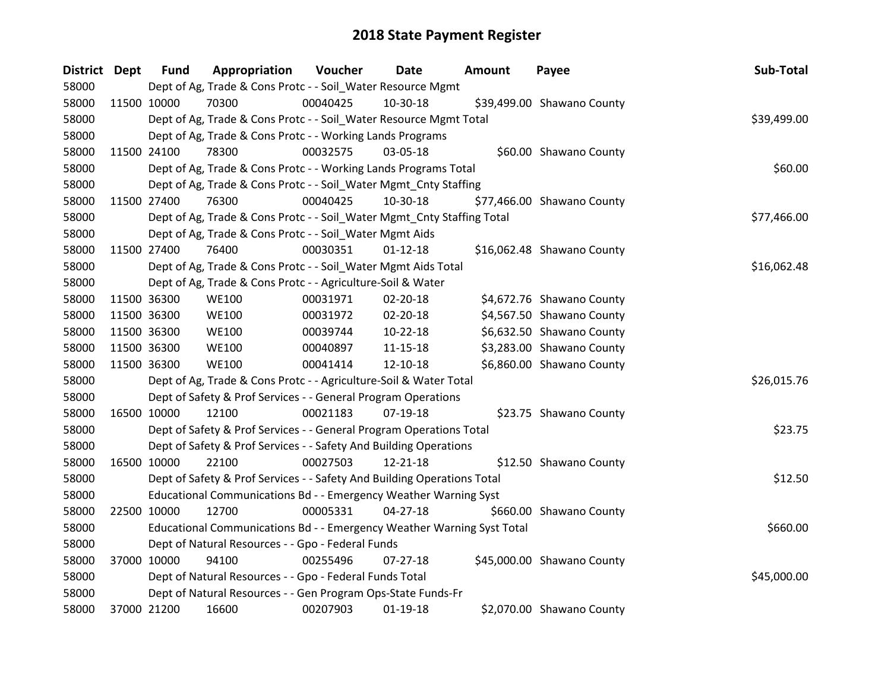| District Dept |             | <b>Fund</b> | Appropriation                                                           | Voucher  | <b>Date</b>    | Amount | Payee                      | Sub-Total   |
|---------------|-------------|-------------|-------------------------------------------------------------------------|----------|----------------|--------|----------------------------|-------------|
| 58000         |             |             | Dept of Ag, Trade & Cons Protc - - Soil_Water Resource Mgmt             |          |                |        |                            |             |
| 58000         | 11500 10000 |             | 70300                                                                   | 00040425 | 10-30-18       |        | \$39,499.00 Shawano County |             |
| 58000         |             |             | Dept of Ag, Trade & Cons Protc - - Soil_Water Resource Mgmt Total       |          |                |        |                            | \$39,499.00 |
| 58000         |             |             | Dept of Ag, Trade & Cons Protc - - Working Lands Programs               |          |                |        |                            |             |
| 58000         | 11500 24100 |             | 78300                                                                   | 00032575 | 03-05-18       |        | \$60.00 Shawano County     |             |
| 58000         |             |             | Dept of Ag, Trade & Cons Protc - - Working Lands Programs Total         |          |                |        |                            | \$60.00     |
| 58000         |             |             | Dept of Ag, Trade & Cons Protc - - Soil_Water Mgmt_Cnty Staffing        |          |                |        |                            |             |
| 58000         |             | 11500 27400 | 76300                                                                   | 00040425 | 10-30-18       |        | \$77,466.00 Shawano County |             |
| 58000         |             |             | Dept of Ag, Trade & Cons Protc - - Soil_Water Mgmt_Cnty Staffing Total  |          |                |        |                            | \$77,466.00 |
| 58000         |             |             | Dept of Ag, Trade & Cons Protc - - Soil_Water Mgmt Aids                 |          |                |        |                            |             |
| 58000         | 11500 27400 |             | 76400                                                                   | 00030351 | $01 - 12 - 18$ |        | \$16,062.48 Shawano County |             |
| 58000         |             |             | Dept of Ag, Trade & Cons Protc - - Soil_Water Mgmt Aids Total           |          |                |        |                            | \$16,062.48 |
| 58000         |             |             | Dept of Ag, Trade & Cons Protc - - Agriculture-Soil & Water             |          |                |        |                            |             |
| 58000         | 11500 36300 |             | <b>WE100</b>                                                            | 00031971 | 02-20-18       |        | \$4,672.76 Shawano County  |             |
| 58000         | 11500 36300 |             | <b>WE100</b>                                                            | 00031972 | 02-20-18       |        | \$4,567.50 Shawano County  |             |
| 58000         |             | 11500 36300 | <b>WE100</b>                                                            | 00039744 | 10-22-18       |        | \$6,632.50 Shawano County  |             |
| 58000         | 11500 36300 |             | <b>WE100</b>                                                            | 00040897 | $11 - 15 - 18$ |        | \$3,283.00 Shawano County  |             |
| 58000         | 11500 36300 |             | <b>WE100</b>                                                            | 00041414 | 12-10-18       |        | \$6,860.00 Shawano County  |             |
| 58000         |             |             | Dept of Ag, Trade & Cons Protc - - Agriculture-Soil & Water Total       |          |                |        |                            | \$26,015.76 |
| 58000         |             |             | Dept of Safety & Prof Services - - General Program Operations           |          |                |        |                            |             |
| 58000         | 16500 10000 |             | 12100                                                                   | 00021183 | 07-19-18       |        | \$23.75 Shawano County     |             |
| 58000         |             |             | Dept of Safety & Prof Services - - General Program Operations Total     |          |                |        |                            | \$23.75     |
| 58000         |             |             | Dept of Safety & Prof Services - - Safety And Building Operations       |          |                |        |                            |             |
| 58000         |             | 16500 10000 | 22100                                                                   | 00027503 | 12-21-18       |        | \$12.50 Shawano County     |             |
| 58000         |             |             | Dept of Safety & Prof Services - - Safety And Building Operations Total |          |                |        |                            | \$12.50     |
| 58000         |             |             | Educational Communications Bd - - Emergency Weather Warning Syst        |          |                |        |                            |             |
| 58000         | 22500 10000 |             | 12700                                                                   | 00005331 | $04 - 27 - 18$ |        | \$660.00 Shawano County    |             |
| 58000         |             |             | Educational Communications Bd - - Emergency Weather Warning Syst Total  |          |                |        |                            | \$660.00    |
| 58000         |             |             | Dept of Natural Resources - - Gpo - Federal Funds                       |          |                |        |                            |             |
| 58000         | 37000 10000 |             | 94100                                                                   | 00255496 | $07 - 27 - 18$ |        | \$45,000.00 Shawano County |             |
| 58000         |             |             | Dept of Natural Resources - - Gpo - Federal Funds Total                 |          |                |        |                            | \$45,000.00 |
| 58000         |             |             | Dept of Natural Resources - - Gen Program Ops-State Funds-Fr            |          |                |        |                            |             |
| 58000         |             | 37000 21200 | 16600                                                                   | 00207903 | $01-19-18$     |        | \$2,070.00 Shawano County  |             |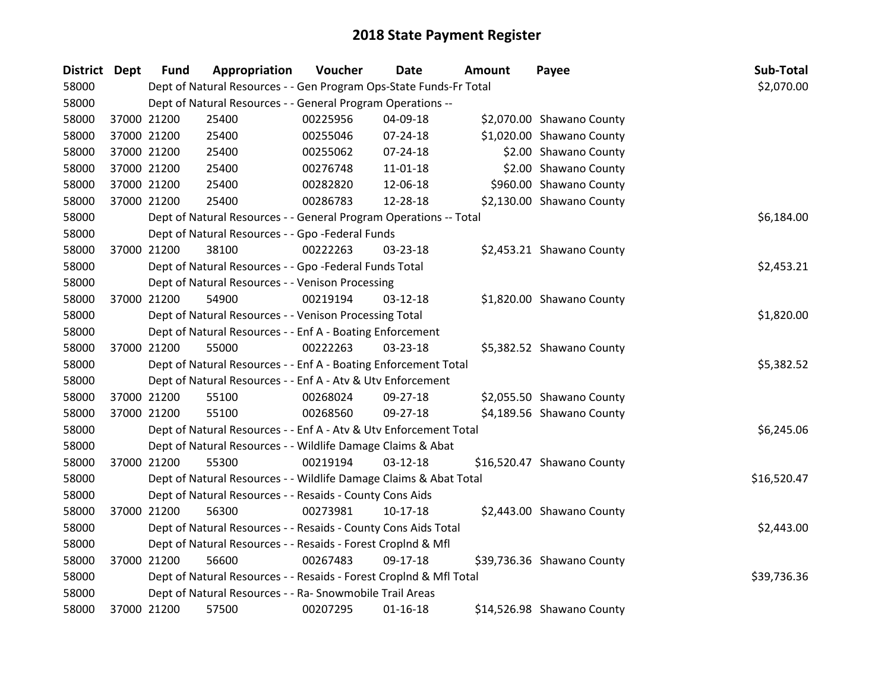| <b>District</b> | Dept | <b>Fund</b> | Appropriation                                                      | Voucher  | <b>Date</b>    | <b>Amount</b> | Payee                      | Sub-Total   |
|-----------------|------|-------------|--------------------------------------------------------------------|----------|----------------|---------------|----------------------------|-------------|
| 58000           |      |             | Dept of Natural Resources - - Gen Program Ops-State Funds-Fr Total |          |                |               |                            | \$2,070.00  |
| 58000           |      |             | Dept of Natural Resources - - General Program Operations --        |          |                |               |                            |             |
| 58000           |      | 37000 21200 | 25400                                                              | 00225956 | 04-09-18       |               | \$2,070.00 Shawano County  |             |
| 58000           |      | 37000 21200 | 25400                                                              | 00255046 | 07-24-18       |               | \$1,020.00 Shawano County  |             |
| 58000           |      | 37000 21200 | 25400                                                              | 00255062 | 07-24-18       |               | \$2.00 Shawano County      |             |
| 58000           |      | 37000 21200 | 25400                                                              | 00276748 | 11-01-18       |               | \$2.00 Shawano County      |             |
| 58000           |      | 37000 21200 | 25400                                                              | 00282820 | 12-06-18       |               | \$960.00 Shawano County    |             |
| 58000           |      | 37000 21200 | 25400                                                              | 00286783 | 12-28-18       |               | \$2,130.00 Shawano County  |             |
| 58000           |      |             | Dept of Natural Resources - - General Program Operations -- Total  |          |                |               |                            | \$6,184.00  |
| 58000           |      |             | Dept of Natural Resources - - Gpo -Federal Funds                   |          |                |               |                            |             |
| 58000           |      | 37000 21200 | 38100                                                              | 00222263 | 03-23-18       |               | \$2,453.21 Shawano County  |             |
| 58000           |      |             | Dept of Natural Resources - - Gpo -Federal Funds Total             |          |                |               |                            | \$2,453.21  |
| 58000           |      |             | Dept of Natural Resources - - Venison Processing                   |          |                |               |                            |             |
| 58000           |      | 37000 21200 | 54900                                                              | 00219194 | $03 - 12 - 18$ |               | \$1,820.00 Shawano County  |             |
| 58000           |      |             | Dept of Natural Resources - - Venison Processing Total             |          |                |               |                            | \$1,820.00  |
| 58000           |      |             | Dept of Natural Resources - - Enf A - Boating Enforcement          |          |                |               |                            |             |
| 58000           |      | 37000 21200 | 55000                                                              | 00222263 | 03-23-18       |               | \$5,382.52 Shawano County  |             |
| 58000           |      |             | Dept of Natural Resources - - Enf A - Boating Enforcement Total    |          |                |               |                            | \$5,382.52  |
| 58000           |      |             | Dept of Natural Resources - - Enf A - Atv & Utv Enforcement        |          |                |               |                            |             |
| 58000           |      | 37000 21200 | 55100                                                              | 00268024 | 09-27-18       |               | \$2,055.50 Shawano County  |             |
| 58000           |      | 37000 21200 | 55100                                                              | 00268560 | 09-27-18       |               | \$4,189.56 Shawano County  |             |
| 58000           |      |             | Dept of Natural Resources - - Enf A - Atv & Utv Enforcement Total  |          |                |               |                            | \$6,245.06  |
| 58000           |      |             | Dept of Natural Resources - - Wildlife Damage Claims & Abat        |          |                |               |                            |             |
| 58000           |      | 37000 21200 | 55300                                                              | 00219194 | $03-12-18$     |               | \$16,520.47 Shawano County |             |
| 58000           |      |             | Dept of Natural Resources - - Wildlife Damage Claims & Abat Total  |          |                |               |                            | \$16,520.47 |
| 58000           |      |             | Dept of Natural Resources - - Resaids - County Cons Aids           |          |                |               |                            |             |
| 58000           |      | 37000 21200 | 56300                                                              | 00273981 | $10-17-18$     |               | \$2,443.00 Shawano County  |             |
| 58000           |      |             | Dept of Natural Resources - - Resaids - County Cons Aids Total     |          |                |               |                            | \$2,443.00  |
| 58000           |      |             | Dept of Natural Resources - - Resaids - Forest Croplnd & Mfl       |          |                |               |                            |             |
| 58000           |      | 37000 21200 | 56600                                                              | 00267483 | 09-17-18       |               | \$39,736.36 Shawano County |             |
| 58000           |      |             | Dept of Natural Resources - - Resaids - Forest CropInd & Mfl Total |          |                |               |                            | \$39,736.36 |
| 58000           |      |             | Dept of Natural Resources - - Ra- Snowmobile Trail Areas           |          |                |               |                            |             |
| 58000           |      | 37000 21200 | 57500                                                              | 00207295 | $01 - 16 - 18$ |               | \$14,526.98 Shawano County |             |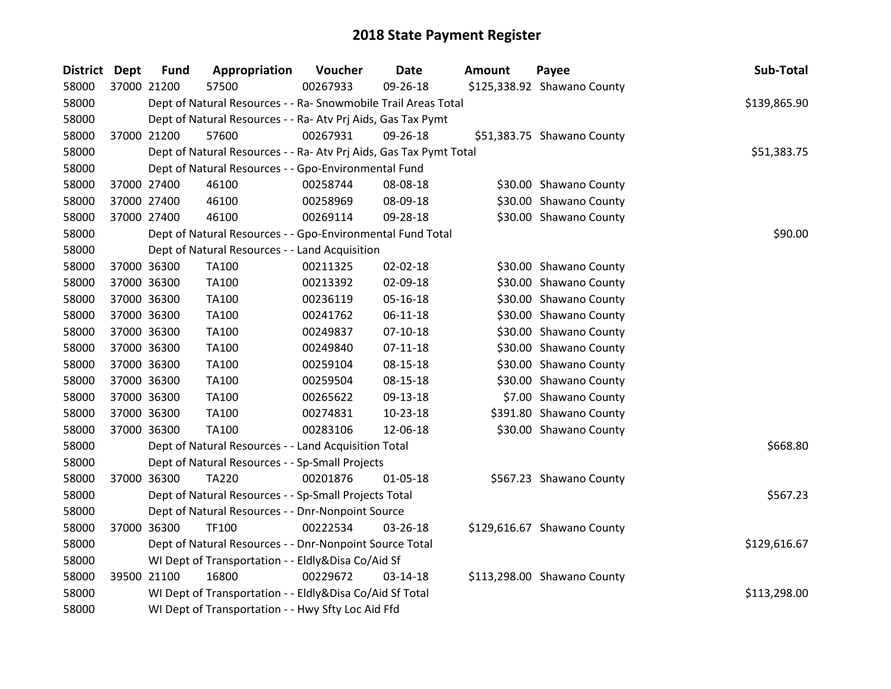| District Dept | <b>Fund</b> | Appropriation                                                      | Voucher  | <b>Date</b>    | <b>Amount</b> | Payee                       | Sub-Total    |
|---------------|-------------|--------------------------------------------------------------------|----------|----------------|---------------|-----------------------------|--------------|
| 58000         | 37000 21200 | 57500                                                              | 00267933 | 09-26-18       |               | \$125,338.92 Shawano County |              |
| 58000         |             | Dept of Natural Resources - - Ra- Snowmobile Trail Areas Total     |          |                |               |                             | \$139,865.90 |
| 58000         |             | Dept of Natural Resources - - Ra- Atv Prj Aids, Gas Tax Pymt       |          |                |               |                             |              |
| 58000         | 37000 21200 | 57600                                                              | 00267931 | 09-26-18       |               | \$51,383.75 Shawano County  |              |
| 58000         |             | Dept of Natural Resources - - Ra- Atv Prj Aids, Gas Tax Pymt Total |          |                |               |                             | \$51,383.75  |
| 58000         |             | Dept of Natural Resources - - Gpo-Environmental Fund               |          |                |               |                             |              |
| 58000         | 37000 27400 | 46100                                                              | 00258744 | 08-08-18       |               | \$30.00 Shawano County      |              |
| 58000         | 37000 27400 | 46100                                                              | 00258969 | 08-09-18       |               | \$30.00 Shawano County      |              |
| 58000         | 37000 27400 | 46100                                                              | 00269114 | 09-28-18       |               | \$30.00 Shawano County      |              |
| 58000         |             | Dept of Natural Resources - - Gpo-Environmental Fund Total         |          |                |               |                             | \$90.00      |
| 58000         |             | Dept of Natural Resources - - Land Acquisition                     |          |                |               |                             |              |
| 58000         | 37000 36300 | TA100                                                              | 00211325 | 02-02-18       |               | \$30.00 Shawano County      |              |
| 58000         | 37000 36300 | <b>TA100</b>                                                       | 00213392 | 02-09-18       |               | \$30.00 Shawano County      |              |
| 58000         | 37000 36300 | TA100                                                              | 00236119 | 05-16-18       |               | \$30.00 Shawano County      |              |
| 58000         | 37000 36300 | <b>TA100</b>                                                       | 00241762 | $06-11-18$     |               | \$30.00 Shawano County      |              |
| 58000         | 37000 36300 | <b>TA100</b>                                                       | 00249837 | $07-10-18$     |               | \$30.00 Shawano County      |              |
| 58000         | 37000 36300 | TA100                                                              | 00249840 | $07 - 11 - 18$ |               | \$30.00 Shawano County      |              |
| 58000         | 37000 36300 | <b>TA100</b>                                                       | 00259104 | 08-15-18       |               | \$30.00 Shawano County      |              |
| 58000         | 37000 36300 | <b>TA100</b>                                                       | 00259504 | 08-15-18       |               | \$30.00 Shawano County      |              |
| 58000         | 37000 36300 | TA100                                                              | 00265622 | 09-13-18       |               | \$7.00 Shawano County       |              |
| 58000         | 37000 36300 | TA100                                                              | 00274831 | 10-23-18       |               | \$391.80 Shawano County     |              |
| 58000         | 37000 36300 | <b>TA100</b>                                                       | 00283106 | 12-06-18       |               | \$30.00 Shawano County      |              |
| 58000         |             | Dept of Natural Resources - - Land Acquisition Total               |          |                |               |                             | \$668.80     |
| 58000         |             | Dept of Natural Resources - - Sp-Small Projects                    |          |                |               |                             |              |
| 58000         | 37000 36300 | <b>TA220</b>                                                       | 00201876 | 01-05-18       |               | \$567.23 Shawano County     |              |
| 58000         |             | Dept of Natural Resources - - Sp-Small Projects Total              |          |                |               |                             | \$567.23     |
| 58000         |             | Dept of Natural Resources - - Dnr-Nonpoint Source                  |          |                |               |                             |              |
| 58000         | 37000 36300 | TF100                                                              | 00222534 | 03-26-18       |               | \$129,616.67 Shawano County |              |
| 58000         |             | Dept of Natural Resources - - Dnr-Nonpoint Source Total            |          |                |               |                             | \$129,616.67 |
| 58000         |             | WI Dept of Transportation - - Eldly&Disa Co/Aid Sf                 |          |                |               |                             |              |
| 58000         | 39500 21100 | 16800                                                              | 00229672 | 03-14-18       |               | \$113,298.00 Shawano County |              |
| 58000         |             | WI Dept of Transportation - - Eldly&Disa Co/Aid Sf Total           |          |                |               |                             | \$113,298.00 |
| 58000         |             | WI Dept of Transportation - - Hwy Sfty Loc Aid Ffd                 |          |                |               |                             |              |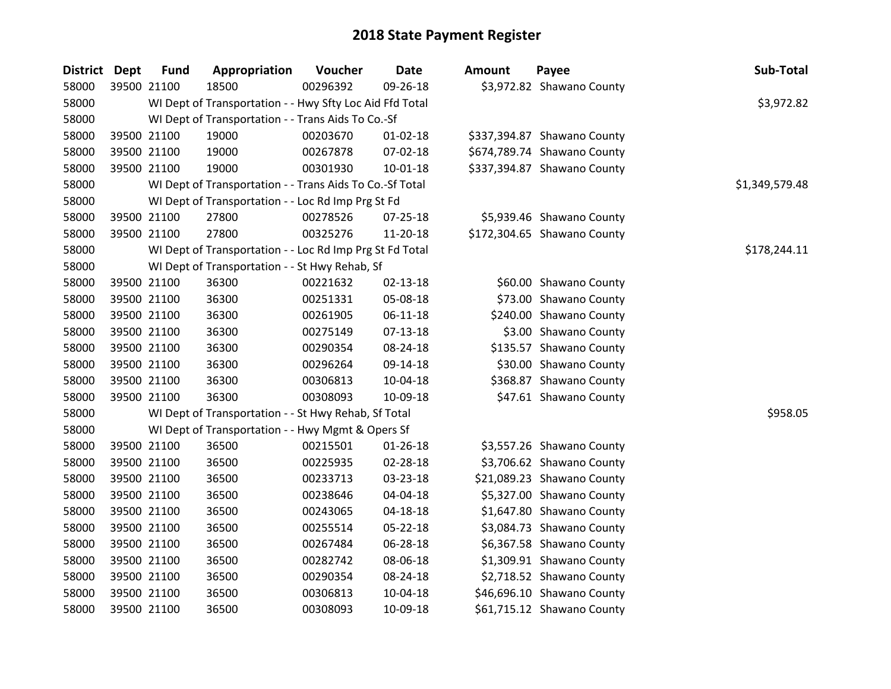| District Dept |             | <b>Fund</b> | Appropriation                                            | Voucher  | Date           | <b>Amount</b> | Payee                       | Sub-Total      |
|---------------|-------------|-------------|----------------------------------------------------------|----------|----------------|---------------|-----------------------------|----------------|
| 58000         | 39500 21100 |             | 18500                                                    | 00296392 | 09-26-18       |               | \$3,972.82 Shawano County   |                |
| 58000         |             |             | WI Dept of Transportation - - Hwy Sfty Loc Aid Ffd Total |          |                |               |                             | \$3,972.82     |
| 58000         |             |             | WI Dept of Transportation - - Trans Aids To Co.-Sf       |          |                |               |                             |                |
| 58000         | 39500 21100 |             | 19000                                                    | 00203670 | 01-02-18       |               | \$337,394.87 Shawano County |                |
| 58000         | 39500 21100 |             | 19000                                                    | 00267878 | 07-02-18       |               | \$674,789.74 Shawano County |                |
| 58000         | 39500 21100 |             | 19000                                                    | 00301930 | $10 - 01 - 18$ |               | \$337,394.87 Shawano County |                |
| 58000         |             |             | WI Dept of Transportation - - Trans Aids To Co.-Sf Total |          |                |               |                             | \$1,349,579.48 |
| 58000         |             |             | WI Dept of Transportation - - Loc Rd Imp Prg St Fd       |          |                |               |                             |                |
| 58000         | 39500 21100 |             | 27800                                                    | 00278526 | 07-25-18       |               | \$5,939.46 Shawano County   |                |
| 58000         | 39500 21100 |             | 27800                                                    | 00325276 | 11-20-18       |               | \$172,304.65 Shawano County |                |
| 58000         |             |             | WI Dept of Transportation - - Loc Rd Imp Prg St Fd Total |          |                |               |                             | \$178,244.11   |
| 58000         |             |             | WI Dept of Transportation - - St Hwy Rehab, Sf           |          |                |               |                             |                |
| 58000         | 39500 21100 |             | 36300                                                    | 00221632 | 02-13-18       |               | \$60.00 Shawano County      |                |
| 58000         | 39500 21100 |             | 36300                                                    | 00251331 | 05-08-18       |               | \$73.00 Shawano County      |                |
| 58000         | 39500 21100 |             | 36300                                                    | 00261905 | $06-11-18$     |               | \$240.00 Shawano County     |                |
| 58000         | 39500 21100 |             | 36300                                                    | 00275149 | 07-13-18       |               | \$3.00 Shawano County       |                |
| 58000         | 39500 21100 |             | 36300                                                    | 00290354 | 08-24-18       |               | \$135.57 Shawano County     |                |
| 58000         | 39500 21100 |             | 36300                                                    | 00296264 | 09-14-18       |               | \$30.00 Shawano County      |                |
| 58000         | 39500 21100 |             | 36300                                                    | 00306813 | 10-04-18       |               | \$368.87 Shawano County     |                |
| 58000         | 39500 21100 |             | 36300                                                    | 00308093 | 10-09-18       |               | \$47.61 Shawano County      |                |
| 58000         |             |             | WI Dept of Transportation - - St Hwy Rehab, Sf Total     |          |                |               |                             | \$958.05       |
| 58000         |             |             | WI Dept of Transportation - - Hwy Mgmt & Opers Sf        |          |                |               |                             |                |
| 58000         | 39500 21100 |             | 36500                                                    | 00215501 | $01 - 26 - 18$ |               | \$3,557.26 Shawano County   |                |
| 58000         | 39500 21100 |             | 36500                                                    | 00225935 | 02-28-18       |               | \$3,706.62 Shawano County   |                |
| 58000         | 39500 21100 |             | 36500                                                    | 00233713 | 03-23-18       |               | \$21,089.23 Shawano County  |                |
| 58000         | 39500 21100 |             | 36500                                                    | 00238646 | 04-04-18       |               | \$5,327.00 Shawano County   |                |
| 58000         | 39500 21100 |             | 36500                                                    | 00243065 | $04 - 18 - 18$ |               | \$1,647.80 Shawano County   |                |
| 58000         | 39500 21100 |             | 36500                                                    | 00255514 | 05-22-18       |               | \$3,084.73 Shawano County   |                |
| 58000         | 39500 21100 |             | 36500                                                    | 00267484 | 06-28-18       |               | \$6,367.58 Shawano County   |                |
| 58000         | 39500 21100 |             | 36500                                                    | 00282742 | 08-06-18       |               | \$1,309.91 Shawano County   |                |
| 58000         | 39500 21100 |             | 36500                                                    | 00290354 | 08-24-18       |               | \$2,718.52 Shawano County   |                |
| 58000         | 39500 21100 |             | 36500                                                    | 00306813 | 10-04-18       |               | \$46,696.10 Shawano County  |                |
| 58000         | 39500 21100 |             | 36500                                                    | 00308093 | 10-09-18       |               | \$61,715.12 Shawano County  |                |

| Amount | Payee                       | Sub-Total      |
|--------|-----------------------------|----------------|
|        | \$3,972.82 Shawano County   |                |
|        |                             | \$3,972.82     |
|        |                             |                |
|        | \$337,394.87 Shawano County |                |
|        | \$674,789.74 Shawano County |                |
|        | \$337,394.87 Shawano County |                |
|        |                             | \$1,349,579.48 |
|        |                             |                |
|        | \$5,939.46 Shawano County   |                |
|        | \$172,304.65 Shawano County |                |
|        |                             | \$178,244.11   |
|        | \$60.00 Shawano County      |                |
|        | \$73.00 Shawano County      |                |
|        | \$240.00 Shawano County     |                |
|        | \$3.00 Shawano County       |                |
|        | \$135.57 Shawano County     |                |
|        | \$30.00 Shawano County      |                |
|        | \$368.87 Shawano County     |                |
|        | \$47.61 Shawano County      |                |
|        |                             | \$958.05       |
|        |                             |                |
|        | \$3,557.26 Shawano County   |                |
|        | \$3,706.62 Shawano County   |                |
|        | \$21,089.23 Shawano County  |                |
|        | \$5,327.00 Shawano County   |                |
|        | \$1,647.80 Shawano County   |                |
|        | \$3,084.73 Shawano County   |                |
|        | \$6,367.58 Shawano County   |                |
|        | \$1,309.91 Shawano County   |                |
|        | \$2,718.52 Shawano County   |                |
|        | \$46,696.10 Shawano County  |                |
|        | \$61,715.12 Shawano County  |                |
|        |                             |                |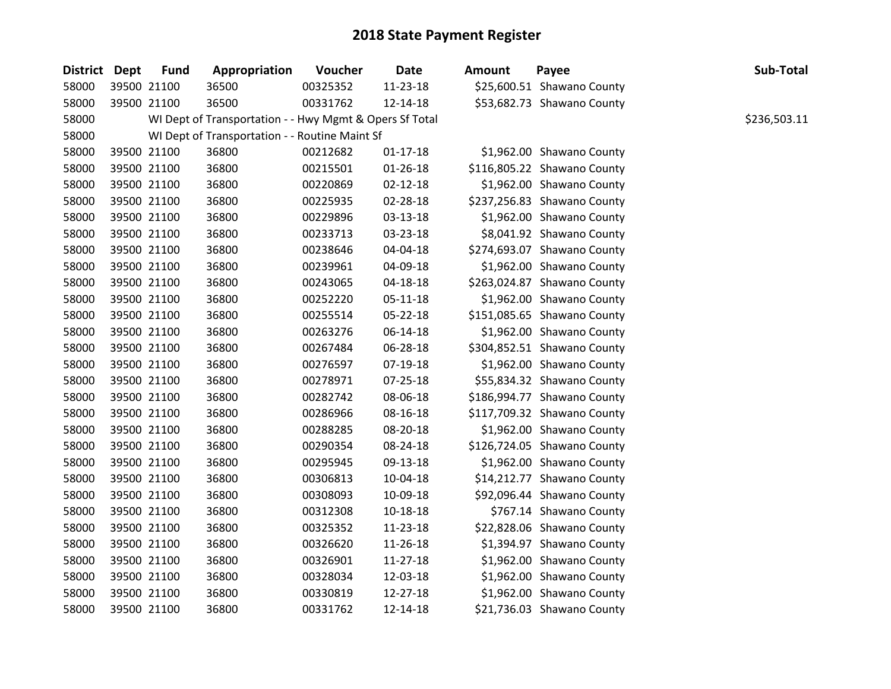| District Dept | <b>Fund</b> | Appropriation                                           | Voucher  | <b>Date</b>    | <b>Amount</b> | Payee                       | Sub-Total    |
|---------------|-------------|---------------------------------------------------------|----------|----------------|---------------|-----------------------------|--------------|
| 58000         | 39500 21100 | 36500                                                   | 00325352 | 11-23-18       |               | \$25,600.51 Shawano County  |              |
| 58000         | 39500 21100 | 36500                                                   | 00331762 | 12-14-18       |               | \$53,682.73 Shawano County  |              |
| 58000         |             | WI Dept of Transportation - - Hwy Mgmt & Opers Sf Total |          |                |               |                             | \$236,503.11 |
| 58000         |             | WI Dept of Transportation - - Routine Maint Sf          |          |                |               |                             |              |
| 58000         | 39500 21100 | 36800                                                   | 00212682 | $01 - 17 - 18$ |               | \$1,962.00 Shawano County   |              |
| 58000         | 39500 21100 | 36800                                                   | 00215501 | $01 - 26 - 18$ |               | \$116,805.22 Shawano County |              |
| 58000         | 39500 21100 | 36800                                                   | 00220869 | $02 - 12 - 18$ |               | \$1,962.00 Shawano County   |              |
| 58000         | 39500 21100 | 36800                                                   | 00225935 | 02-28-18       |               | \$237,256.83 Shawano County |              |
| 58000         | 39500 21100 | 36800                                                   | 00229896 | 03-13-18       |               | \$1,962.00 Shawano County   |              |
| 58000         | 39500 21100 | 36800                                                   | 00233713 | 03-23-18       |               | \$8,041.92 Shawano County   |              |
| 58000         | 39500 21100 | 36800                                                   | 00238646 | 04-04-18       |               | \$274,693.07 Shawano County |              |
| 58000         | 39500 21100 | 36800                                                   | 00239961 | 04-09-18       |               | \$1,962.00 Shawano County   |              |
| 58000         | 39500 21100 | 36800                                                   | 00243065 | 04-18-18       |               | \$263,024.87 Shawano County |              |
| 58000         | 39500 21100 | 36800                                                   | 00252220 | $05 - 11 - 18$ |               | \$1,962.00 Shawano County   |              |
| 58000         | 39500 21100 | 36800                                                   | 00255514 | 05-22-18       |               | \$151,085.65 Shawano County |              |
| 58000         | 39500 21100 | 36800                                                   | 00263276 | 06-14-18       |               | \$1,962.00 Shawano County   |              |
| 58000         | 39500 21100 | 36800                                                   | 00267484 | 06-28-18       |               | \$304,852.51 Shawano County |              |
| 58000         | 39500 21100 | 36800                                                   | 00276597 | 07-19-18       |               | \$1,962.00 Shawano County   |              |
| 58000         | 39500 21100 | 36800                                                   | 00278971 | 07-25-18       |               | \$55,834.32 Shawano County  |              |
| 58000         | 39500 21100 | 36800                                                   | 00282742 | 08-06-18       |               | \$186,994.77 Shawano County |              |
| 58000         | 39500 21100 | 36800                                                   | 00286966 | 08-16-18       |               | \$117,709.32 Shawano County |              |
| 58000         | 39500 21100 | 36800                                                   | 00288285 | 08-20-18       |               | \$1,962.00 Shawano County   |              |
| 58000         | 39500 21100 | 36800                                                   | 00290354 | 08-24-18       |               | \$126,724.05 Shawano County |              |
| 58000         | 39500 21100 | 36800                                                   | 00295945 | 09-13-18       |               | \$1,962.00 Shawano County   |              |
| 58000         | 39500 21100 | 36800                                                   | 00306813 | 10-04-18       |               | \$14,212.77 Shawano County  |              |
| 58000         | 39500 21100 | 36800                                                   | 00308093 | 10-09-18       |               | \$92,096.44 Shawano County  |              |
| 58000         | 39500 21100 | 36800                                                   | 00312308 | $10 - 18 - 18$ |               | \$767.14 Shawano County     |              |
| 58000         | 39500 21100 | 36800                                                   | 00325352 | 11-23-18       |               | \$22,828.06 Shawano County  |              |
| 58000         | 39500 21100 | 36800                                                   | 00326620 | 11-26-18       |               | \$1,394.97 Shawano County   |              |
| 58000         | 39500 21100 | 36800                                                   | 00326901 | 11-27-18       |               | \$1,962.00 Shawano County   |              |
| 58000         | 39500 21100 | 36800                                                   | 00328034 | 12-03-18       |               | \$1,962.00 Shawano County   |              |
| 58000         | 39500 21100 | 36800                                                   | 00330819 | 12-27-18       |               | \$1,962.00 Shawano County   |              |
| 58000         | 39500 21100 | 36800                                                   | 00331762 | 12-14-18       |               | \$21,736.03 Shawano County  |              |
|               |             |                                                         |          |                |               |                             |              |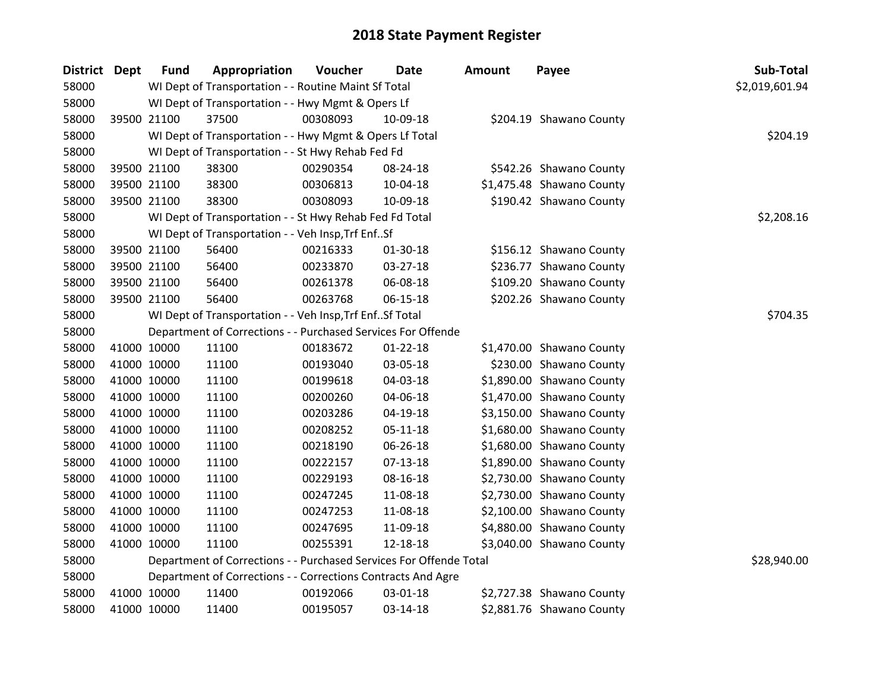| District Dept |             | <b>Fund</b> | Appropriation                                                      | Voucher  | <b>Date</b>    | Amount | Payee                     | Sub-Total      |
|---------------|-------------|-------------|--------------------------------------------------------------------|----------|----------------|--------|---------------------------|----------------|
| 58000         |             |             | WI Dept of Transportation - - Routine Maint Sf Total               |          |                |        |                           | \$2,019,601.94 |
| 58000         |             |             | WI Dept of Transportation - - Hwy Mgmt & Opers Lf                  |          |                |        |                           |                |
| 58000         |             | 39500 21100 | 37500                                                              | 00308093 | 10-09-18       |        | \$204.19 Shawano County   |                |
| 58000         |             |             | WI Dept of Transportation - - Hwy Mgmt & Opers Lf Total            |          |                |        |                           | \$204.19       |
| 58000         |             |             | WI Dept of Transportation - - St Hwy Rehab Fed Fd                  |          |                |        |                           |                |
| 58000         |             | 39500 21100 | 38300                                                              | 00290354 | 08-24-18       |        | \$542.26 Shawano County   |                |
| 58000         |             | 39500 21100 | 38300                                                              | 00306813 | 10-04-18       |        | \$1,475.48 Shawano County |                |
| 58000         |             | 39500 21100 | 38300                                                              | 00308093 | 10-09-18       |        | \$190.42 Shawano County   |                |
| 58000         |             |             | WI Dept of Transportation - - St Hwy Rehab Fed Fd Total            |          |                |        |                           | \$2,208.16     |
| 58000         |             |             | WI Dept of Transportation - - Veh Insp, Trf EnfSf                  |          |                |        |                           |                |
| 58000         |             | 39500 21100 | 56400                                                              | 00216333 | 01-30-18       |        | \$156.12 Shawano County   |                |
| 58000         |             | 39500 21100 | 56400                                                              | 00233870 | 03-27-18       |        | \$236.77 Shawano County   |                |
| 58000         |             | 39500 21100 | 56400                                                              | 00261378 | 06-08-18       |        | \$109.20 Shawano County   |                |
| 58000         |             | 39500 21100 | 56400                                                              | 00263768 | 06-15-18       |        | \$202.26 Shawano County   |                |
| 58000         |             |             | WI Dept of Transportation - - Veh Insp, Trf Enf Sf Total           | \$704.35 |                |        |                           |                |
| 58000         |             |             | Department of Corrections - - Purchased Services For Offende       |          |                |        |                           |                |
| 58000         |             | 41000 10000 | 11100                                                              | 00183672 | $01 - 22 - 18$ |        | \$1,470.00 Shawano County |                |
| 58000         | 41000 10000 |             | 11100                                                              | 00193040 | 03-05-18       |        | \$230.00 Shawano County   |                |
| 58000         |             | 41000 10000 | 11100                                                              | 00199618 | 04-03-18       |        | \$1,890.00 Shawano County |                |
| 58000         |             | 41000 10000 | 11100                                                              | 00200260 | 04-06-18       |        | \$1,470.00 Shawano County |                |
| 58000         |             | 41000 10000 | 11100                                                              | 00203286 | 04-19-18       |        | \$3,150.00 Shawano County |                |
| 58000         | 41000 10000 |             | 11100                                                              | 00208252 | 05-11-18       |        | \$1,680.00 Shawano County |                |
| 58000         | 41000 10000 |             | 11100                                                              | 00218190 | 06-26-18       |        | \$1,680.00 Shawano County |                |
| 58000         |             | 41000 10000 | 11100                                                              | 00222157 | $07-13-18$     |        | \$1,890.00 Shawano County |                |
| 58000         |             | 41000 10000 | 11100                                                              | 00229193 | 08-16-18       |        | \$2,730.00 Shawano County |                |
| 58000         |             | 41000 10000 | 11100                                                              | 00247245 | 11-08-18       |        | \$2,730.00 Shawano County |                |
| 58000         | 41000 10000 |             | 11100                                                              | 00247253 | 11-08-18       |        | \$2,100.00 Shawano County |                |
| 58000         | 41000 10000 |             | 11100                                                              | 00247695 | 11-09-18       |        | \$4,880.00 Shawano County |                |
| 58000         | 41000 10000 |             | 11100                                                              | 00255391 | 12-18-18       |        | \$3,040.00 Shawano County |                |
| 58000         |             |             | Department of Corrections - - Purchased Services For Offende Total |          |                |        |                           | \$28,940.00    |
| 58000         |             |             | Department of Corrections - - Corrections Contracts And Agre       |          |                |        |                           |                |
| 58000         |             | 41000 10000 | 11400                                                              | 00192066 | 03-01-18       |        | \$2,727.38 Shawano County |                |
| 58000         |             | 41000 10000 | 11400                                                              | 00195057 | 03-14-18       |        | \$2,881.76 Shawano County |                |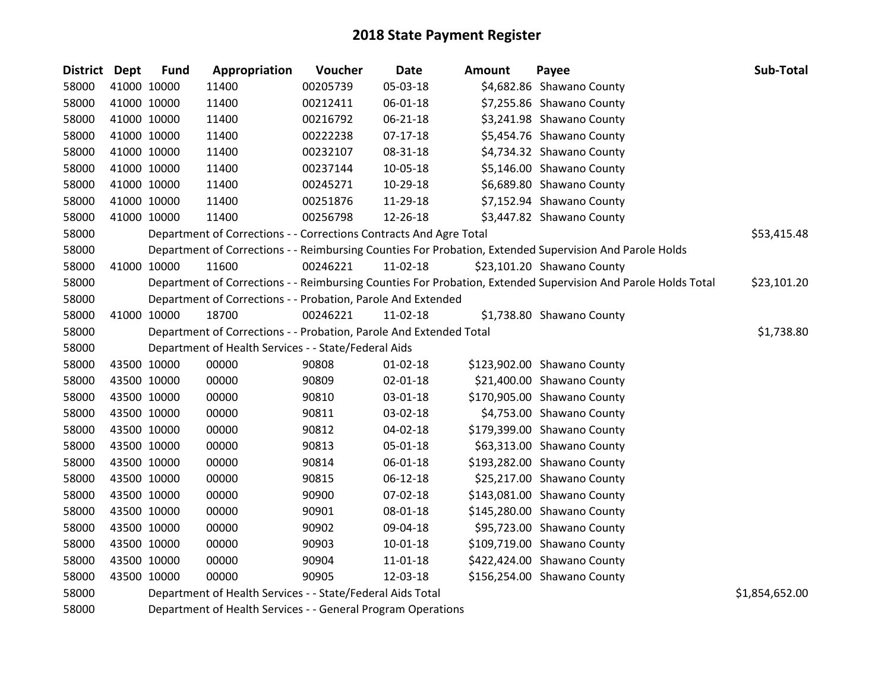| District Dept |             | <b>Fund</b> | Appropriation                                                      | Voucher  | <b>Date</b>    | <b>Amount</b> | Payee                                                                                                         | Sub-Total      |
|---------------|-------------|-------------|--------------------------------------------------------------------|----------|----------------|---------------|---------------------------------------------------------------------------------------------------------------|----------------|
| 58000         | 41000 10000 |             | 11400                                                              | 00205739 | 05-03-18       |               | \$4,682.86 Shawano County                                                                                     |                |
| 58000         | 41000 10000 |             | 11400                                                              | 00212411 | 06-01-18       |               | \$7,255.86 Shawano County                                                                                     |                |
| 58000         | 41000 10000 |             | 11400                                                              | 00216792 | 06-21-18       |               | \$3,241.98 Shawano County                                                                                     |                |
| 58000         | 41000 10000 |             | 11400                                                              | 00222238 | $07 - 17 - 18$ |               | \$5,454.76 Shawano County                                                                                     |                |
| 58000         |             | 41000 10000 | 11400                                                              | 00232107 | 08-31-18       |               | \$4,734.32 Shawano County                                                                                     |                |
| 58000         | 41000 10000 |             | 11400                                                              | 00237144 | 10-05-18       |               | \$5,146.00 Shawano County                                                                                     |                |
| 58000         | 41000 10000 |             | 11400                                                              | 00245271 | 10-29-18       |               | \$6,689.80 Shawano County                                                                                     |                |
| 58000         | 41000 10000 |             | 11400                                                              | 00251876 | 11-29-18       |               | \$7,152.94 Shawano County                                                                                     |                |
| 58000         | 41000 10000 |             | 11400                                                              | 00256798 | 12-26-18       |               | \$3,447.82 Shawano County                                                                                     |                |
| 58000         |             |             | Department of Corrections - - Corrections Contracts And Agre Total |          |                |               |                                                                                                               | \$53,415.48    |
| 58000         |             |             |                                                                    |          |                |               | Department of Corrections - - Reimbursing Counties For Probation, Extended Supervision And Parole Holds       |                |
| 58000         | 41000 10000 |             | 11600                                                              | 00246221 | $11-02-18$     |               | \$23,101.20 Shawano County                                                                                    |                |
| 58000         |             |             |                                                                    |          |                |               | Department of Corrections - - Reimbursing Counties For Probation, Extended Supervision And Parole Holds Total | \$23,101.20    |
| 58000         |             |             | Department of Corrections - - Probation, Parole And Extended       |          |                |               |                                                                                                               |                |
| 58000         | 41000 10000 |             | 18700                                                              | 00246221 | $11-02-18$     |               | \$1,738.80 Shawano County                                                                                     |                |
| 58000         |             |             | Department of Corrections - - Probation, Parole And Extended Total |          |                |               |                                                                                                               | \$1,738.80     |
| 58000         |             |             | Department of Health Services - - State/Federal Aids               |          |                |               |                                                                                                               |                |
| 58000         | 43500 10000 |             | 00000                                                              | 90808    | $01 - 02 - 18$ |               | \$123,902.00 Shawano County                                                                                   |                |
| 58000         | 43500 10000 |             | 00000                                                              | 90809    | 02-01-18       |               | \$21,400.00 Shawano County                                                                                    |                |
| 58000         |             | 43500 10000 | 00000                                                              | 90810    | 03-01-18       |               | \$170,905.00 Shawano County                                                                                   |                |
| 58000         | 43500 10000 |             | 00000                                                              | 90811    | 03-02-18       |               | \$4,753.00 Shawano County                                                                                     |                |
| 58000         | 43500 10000 |             | 00000                                                              | 90812    | 04-02-18       |               | \$179,399.00 Shawano County                                                                                   |                |
| 58000         | 43500 10000 |             | 00000                                                              | 90813    | 05-01-18       |               | \$63,313.00 Shawano County                                                                                    |                |
| 58000         | 43500 10000 |             | 00000                                                              | 90814    | 06-01-18       |               | \$193,282.00 Shawano County                                                                                   |                |
| 58000         | 43500 10000 |             | 00000                                                              | 90815    | $06 - 12 - 18$ |               | \$25,217.00 Shawano County                                                                                    |                |
| 58000         | 43500 10000 |             | 00000                                                              | 90900    | 07-02-18       |               | \$143,081.00 Shawano County                                                                                   |                |
| 58000         |             | 43500 10000 | 00000                                                              | 90901    | 08-01-18       |               | \$145,280.00 Shawano County                                                                                   |                |
| 58000         | 43500 10000 |             | 00000                                                              | 90902    | 09-04-18       |               | \$95,723.00 Shawano County                                                                                    |                |
| 58000         | 43500 10000 |             | 00000                                                              | 90903    | 10-01-18       |               | \$109,719.00 Shawano County                                                                                   |                |
| 58000         | 43500 10000 |             | 00000                                                              | 90904    | 11-01-18       |               | \$422,424.00 Shawano County                                                                                   |                |
| 58000         | 43500 10000 |             | 00000                                                              | 90905    | 12-03-18       |               | \$156,254.00 Shawano County                                                                                   |                |
| 58000         |             |             | Department of Health Services - - State/Federal Aids Total         |          |                |               |                                                                                                               | \$1,854,652.00 |

Department of Health Services - - General Program Operations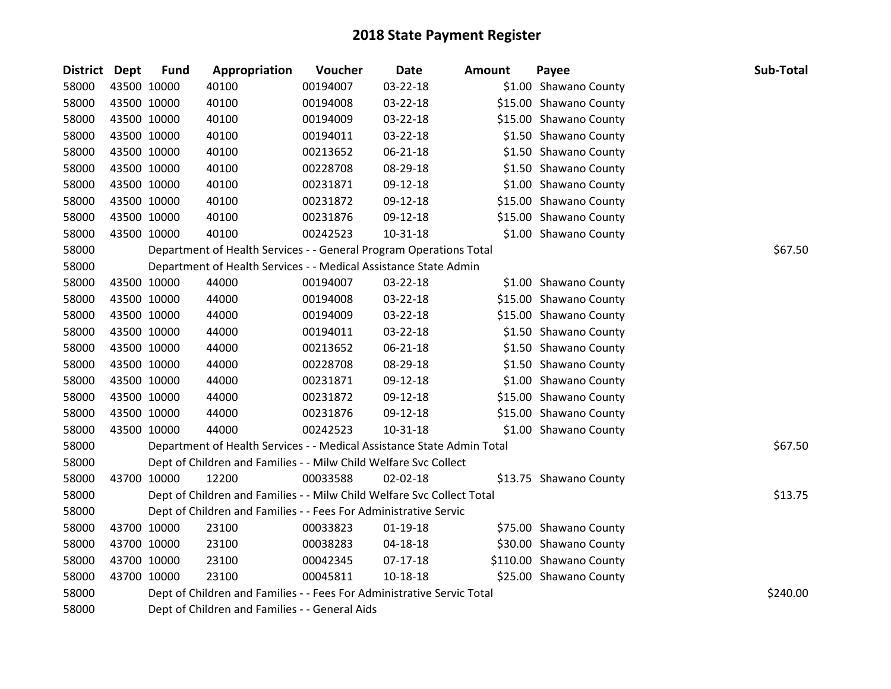| District Dept |             | <b>Fund</b> | Appropriation                                                          | Voucher  | <b>Date</b>    | <b>Amount</b> | Payee                   | Sub-Total |
|---------------|-------------|-------------|------------------------------------------------------------------------|----------|----------------|---------------|-------------------------|-----------|
| 58000         | 43500 10000 |             | 40100                                                                  | 00194007 | 03-22-18       |               | \$1.00 Shawano County   |           |
| 58000         | 43500 10000 |             | 40100                                                                  | 00194008 | 03-22-18       |               | \$15.00 Shawano County  |           |
| 58000         | 43500 10000 |             | 40100                                                                  | 00194009 | 03-22-18       |               | \$15.00 Shawano County  |           |
| 58000         | 43500 10000 |             | 40100                                                                  | 00194011 | 03-22-18       |               | \$1.50 Shawano County   |           |
| 58000         | 43500 10000 |             | 40100                                                                  | 00213652 | 06-21-18       |               | \$1.50 Shawano County   |           |
| 58000         | 43500 10000 |             | 40100                                                                  | 00228708 | 08-29-18       |               | \$1.50 Shawano County   |           |
| 58000         | 43500 10000 |             | 40100                                                                  | 00231871 | 09-12-18       |               | \$1.00 Shawano County   |           |
| 58000         | 43500 10000 |             | 40100                                                                  | 00231872 | 09-12-18       |               | \$15.00 Shawano County  |           |
| 58000         | 43500 10000 |             | 40100                                                                  | 00231876 | 09-12-18       |               | \$15.00 Shawano County  |           |
| 58000         | 43500 10000 |             | 40100                                                                  | 00242523 | $10 - 31 - 18$ |               | \$1.00 Shawano County   |           |
| 58000         |             |             | Department of Health Services - - General Program Operations Total     |          |                |               |                         | \$67.50   |
| 58000         |             |             | Department of Health Services - - Medical Assistance State Admin       |          |                |               |                         |           |
| 58000         | 43500 10000 |             | 44000                                                                  | 00194007 | 03-22-18       |               | \$1.00 Shawano County   |           |
| 58000         | 43500 10000 |             | 44000                                                                  | 00194008 | 03-22-18       |               | \$15.00 Shawano County  |           |
| 58000         | 43500 10000 |             | 44000                                                                  | 00194009 | 03-22-18       |               | \$15.00 Shawano County  |           |
| 58000         | 43500 10000 |             | 44000                                                                  | 00194011 | 03-22-18       |               | \$1.50 Shawano County   |           |
| 58000         | 43500 10000 |             | 44000                                                                  | 00213652 | 06-21-18       |               | \$1.50 Shawano County   |           |
| 58000         | 43500 10000 |             | 44000                                                                  | 00228708 | 08-29-18       |               | \$1.50 Shawano County   |           |
| 58000         | 43500 10000 |             | 44000                                                                  | 00231871 | 09-12-18       |               | \$1.00 Shawano County   |           |
| 58000         | 43500 10000 |             | 44000                                                                  | 00231872 | 09-12-18       |               | \$15.00 Shawano County  |           |
| 58000         | 43500 10000 |             | 44000                                                                  | 00231876 | 09-12-18       |               | \$15.00 Shawano County  |           |
| 58000         | 43500 10000 |             | 44000                                                                  | 00242523 | $10 - 31 - 18$ |               | \$1.00 Shawano County   |           |
| 58000         |             |             | Department of Health Services - - Medical Assistance State Admin Total |          |                |               |                         | \$67.50   |
| 58000         |             |             | Dept of Children and Families - - Milw Child Welfare Svc Collect       |          |                |               |                         |           |
| 58000         | 43700 10000 |             | 12200                                                                  | 00033588 | 02-02-18       |               | \$13.75 Shawano County  |           |
| 58000         |             |             | Dept of Children and Families - - Milw Child Welfare Svc Collect Total |          |                |               |                         | \$13.75   |
| 58000         |             |             | Dept of Children and Families - - Fees For Administrative Servic       |          |                |               |                         |           |
| 58000         | 43700 10000 |             | 23100                                                                  | 00033823 | $01 - 19 - 18$ |               | \$75.00 Shawano County  |           |
| 58000         | 43700 10000 |             | 23100                                                                  | 00038283 | 04-18-18       |               | \$30.00 Shawano County  |           |
| 58000         | 43700 10000 |             | 23100                                                                  | 00042345 | $07-17-18$     |               | \$110.00 Shawano County |           |
| 58000         | 43700 10000 |             | 23100                                                                  | 00045811 | 10-18-18       |               | \$25.00 Shawano County  |           |
| 58000         |             |             | Dept of Children and Families - - Fees For Administrative Servic Total |          |                |               |                         | \$240.00  |
| 58000         |             |             | Dept of Children and Families - - General Aids                         |          |                |               |                         |           |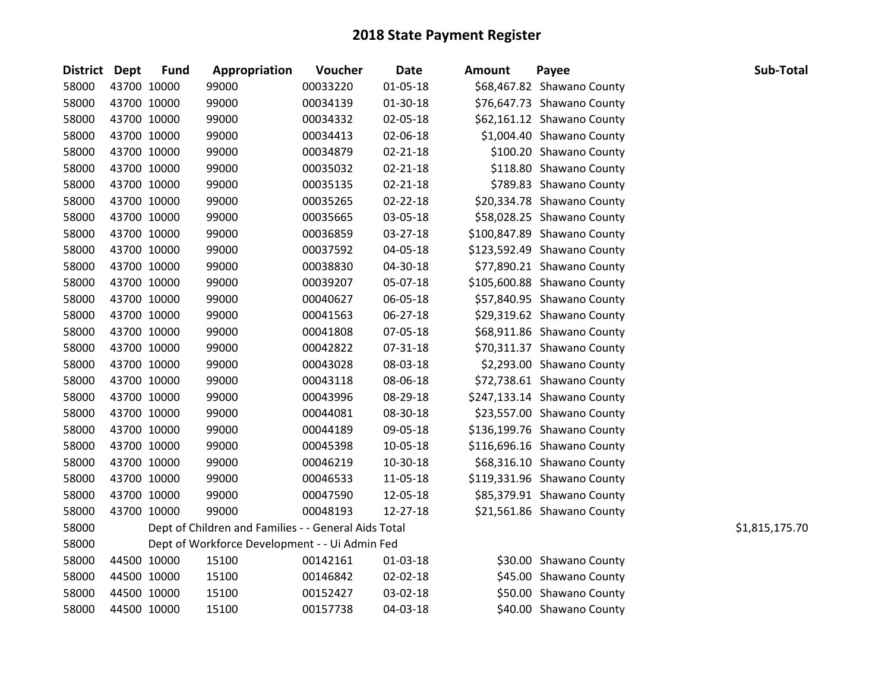| District Dept |             | <b>Fund</b> | Appropriation                                        | <b>Voucher</b> | <b>Date</b>    | <b>Amount</b> | Payee                       | Sub-Total      |
|---------------|-------------|-------------|------------------------------------------------------|----------------|----------------|---------------|-----------------------------|----------------|
| 58000         | 43700 10000 |             | 99000                                                | 00033220       | 01-05-18       |               | \$68,467.82 Shawano County  |                |
| 58000         |             | 43700 10000 | 99000                                                | 00034139       | 01-30-18       |               | \$76,647.73 Shawano County  |                |
| 58000         |             | 43700 10000 | 99000                                                | 00034332       | 02-05-18       |               | \$62,161.12 Shawano County  |                |
| 58000         |             | 43700 10000 | 99000                                                | 00034413       | 02-06-18       |               | \$1,004.40 Shawano County   |                |
| 58000         | 43700 10000 |             | 99000                                                | 00034879       | $02 - 21 - 18$ |               | \$100.20 Shawano County     |                |
| 58000         |             | 43700 10000 | 99000                                                | 00035032       | 02-21-18       |               | \$118.80 Shawano County     |                |
| 58000         |             | 43700 10000 | 99000                                                | 00035135       | $02 - 21 - 18$ |               | \$789.83 Shawano County     |                |
| 58000         |             | 43700 10000 | 99000                                                | 00035265       | $02 - 22 - 18$ |               | \$20,334.78 Shawano County  |                |
| 58000         |             | 43700 10000 | 99000                                                | 00035665       | 03-05-18       |               | \$58,028.25 Shawano County  |                |
| 58000         | 43700 10000 |             | 99000                                                | 00036859       | 03-27-18       |               | \$100,847.89 Shawano County |                |
| 58000         | 43700 10000 |             | 99000                                                | 00037592       | 04-05-18       |               | \$123,592.49 Shawano County |                |
| 58000         |             | 43700 10000 | 99000                                                | 00038830       | 04-30-18       |               | \$77,890.21 Shawano County  |                |
| 58000         |             | 43700 10000 | 99000                                                | 00039207       | 05-07-18       |               | \$105,600.88 Shawano County |                |
| 58000         |             | 43700 10000 | 99000                                                | 00040627       | 06-05-18       |               | \$57,840.95 Shawano County  |                |
| 58000         | 43700 10000 |             | 99000                                                | 00041563       | 06-27-18       |               | \$29,319.62 Shawano County  |                |
| 58000         | 43700 10000 |             | 99000                                                | 00041808       | 07-05-18       |               | \$68,911.86 Shawano County  |                |
| 58000         |             | 43700 10000 | 99000                                                | 00042822       | 07-31-18       |               | \$70,311.37 Shawano County  |                |
| 58000         |             | 43700 10000 | 99000                                                | 00043028       | 08-03-18       |               | \$2,293.00 Shawano County   |                |
| 58000         |             | 43700 10000 | 99000                                                | 00043118       | 08-06-18       |               | \$72,738.61 Shawano County  |                |
| 58000         |             | 43700 10000 | 99000                                                | 00043996       | 08-29-18       |               | \$247,133.14 Shawano County |                |
| 58000         | 43700 10000 |             | 99000                                                | 00044081       | 08-30-18       |               | \$23,557.00 Shawano County  |                |
| 58000         |             | 43700 10000 | 99000                                                | 00044189       | 09-05-18       |               | \$136,199.76 Shawano County |                |
| 58000         |             | 43700 10000 | 99000                                                | 00045398       | 10-05-18       |               | \$116,696.16 Shawano County |                |
| 58000         |             | 43700 10000 | 99000                                                | 00046219       | 10-30-18       |               | \$68,316.10 Shawano County  |                |
| 58000         | 43700 10000 |             | 99000                                                | 00046533       | 11-05-18       |               | \$119,331.96 Shawano County |                |
| 58000         | 43700 10000 |             | 99000                                                | 00047590       | 12-05-18       |               | \$85,379.91 Shawano County  |                |
| 58000         |             | 43700 10000 | 99000                                                | 00048193       | 12-27-18       |               | \$21,561.86 Shawano County  |                |
| 58000         |             |             | Dept of Children and Families - - General Aids Total |                |                |               |                             | \$1,815,175.70 |
| 58000         |             |             | Dept of Workforce Development - - Ui Admin Fed       |                |                |               |                             |                |
| 58000         |             | 44500 10000 | 15100                                                | 00142161       | 01-03-18       |               | \$30.00 Shawano County      |                |
| 58000         | 44500 10000 |             | 15100                                                | 00146842       | 02-02-18       |               | \$45.00 Shawano County      |                |
| 58000         |             | 44500 10000 | 15100                                                | 00152427       | 03-02-18       |               | \$50.00 Shawano County      |                |
| 58000         |             | 44500 10000 | 15100                                                | 00157738       | 04-03-18       |               | \$40.00 Shawano County      |                |
|               |             |             |                                                      |                |                |               |                             |                |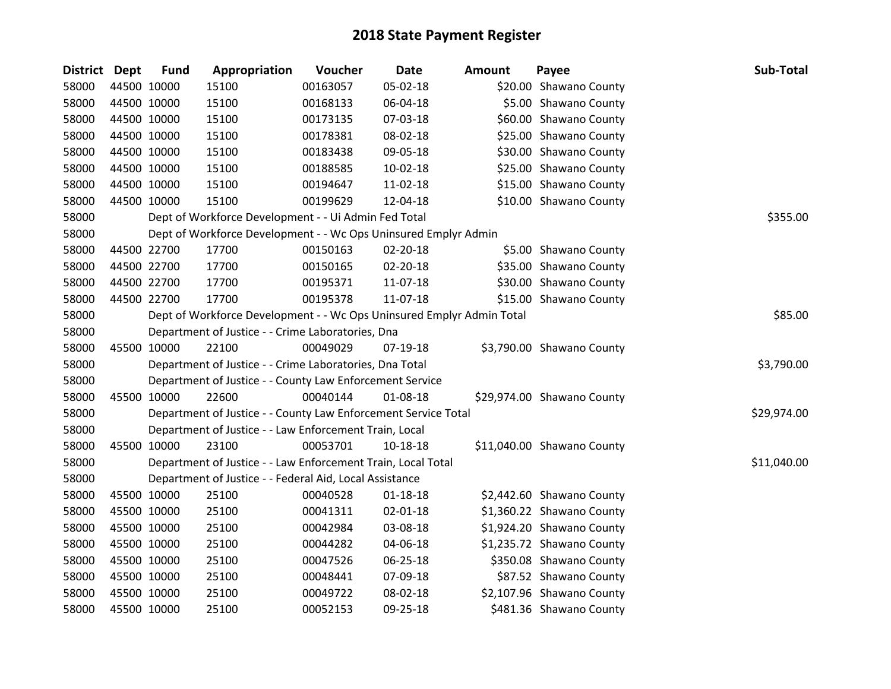| District Dept |             | <b>Fund</b> | Appropriation                                                         | Voucher  | <b>Date</b>    | <b>Amount</b> | Payee                      | Sub-Total   |
|---------------|-------------|-------------|-----------------------------------------------------------------------|----------|----------------|---------------|----------------------------|-------------|
| 58000         | 44500 10000 |             | 15100                                                                 | 00163057 | 05-02-18       |               | \$20.00 Shawano County     |             |
| 58000         | 44500 10000 |             | 15100                                                                 | 00168133 | 06-04-18       |               | \$5.00 Shawano County      |             |
| 58000         | 44500 10000 |             | 15100                                                                 | 00173135 | 07-03-18       |               | \$60.00 Shawano County     |             |
| 58000         | 44500 10000 |             | 15100                                                                 | 00178381 | 08-02-18       |               | \$25.00 Shawano County     |             |
| 58000         | 44500 10000 |             | 15100                                                                 | 00183438 | 09-05-18       |               | \$30.00 Shawano County     |             |
| 58000         | 44500 10000 |             | 15100                                                                 | 00188585 | $10-02-18$     |               | \$25.00 Shawano County     |             |
| 58000         | 44500 10000 |             | 15100                                                                 | 00194647 | 11-02-18       |               | \$15.00 Shawano County     |             |
| 58000         | 44500 10000 |             | 15100                                                                 | 00199629 | 12-04-18       |               | \$10.00 Shawano County     |             |
| 58000         |             |             | Dept of Workforce Development - - Ui Admin Fed Total                  |          |                |               |                            | \$355.00    |
| 58000         |             |             | Dept of Workforce Development - - Wc Ops Uninsured Emplyr Admin       |          |                |               |                            |             |
| 58000         | 44500 22700 |             | 17700                                                                 | 00150163 | 02-20-18       |               | \$5.00 Shawano County      |             |
| 58000         | 44500 22700 |             | 17700                                                                 | 00150165 | 02-20-18       |               | \$35.00 Shawano County     |             |
| 58000         | 44500 22700 |             | 17700                                                                 | 00195371 | 11-07-18       |               | \$30.00 Shawano County     |             |
| 58000         | 44500 22700 |             | 17700                                                                 | 00195378 | 11-07-18       |               | \$15.00 Shawano County     |             |
| 58000         |             |             | Dept of Workforce Development - - Wc Ops Uninsured Emplyr Admin Total |          |                |               |                            | \$85.00     |
| 58000         |             |             | Department of Justice - - Crime Laboratories, Dna                     |          |                |               |                            |             |
| 58000         | 45500 10000 |             | 22100                                                                 | 00049029 | 07-19-18       |               | \$3,790.00 Shawano County  |             |
| 58000         |             |             | Department of Justice - - Crime Laboratories, Dna Total               |          |                |               |                            | \$3,790.00  |
| 58000         |             |             | Department of Justice - - County Law Enforcement Service              |          |                |               |                            |             |
| 58000         | 45500 10000 |             | 22600                                                                 | 00040144 | 01-08-18       |               | \$29,974.00 Shawano County |             |
| 58000         |             |             | Department of Justice - - County Law Enforcement Service Total        |          |                |               |                            | \$29,974.00 |
| 58000         |             |             | Department of Justice - - Law Enforcement Train, Local                |          |                |               |                            |             |
| 58000         | 45500 10000 |             | 23100                                                                 | 00053701 | 10-18-18       |               | \$11,040.00 Shawano County |             |
| 58000         |             |             | Department of Justice - - Law Enforcement Train, Local Total          |          |                |               |                            | \$11,040.00 |
| 58000         |             |             | Department of Justice - - Federal Aid, Local Assistance               |          |                |               |                            |             |
| 58000         | 45500 10000 |             | 25100                                                                 | 00040528 | $01 - 18 - 18$ |               | \$2,442.60 Shawano County  |             |
| 58000         | 45500 10000 |             | 25100                                                                 | 00041311 | 02-01-18       |               | \$1,360.22 Shawano County  |             |
| 58000         | 45500 10000 |             | 25100                                                                 | 00042984 | 03-08-18       |               | \$1,924.20 Shawano County  |             |
| 58000         | 45500 10000 |             | 25100                                                                 | 00044282 | 04-06-18       |               | \$1,235.72 Shawano County  |             |
| 58000         | 45500 10000 |             | 25100                                                                 | 00047526 | 06-25-18       |               | \$350.08 Shawano County    |             |
| 58000         | 45500 10000 |             | 25100                                                                 | 00048441 | 07-09-18       |               | \$87.52 Shawano County     |             |
| 58000         | 45500 10000 |             | 25100                                                                 | 00049722 | 08-02-18       |               | \$2,107.96 Shawano County  |             |
| 58000         | 45500 10000 |             | 25100                                                                 | 00052153 | 09-25-18       |               | \$481.36 Shawano County    |             |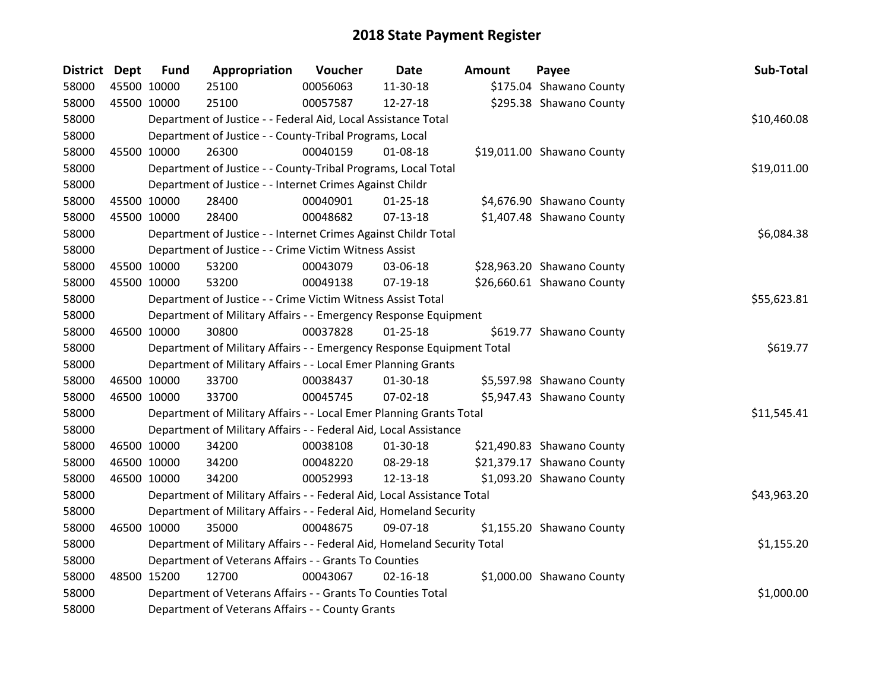| District Dept |             | <b>Fund</b> | Appropriation                                                           | Voucher  | Date           | <b>Amount</b> | Payee                      | Sub-Total   |
|---------------|-------------|-------------|-------------------------------------------------------------------------|----------|----------------|---------------|----------------------------|-------------|
| 58000         | 45500 10000 |             | 25100                                                                   | 00056063 | 11-30-18       |               | \$175.04 Shawano County    |             |
| 58000         |             | 45500 10000 | 25100                                                                   | 00057587 | 12-27-18       |               | \$295.38 Shawano County    |             |
| 58000         |             |             | Department of Justice - - Federal Aid, Local Assistance Total           |          |                |               |                            | \$10,460.08 |
| 58000         |             |             | Department of Justice - - County-Tribal Programs, Local                 |          |                |               |                            |             |
| 58000         |             | 45500 10000 | 26300                                                                   | 00040159 | 01-08-18       |               | \$19,011.00 Shawano County |             |
| 58000         |             |             | Department of Justice - - County-Tribal Programs, Local Total           |          |                |               |                            | \$19,011.00 |
| 58000         |             |             | Department of Justice - - Internet Crimes Against Childr                |          |                |               |                            |             |
| 58000         |             | 45500 10000 | 28400                                                                   | 00040901 | $01 - 25 - 18$ |               | \$4,676.90 Shawano County  |             |
| 58000         |             | 45500 10000 | 28400                                                                   | 00048682 | $07-13-18$     |               | \$1,407.48 Shawano County  |             |
| 58000         |             |             | Department of Justice - - Internet Crimes Against Childr Total          |          |                |               |                            | \$6,084.38  |
| 58000         |             |             | Department of Justice - - Crime Victim Witness Assist                   |          |                |               |                            |             |
| 58000         |             | 45500 10000 | 53200                                                                   | 00043079 | 03-06-18       |               | \$28,963.20 Shawano County |             |
| 58000         |             | 45500 10000 | 53200                                                                   | 00049138 | 07-19-18       |               | \$26,660.61 Shawano County |             |
| 58000         |             |             | Department of Justice - - Crime Victim Witness Assist Total             |          |                |               |                            | \$55,623.81 |
| 58000         |             |             | Department of Military Affairs - - Emergency Response Equipment         |          |                |               |                            |             |
| 58000         |             | 46500 10000 | 30800                                                                   | 00037828 | $01 - 25 - 18$ |               | \$619.77 Shawano County    |             |
| 58000         |             |             | Department of Military Affairs - - Emergency Response Equipment Total   |          |                |               |                            | \$619.77    |
| 58000         |             |             | Department of Military Affairs - - Local Emer Planning Grants           |          |                |               |                            |             |
| 58000         |             | 46500 10000 | 33700                                                                   | 00038437 | 01-30-18       |               | \$5,597.98 Shawano County  |             |
| 58000         |             | 46500 10000 | 33700                                                                   | 00045745 | $07 - 02 - 18$ |               | \$5,947.43 Shawano County  |             |
| 58000         |             |             | Department of Military Affairs - - Local Emer Planning Grants Total     |          |                |               |                            | \$11,545.41 |
| 58000         |             |             | Department of Military Affairs - - Federal Aid, Local Assistance        |          |                |               |                            |             |
| 58000         |             | 46500 10000 | 34200                                                                   | 00038108 | $01 - 30 - 18$ |               | \$21,490.83 Shawano County |             |
| 58000         |             | 46500 10000 | 34200                                                                   | 00048220 | 08-29-18       |               | \$21,379.17 Shawano County |             |
| 58000         |             | 46500 10000 | 34200                                                                   | 00052993 | 12-13-18       |               | \$1,093.20 Shawano County  |             |
| 58000         |             |             | Department of Military Affairs - - Federal Aid, Local Assistance Total  |          |                |               |                            | \$43,963.20 |
| 58000         |             |             | Department of Military Affairs - - Federal Aid, Homeland Security       |          |                |               |                            |             |
| 58000         |             | 46500 10000 | 35000                                                                   | 00048675 | 09-07-18       |               | \$1,155.20 Shawano County  |             |
| 58000         |             |             | Department of Military Affairs - - Federal Aid, Homeland Security Total |          |                |               |                            | \$1,155.20  |
| 58000         |             |             | Department of Veterans Affairs - - Grants To Counties                   |          |                |               |                            |             |
| 58000         |             | 48500 15200 | 12700                                                                   | 00043067 | $02 - 16 - 18$ |               | \$1,000.00 Shawano County  |             |
| 58000         |             |             | Department of Veterans Affairs - - Grants To Counties Total             |          |                |               |                            | \$1,000.00  |
| 58000         |             |             | Department of Veterans Affairs - - County Grants                        |          |                |               |                            |             |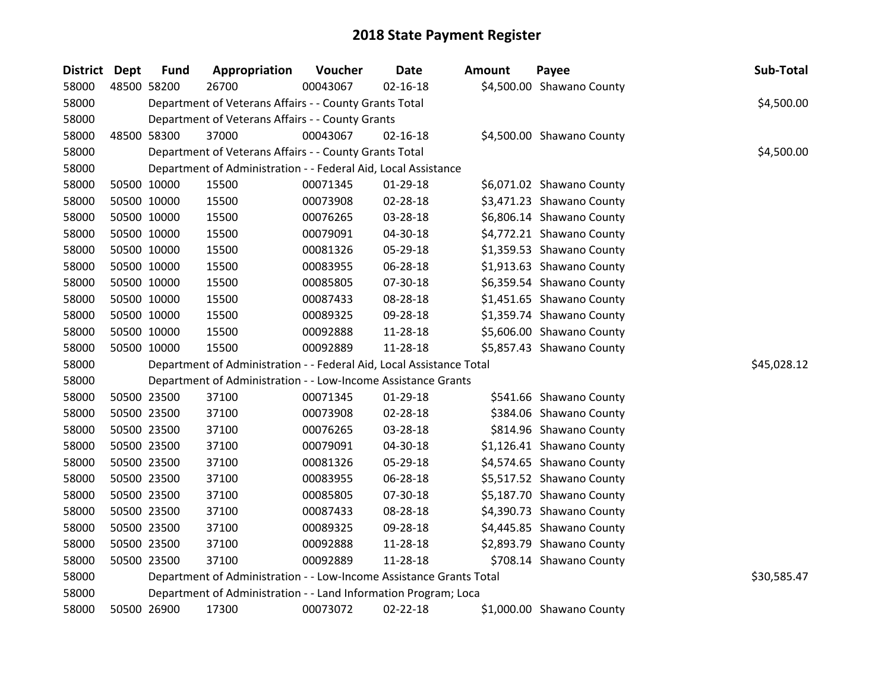| <b>District</b> | <b>Dept</b> | <b>Fund</b> | Appropriation                                                        | Voucher  | <b>Date</b>    | <b>Amount</b> | Payee                     | Sub-Total   |
|-----------------|-------------|-------------|----------------------------------------------------------------------|----------|----------------|---------------|---------------------------|-------------|
| 58000           |             | 48500 58200 | 26700                                                                | 00043067 | $02 - 16 - 18$ |               | \$4,500.00 Shawano County |             |
| 58000           |             |             | Department of Veterans Affairs - - County Grants Total               |          |                |               |                           | \$4,500.00  |
| 58000           |             |             | Department of Veterans Affairs - - County Grants                     |          |                |               |                           |             |
| 58000           |             | 48500 58300 | 37000                                                                | 00043067 | $02 - 16 - 18$ |               | \$4,500.00 Shawano County |             |
| 58000           |             |             | Department of Veterans Affairs - - County Grants Total               |          |                |               |                           | \$4,500.00  |
| 58000           |             |             | Department of Administration - - Federal Aid, Local Assistance       |          |                |               |                           |             |
| 58000           |             | 50500 10000 | 15500                                                                | 00071345 | $01-29-18$     |               | \$6,071.02 Shawano County |             |
| 58000           |             | 50500 10000 | 15500                                                                | 00073908 | 02-28-18       |               | \$3,471.23 Shawano County |             |
| 58000           |             | 50500 10000 | 15500                                                                | 00076265 | 03-28-18       |               | \$6,806.14 Shawano County |             |
| 58000           |             | 50500 10000 | 15500                                                                | 00079091 | 04-30-18       |               | \$4,772.21 Shawano County |             |
| 58000           |             | 50500 10000 | 15500                                                                | 00081326 | 05-29-18       |               | \$1,359.53 Shawano County |             |
| 58000           |             | 50500 10000 | 15500                                                                | 00083955 | 06-28-18       |               | \$1,913.63 Shawano County |             |
| 58000           |             | 50500 10000 | 15500                                                                | 00085805 | 07-30-18       |               | \$6,359.54 Shawano County |             |
| 58000           |             | 50500 10000 | 15500                                                                | 00087433 | 08-28-18       |               | \$1,451.65 Shawano County |             |
| 58000           |             | 50500 10000 | 15500                                                                | 00089325 | 09-28-18       |               | \$1,359.74 Shawano County |             |
| 58000           |             | 50500 10000 | 15500                                                                | 00092888 | 11-28-18       |               | \$5,606.00 Shawano County |             |
| 58000           |             | 50500 10000 | 15500                                                                | 00092889 | 11-28-18       |               | \$5,857.43 Shawano County |             |
| 58000           |             |             | Department of Administration - - Federal Aid, Local Assistance Total |          |                |               |                           | \$45,028.12 |
| 58000           |             |             | Department of Administration - - Low-Income Assistance Grants        |          |                |               |                           |             |
| 58000           |             | 50500 23500 | 37100                                                                | 00071345 | 01-29-18       |               | \$541.66 Shawano County   |             |
| 58000           |             | 50500 23500 | 37100                                                                | 00073908 | 02-28-18       |               | \$384.06 Shawano County   |             |
| 58000           |             | 50500 23500 | 37100                                                                | 00076265 | 03-28-18       |               | \$814.96 Shawano County   |             |
| 58000           |             | 50500 23500 | 37100                                                                | 00079091 | 04-30-18       |               | \$1,126.41 Shawano County |             |
| 58000           |             | 50500 23500 | 37100                                                                | 00081326 | 05-29-18       |               | \$4,574.65 Shawano County |             |
| 58000           |             | 50500 23500 | 37100                                                                | 00083955 | 06-28-18       |               | \$5,517.52 Shawano County |             |
| 58000           |             | 50500 23500 | 37100                                                                | 00085805 | 07-30-18       |               | \$5,187.70 Shawano County |             |
| 58000           |             | 50500 23500 | 37100                                                                | 00087433 | 08-28-18       |               | \$4,390.73 Shawano County |             |
| 58000           |             | 50500 23500 | 37100                                                                | 00089325 | 09-28-18       |               | \$4,445.85 Shawano County |             |
| 58000           |             | 50500 23500 | 37100                                                                | 00092888 | 11-28-18       |               | \$2,893.79 Shawano County |             |
| 58000           |             | 50500 23500 | 37100                                                                | 00092889 | 11-28-18       |               | \$708.14 Shawano County   |             |
| 58000           |             |             | Department of Administration - - Low-Income Assistance Grants Total  |          |                |               |                           | \$30,585.47 |
| 58000           |             |             | Department of Administration - - Land Information Program; Loca      |          |                |               |                           |             |
| 58000           |             | 50500 26900 | 17300                                                                | 00073072 | $02 - 22 - 18$ |               | \$1,000.00 Shawano County |             |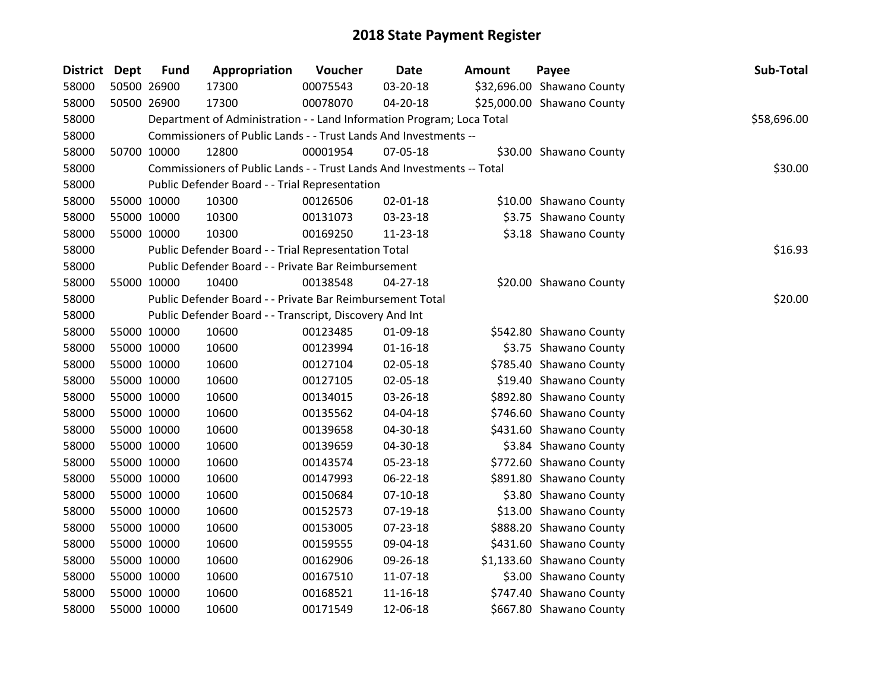| District Dept |             | <b>Fund</b> | Appropriation                                                          | Voucher  | <b>Date</b>    | <b>Amount</b> | Payee                      | Sub-Total   |
|---------------|-------------|-------------|------------------------------------------------------------------------|----------|----------------|---------------|----------------------------|-------------|
| 58000         | 50500 26900 |             | 17300                                                                  | 00075543 | 03-20-18       |               | \$32,696.00 Shawano County |             |
| 58000         |             | 50500 26900 | 17300                                                                  | 00078070 | 04-20-18       |               | \$25,000.00 Shawano County |             |
| 58000         |             |             | Department of Administration - - Land Information Program; Loca Total  |          |                |               |                            | \$58,696.00 |
| 58000         |             |             | Commissioners of Public Lands - - Trust Lands And Investments --       |          |                |               |                            |             |
| 58000         |             | 50700 10000 | 12800                                                                  | 00001954 | 07-05-18       |               | \$30.00 Shawano County     |             |
| 58000         |             |             | Commissioners of Public Lands - - Trust Lands And Investments -- Total |          |                |               |                            | \$30.00     |
| 58000         |             |             | Public Defender Board - - Trial Representation                         |          |                |               |                            |             |
| 58000         |             | 55000 10000 | 10300                                                                  | 00126506 | $02 - 01 - 18$ |               | \$10.00 Shawano County     |             |
| 58000         |             | 55000 10000 | 10300                                                                  | 00131073 | 03-23-18       |               | \$3.75 Shawano County      |             |
| 58000         |             | 55000 10000 | 10300                                                                  | 00169250 | 11-23-18       |               | \$3.18 Shawano County      |             |
| 58000         |             |             | Public Defender Board - - Trial Representation Total                   |          |                |               |                            | \$16.93     |
| 58000         |             |             | Public Defender Board - - Private Bar Reimbursement                    |          |                |               |                            |             |
| 58000         |             | 55000 10000 | 10400                                                                  | 00138548 | $04 - 27 - 18$ |               | \$20.00 Shawano County     |             |
| 58000         |             |             | Public Defender Board - - Private Bar Reimbursement Total              |          |                |               |                            | \$20.00     |
| 58000         |             |             | Public Defender Board - - Transcript, Discovery And Int                |          |                |               |                            |             |
| 58000         |             | 55000 10000 | 10600                                                                  | 00123485 | 01-09-18       |               | \$542.80 Shawano County    |             |
| 58000         |             | 55000 10000 | 10600                                                                  | 00123994 | $01 - 16 - 18$ |               | \$3.75 Shawano County      |             |
| 58000         |             | 55000 10000 | 10600                                                                  | 00127104 | 02-05-18       |               | \$785.40 Shawano County    |             |
| 58000         |             | 55000 10000 | 10600                                                                  | 00127105 | 02-05-18       |               | \$19.40 Shawano County     |             |
| 58000         |             | 55000 10000 | 10600                                                                  | 00134015 | 03-26-18       |               | \$892.80 Shawano County    |             |
| 58000         |             | 55000 10000 | 10600                                                                  | 00135562 | 04-04-18       |               | \$746.60 Shawano County    |             |
| 58000         |             | 55000 10000 | 10600                                                                  | 00139658 | 04-30-18       |               | \$431.60 Shawano County    |             |
| 58000         |             | 55000 10000 | 10600                                                                  | 00139659 | 04-30-18       |               | \$3.84 Shawano County      |             |
| 58000         | 55000 10000 |             | 10600                                                                  | 00143574 | 05-23-18       |               | \$772.60 Shawano County    |             |
| 58000         |             | 55000 10000 | 10600                                                                  | 00147993 | 06-22-18       |               | \$891.80 Shawano County    |             |
| 58000         |             | 55000 10000 | 10600                                                                  | 00150684 | $07-10-18$     |               | \$3.80 Shawano County      |             |
| 58000         |             | 55000 10000 | 10600                                                                  | 00152573 | $07-19-18$     |               | \$13.00 Shawano County     |             |
| 58000         |             | 55000 10000 | 10600                                                                  | 00153005 | 07-23-18       |               | \$888.20 Shawano County    |             |
| 58000         |             | 55000 10000 | 10600                                                                  | 00159555 | 09-04-18       |               | \$431.60 Shawano County    |             |
| 58000         |             | 55000 10000 | 10600                                                                  | 00162906 | 09-26-18       |               | \$1,133.60 Shawano County  |             |
| 58000         |             | 55000 10000 | 10600                                                                  | 00167510 | 11-07-18       |               | \$3.00 Shawano County      |             |
| 58000         |             | 55000 10000 | 10600                                                                  | 00168521 | $11 - 16 - 18$ |               | \$747.40 Shawano County    |             |
| 58000         |             | 55000 10000 | 10600                                                                  | 00171549 | 12-06-18       |               | \$667.80 Shawano County    |             |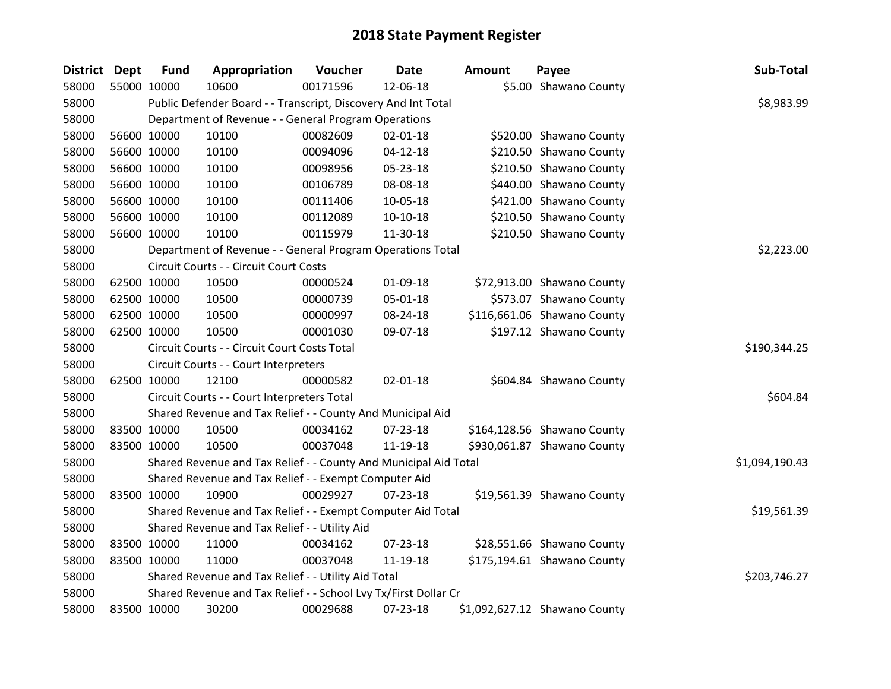| District Dept | <b>Fund</b> | Appropriation                                                    | Voucher  | <b>Date</b>    | <b>Amount</b> | Payee                         | Sub-Total      |
|---------------|-------------|------------------------------------------------------------------|----------|----------------|---------------|-------------------------------|----------------|
| 58000         | 55000 10000 | 10600                                                            | 00171596 | 12-06-18       |               | \$5.00 Shawano County         |                |
| 58000         |             | Public Defender Board - - Transcript, Discovery And Int Total    |          |                |               |                               | \$8,983.99     |
| 58000         |             | Department of Revenue - - General Program Operations             |          |                |               |                               |                |
| 58000         | 56600 10000 | 10100                                                            | 00082609 | 02-01-18       |               | \$520.00 Shawano County       |                |
| 58000         | 56600 10000 | 10100                                                            | 00094096 | $04 - 12 - 18$ |               | \$210.50 Shawano County       |                |
| 58000         | 56600 10000 | 10100                                                            | 00098956 | 05-23-18       |               | \$210.50 Shawano County       |                |
| 58000         | 56600 10000 | 10100                                                            | 00106789 | 08-08-18       |               | \$440.00 Shawano County       |                |
| 58000         | 56600 10000 | 10100                                                            | 00111406 | 10-05-18       |               | \$421.00 Shawano County       |                |
| 58000         | 56600 10000 | 10100                                                            | 00112089 | 10-10-18       |               | \$210.50 Shawano County       |                |
| 58000         | 56600 10000 | 10100                                                            | 00115979 | 11-30-18       |               | \$210.50 Shawano County       |                |
| 58000         |             | Department of Revenue - - General Program Operations Total       |          |                |               |                               | \$2,223.00     |
| 58000         |             | Circuit Courts - - Circuit Court Costs                           |          |                |               |                               |                |
| 58000         | 62500 10000 | 10500                                                            | 00000524 | 01-09-18       |               | \$72,913.00 Shawano County    |                |
| 58000         | 62500 10000 | 10500                                                            | 00000739 | 05-01-18       |               | \$573.07 Shawano County       |                |
| 58000         | 62500 10000 | 10500                                                            | 00000997 | 08-24-18       |               | \$116,661.06 Shawano County   |                |
| 58000         | 62500 10000 | 10500                                                            | 00001030 | 09-07-18       |               | \$197.12 Shawano County       |                |
| 58000         |             | Circuit Courts - - Circuit Court Costs Total                     |          |                |               |                               | \$190,344.25   |
| 58000         |             | Circuit Courts - - Court Interpreters                            |          |                |               |                               |                |
| 58000         | 62500 10000 | 12100                                                            | 00000582 | 02-01-18       |               | \$604.84 Shawano County       |                |
| 58000         |             | Circuit Courts - - Court Interpreters Total                      |          |                |               |                               | \$604.84       |
| 58000         |             | Shared Revenue and Tax Relief - - County And Municipal Aid       |          |                |               |                               |                |
| 58000         | 83500 10000 | 10500                                                            | 00034162 | 07-23-18       |               | \$164,128.56 Shawano County   |                |
| 58000         | 83500 10000 | 10500                                                            | 00037048 | 11-19-18       |               | \$930,061.87 Shawano County   |                |
| 58000         |             | Shared Revenue and Tax Relief - - County And Municipal Aid Total |          |                |               |                               | \$1,094,190.43 |
| 58000         |             | Shared Revenue and Tax Relief - - Exempt Computer Aid            |          |                |               |                               |                |
| 58000         | 83500 10000 | 10900                                                            | 00029927 | $07 - 23 - 18$ |               | \$19,561.39 Shawano County    |                |
| 58000         |             | Shared Revenue and Tax Relief - - Exempt Computer Aid Total      |          |                |               |                               | \$19,561.39    |
| 58000         |             | Shared Revenue and Tax Relief - - Utility Aid                    |          |                |               |                               |                |
| 58000         | 83500 10000 | 11000                                                            | 00034162 | 07-23-18       |               | \$28,551.66 Shawano County    |                |
| 58000         | 83500 10000 | 11000                                                            | 00037048 | 11-19-18       |               | \$175,194.61 Shawano County   |                |
| 58000         |             | Shared Revenue and Tax Relief - - Utility Aid Total              |          |                |               |                               | \$203,746.27   |
| 58000         |             | Shared Revenue and Tax Relief - - School Lvy Tx/First Dollar Cr  |          |                |               |                               |                |
| 58000         | 83500 10000 | 30200                                                            | 00029688 | 07-23-18       |               | \$1,092,627.12 Shawano County |                |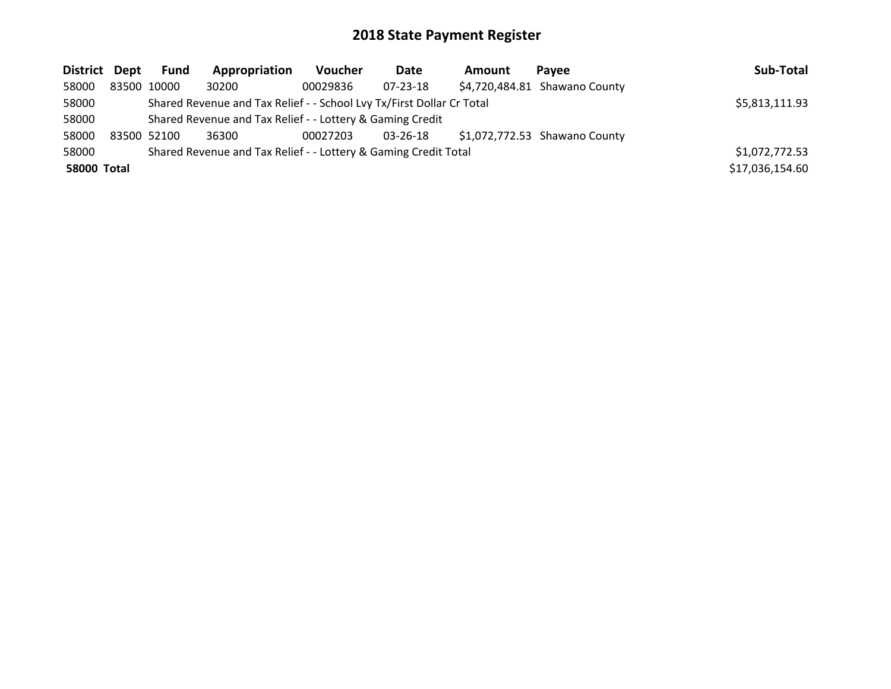| District Dept      | <b>Fund</b> | Appropriation                                                         | <b>Voucher</b> | Date           | <b>Amount</b> | Pavee                         | Sub-Total       |
|--------------------|-------------|-----------------------------------------------------------------------|----------------|----------------|---------------|-------------------------------|-----------------|
| 58000              | 83500 10000 | 30200                                                                 | 00029836       | $07 - 23 - 18$ |               | \$4,720,484.81 Shawano County |                 |
| 58000              |             | Shared Revenue and Tax Relief - - School Lvy Tx/First Dollar Cr Total |                |                |               |                               | \$5,813,111.93  |
| 58000              |             | Shared Revenue and Tax Relief - - Lottery & Gaming Credit             |                |                |               |                               |                 |
| 58000              | 83500 52100 | 36300                                                                 | 00027203       | 03-26-18       |               | \$1,072,772.53 Shawano County |                 |
| 58000              |             | Shared Revenue and Tax Relief - - Lottery & Gaming Credit Total       |                |                |               |                               | \$1,072,772.53  |
| <b>58000 Total</b> |             |                                                                       |                |                |               |                               | \$17,036,154.60 |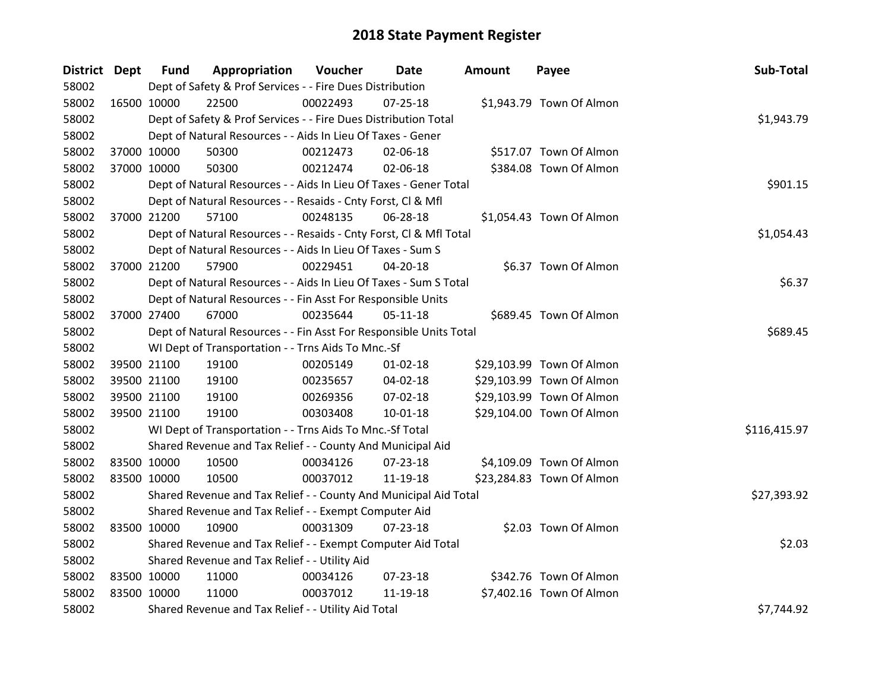| District Dept |             | <b>Fund</b> | Appropriation                                                      | Voucher  | Date           | <b>Amount</b> | Payee                     | Sub-Total    |  |  |
|---------------|-------------|-------------|--------------------------------------------------------------------|----------|----------------|---------------|---------------------------|--------------|--|--|
| 58002         |             |             | Dept of Safety & Prof Services - - Fire Dues Distribution          |          |                |               |                           |              |  |  |
| 58002         | 16500 10000 |             | 22500                                                              | 00022493 | 07-25-18       |               | \$1,943.79 Town Of Almon  |              |  |  |
| 58002         |             |             | Dept of Safety & Prof Services - - Fire Dues Distribution Total    |          |                |               |                           | \$1,943.79   |  |  |
| 58002         |             |             | Dept of Natural Resources - - Aids In Lieu Of Taxes - Gener        |          |                |               |                           |              |  |  |
| 58002         |             | 37000 10000 | 50300                                                              | 00212473 | 02-06-18       |               | \$517.07 Town Of Almon    |              |  |  |
| 58002         | 37000 10000 |             | 50300                                                              | 00212474 | 02-06-18       |               | \$384.08 Town Of Almon    |              |  |  |
| 58002         |             |             | Dept of Natural Resources - - Aids In Lieu Of Taxes - Gener Total  |          |                |               |                           | \$901.15     |  |  |
| 58002         |             |             | Dept of Natural Resources - - Resaids - Cnty Forst, CI & Mfl       |          |                |               |                           |              |  |  |
| 58002         | 37000 21200 |             | 57100                                                              | 00248135 | 06-28-18       |               | \$1,054.43 Town Of Almon  |              |  |  |
| 58002         |             |             | Dept of Natural Resources - - Resaids - Cnty Forst, CI & Mfl Total |          |                |               |                           | \$1,054.43   |  |  |
| 58002         |             |             | Dept of Natural Resources - - Aids In Lieu Of Taxes - Sum S        |          |                |               |                           |              |  |  |
| 58002         |             | 37000 21200 | 57900                                                              | 00229451 | 04-20-18       |               | \$6.37 Town Of Almon      |              |  |  |
| 58002         |             |             | Dept of Natural Resources - - Aids In Lieu Of Taxes - Sum S Total  |          |                |               |                           | \$6.37       |  |  |
| 58002         |             |             | Dept of Natural Resources - - Fin Asst For Responsible Units       |          |                |               |                           |              |  |  |
| 58002         | 37000 27400 |             | 67000                                                              | 00235644 | $05 - 11 - 18$ |               | \$689.45 Town Of Almon    |              |  |  |
| 58002         |             |             | Dept of Natural Resources - - Fin Asst For Responsible Units Total |          |                |               |                           | \$689.45     |  |  |
| 58002         |             |             | WI Dept of Transportation - - Trns Aids To Mnc.-Sf                 |          |                |               |                           |              |  |  |
| 58002         |             | 39500 21100 | 19100                                                              | 00205149 | $01 - 02 - 18$ |               | \$29,103.99 Town Of Almon |              |  |  |
| 58002         |             | 39500 21100 | 19100                                                              | 00235657 | $04 - 02 - 18$ |               | \$29,103.99 Town Of Almon |              |  |  |
| 58002         |             | 39500 21100 | 19100                                                              | 00269356 | 07-02-18       |               | \$29,103.99 Town Of Almon |              |  |  |
| 58002         |             | 39500 21100 | 19100                                                              | 00303408 | $10-01-18$     |               | \$29,104.00 Town Of Almon |              |  |  |
| 58002         |             |             | WI Dept of Transportation - - Trns Aids To Mnc.-Sf Total           |          |                |               |                           | \$116,415.97 |  |  |
| 58002         |             |             | Shared Revenue and Tax Relief - - County And Municipal Aid         |          |                |               |                           |              |  |  |
| 58002         |             | 83500 10000 | 10500                                                              | 00034126 | 07-23-18       |               | \$4,109.09 Town Of Almon  |              |  |  |
| 58002         | 83500 10000 |             | 10500                                                              | 00037012 | 11-19-18       |               | \$23,284.83 Town Of Almon |              |  |  |
| 58002         |             |             | Shared Revenue and Tax Relief - - County And Municipal Aid Total   |          |                |               |                           | \$27,393.92  |  |  |
| 58002         |             |             | Shared Revenue and Tax Relief - - Exempt Computer Aid              |          |                |               |                           |              |  |  |
| 58002         | 83500 10000 |             | 10900                                                              | 00031309 | $07 - 23 - 18$ |               | \$2.03 Town Of Almon      |              |  |  |
| 58002         |             |             | Shared Revenue and Tax Relief - - Exempt Computer Aid Total        |          |                |               |                           | \$2.03       |  |  |
| 58002         |             |             | Shared Revenue and Tax Relief - - Utility Aid                      |          |                |               |                           |              |  |  |
| 58002         | 83500 10000 |             | 11000                                                              | 00034126 | 07-23-18       |               | \$342.76 Town Of Almon    |              |  |  |
| 58002         | 83500 10000 |             | 11000                                                              | 00037012 | 11-19-18       |               | \$7,402.16 Town Of Almon  |              |  |  |
| 58002         |             |             | Shared Revenue and Tax Relief - - Utility Aid Total                |          |                |               |                           | \$7,744.92   |  |  |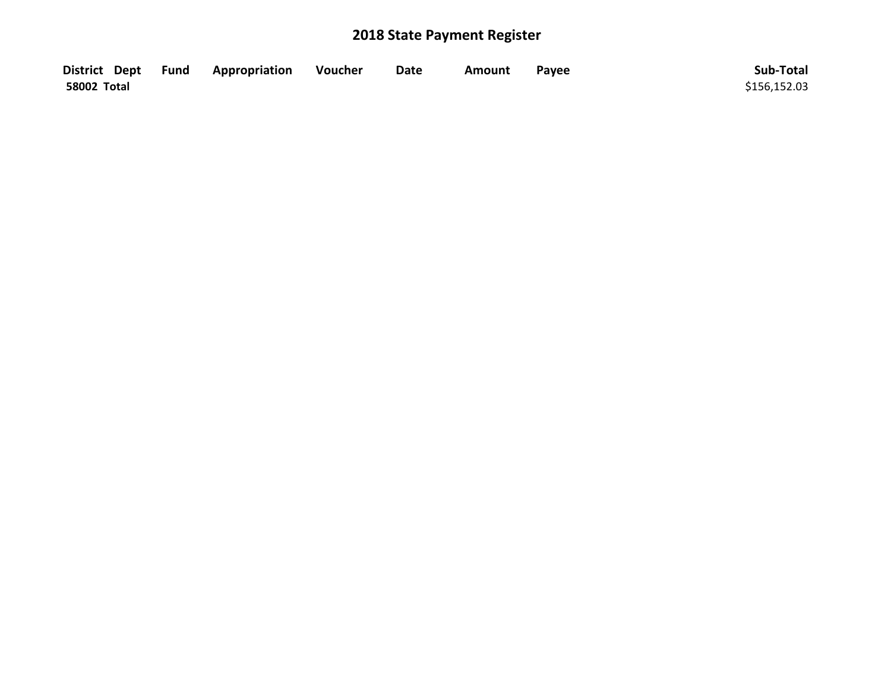|             | District Dept Fund Appropriation | Voucher | <b>Date</b> | Amount | Payee | Sub-Total    |
|-------------|----------------------------------|---------|-------------|--------|-------|--------------|
| 58002 Total |                                  |         |             |        |       | \$156,152.03 |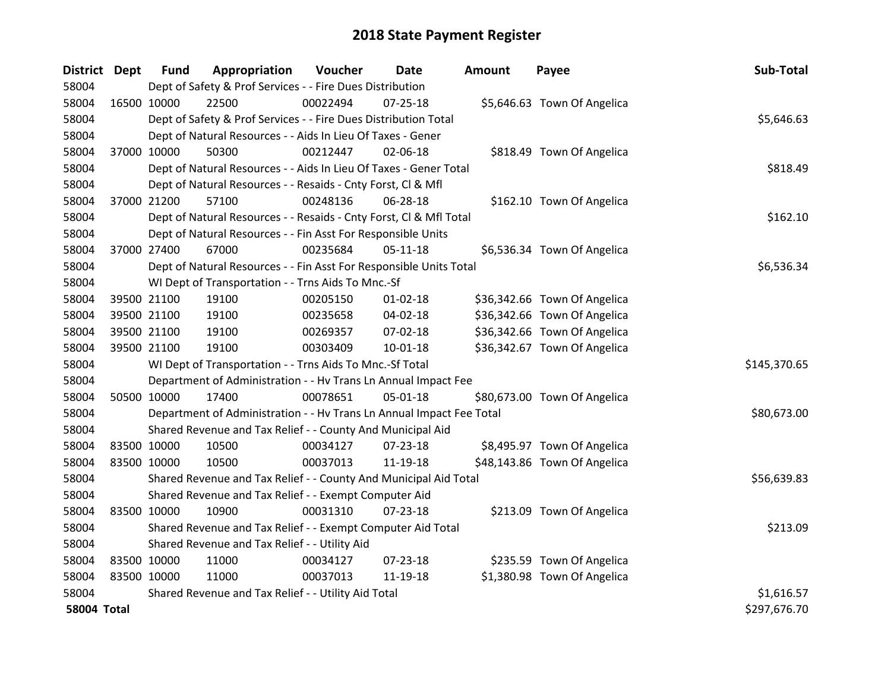| District Dept      |             | <b>Fund</b> | Appropriation                                                        | Voucher  | Date           | <b>Amount</b> | Payee                        | Sub-Total    |
|--------------------|-------------|-------------|----------------------------------------------------------------------|----------|----------------|---------------|------------------------------|--------------|
| 58004              |             |             | Dept of Safety & Prof Services - - Fire Dues Distribution            |          |                |               |                              |              |
| 58004              | 16500 10000 |             | 22500                                                                | 00022494 | $07 - 25 - 18$ |               | \$5,646.63 Town Of Angelica  |              |
| 58004              |             |             | Dept of Safety & Prof Services - - Fire Dues Distribution Total      |          |                |               |                              | \$5,646.63   |
| 58004              |             |             | Dept of Natural Resources - - Aids In Lieu Of Taxes - Gener          |          |                |               |                              |              |
| 58004              | 37000 10000 |             | 50300                                                                | 00212447 | 02-06-18       |               | \$818.49 Town Of Angelica    |              |
| 58004              |             |             | Dept of Natural Resources - - Aids In Lieu Of Taxes - Gener Total    |          | \$818.49       |               |                              |              |
| 58004              |             |             | Dept of Natural Resources - - Resaids - Cnty Forst, Cl & Mfl         |          |                |               |                              |              |
| 58004              | 37000 21200 |             | 57100                                                                | 00248136 | 06-28-18       |               | \$162.10 Town Of Angelica    |              |
| 58004              |             |             | Dept of Natural Resources - - Resaids - Cnty Forst, CI & Mfl Total   |          |                |               |                              | \$162.10     |
| 58004              |             |             | Dept of Natural Resources - - Fin Asst For Responsible Units         |          |                |               |                              |              |
| 58004              | 37000 27400 |             | 67000                                                                | 00235684 | $05-11-18$     |               | \$6,536.34 Town Of Angelica  |              |
| 58004              |             |             | Dept of Natural Resources - - Fin Asst For Responsible Units Total   |          |                |               |                              | \$6,536.34   |
| 58004              |             |             | WI Dept of Transportation - - Trns Aids To Mnc.-Sf                   |          |                |               |                              |              |
| 58004              | 39500 21100 |             | 19100                                                                | 00205150 | $01 - 02 - 18$ |               | \$36,342.66 Town Of Angelica |              |
| 58004              | 39500 21100 |             | 19100                                                                | 00235658 | 04-02-18       |               | \$36,342.66 Town Of Angelica |              |
| 58004              | 39500 21100 |             | 19100                                                                | 00269357 | 07-02-18       |               | \$36,342.66 Town Of Angelica |              |
| 58004              | 39500 21100 |             | 19100                                                                | 00303409 | $10 - 01 - 18$ |               | \$36,342.67 Town Of Angelica |              |
| 58004              |             |             | WI Dept of Transportation - - Trns Aids To Mnc.-Sf Total             |          |                |               |                              | \$145,370.65 |
| 58004              |             |             | Department of Administration - - Hv Trans Ln Annual Impact Fee       |          |                |               |                              |              |
| 58004              | 50500 10000 |             | 17400                                                                | 00078651 | 05-01-18       |               | \$80,673.00 Town Of Angelica |              |
| 58004              |             |             | Department of Administration - - Hv Trans Ln Annual Impact Fee Total |          |                |               |                              | \$80,673.00  |
| 58004              |             |             | Shared Revenue and Tax Relief - - County And Municipal Aid           |          |                |               |                              |              |
| 58004              | 83500 10000 |             | 10500                                                                | 00034127 | $07 - 23 - 18$ |               | \$8,495.97 Town Of Angelica  |              |
| 58004              | 83500 10000 |             | 10500                                                                | 00037013 | 11-19-18       |               | \$48,143.86 Town Of Angelica |              |
| 58004              |             |             | Shared Revenue and Tax Relief - - County And Municipal Aid Total     |          |                |               |                              | \$56,639.83  |
| 58004              |             |             | Shared Revenue and Tax Relief - - Exempt Computer Aid                |          |                |               |                              |              |
| 58004              | 83500 10000 |             | 10900                                                                | 00031310 | $07 - 23 - 18$ |               | \$213.09 Town Of Angelica    |              |
| 58004              |             |             | Shared Revenue and Tax Relief - - Exempt Computer Aid Total          |          |                |               |                              | \$213.09     |
| 58004              |             |             | Shared Revenue and Tax Relief - - Utility Aid                        |          |                |               |                              |              |
| 58004              | 83500 10000 |             | 11000                                                                | 00034127 | $07 - 23 - 18$ |               | \$235.59 Town Of Angelica    |              |
| 58004              | 83500 10000 |             | 11000                                                                | 00037013 | 11-19-18       |               | \$1,380.98 Town Of Angelica  |              |
| 58004              |             |             | Shared Revenue and Tax Relief - - Utility Aid Total                  |          |                |               |                              | \$1,616.57   |
| <b>58004 Total</b> |             |             |                                                                      |          |                |               |                              | \$297,676.70 |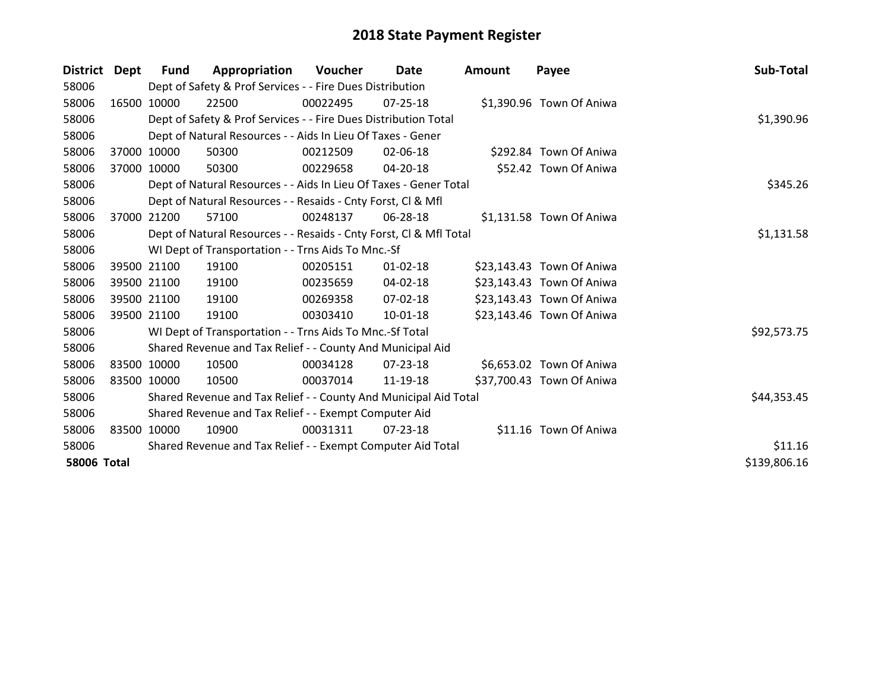| <b>District</b>    | Dept        | <b>Fund</b> | Appropriation                                                      | Voucher  | Date           | <b>Amount</b> | Payee                     | Sub-Total    |
|--------------------|-------------|-------------|--------------------------------------------------------------------|----------|----------------|---------------|---------------------------|--------------|
| 58006              |             |             | Dept of Safety & Prof Services - - Fire Dues Distribution          |          |                |               |                           |              |
| 58006              |             | 16500 10000 | 22500                                                              | 00022495 | $07 - 25 - 18$ |               | \$1,390.96 Town Of Aniwa  |              |
| 58006              |             |             | Dept of Safety & Prof Services - - Fire Dues Distribution Total    |          |                |               |                           | \$1,390.96   |
| 58006              |             |             | Dept of Natural Resources - - Aids In Lieu Of Taxes - Gener        |          |                |               |                           |              |
| 58006              | 37000       | 10000       | 50300                                                              | 00212509 | 02-06-18       |               | \$292.84 Town Of Aniwa    |              |
| 58006              | 37000 10000 |             | 50300                                                              | 00229658 | 04-20-18       |               | \$52.42 Town Of Aniwa     |              |
| 58006              |             |             | Dept of Natural Resources - - Aids In Lieu Of Taxes - Gener Total  |          |                |               |                           | \$345.26     |
| 58006              |             |             | Dept of Natural Resources - - Resaids - Cnty Forst, CI & Mfl       |          |                |               |                           |              |
| 58006              | 37000       | 21200       | 57100                                                              | 00248137 | 06-28-18       |               | \$1,131.58 Town Of Aniwa  |              |
| 58006              |             |             | Dept of Natural Resources - - Resaids - Cnty Forst, Cl & Mfl Total |          |                |               |                           | \$1,131.58   |
| 58006              |             |             | WI Dept of Transportation - - Trns Aids To Mnc.-Sf                 |          |                |               |                           |              |
| 58006              |             | 39500 21100 | 19100                                                              | 00205151 | $01 - 02 - 18$ |               | \$23,143.43 Town Of Aniwa |              |
| 58006              |             | 39500 21100 | 19100                                                              | 00235659 | 04-02-18       |               | \$23,143.43 Town Of Aniwa |              |
| 58006              |             | 39500 21100 | 19100                                                              | 00269358 | 07-02-18       |               | \$23,143.43 Town Of Aniwa |              |
| 58006              |             | 39500 21100 | 19100                                                              | 00303410 | 10-01-18       |               | \$23,143.46 Town Of Aniwa |              |
| 58006              |             |             | WI Dept of Transportation - - Trns Aids To Mnc.-Sf Total           |          |                |               |                           | \$92,573.75  |
| 58006              |             |             | Shared Revenue and Tax Relief - - County And Municipal Aid         |          |                |               |                           |              |
| 58006              | 83500 10000 |             | 10500                                                              | 00034128 | 07-23-18       |               | \$6,653.02 Town Of Aniwa  |              |
| 58006              | 83500 10000 |             | 10500                                                              | 00037014 | 11-19-18       |               | \$37,700.43 Town Of Aniwa |              |
| 58006              |             |             | Shared Revenue and Tax Relief - - County And Municipal Aid Total   |          |                |               |                           | \$44,353.45  |
| 58006              |             |             | Shared Revenue and Tax Relief - - Exempt Computer Aid              |          |                |               |                           |              |
| 58006              | 83500 10000 |             | 10900                                                              | 00031311 | $07 - 23 - 18$ |               | \$11.16 Town Of Aniwa     |              |
| 58006              |             |             | Shared Revenue and Tax Relief - - Exempt Computer Aid Total        |          |                |               |                           | \$11.16      |
| <b>58006 Total</b> |             |             |                                                                    |          |                |               |                           | \$139,806.16 |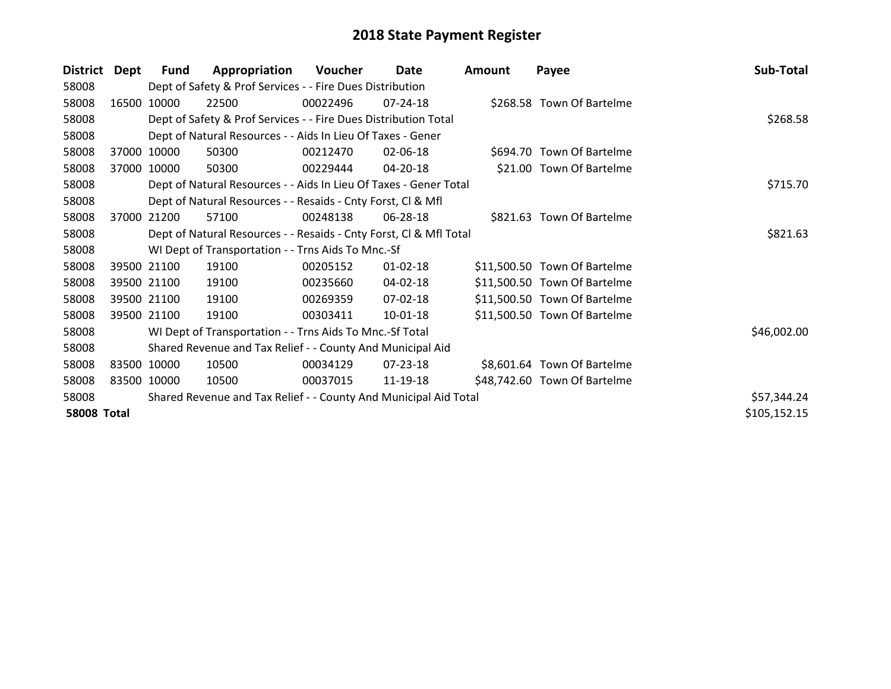| <b>District</b>    | Dept  | Fund        | Appropriation                                                      | Voucher  | Date           | <b>Amount</b> | Payee                        | Sub-Total    |
|--------------------|-------|-------------|--------------------------------------------------------------------|----------|----------------|---------------|------------------------------|--------------|
| 58008              |       |             | Dept of Safety & Prof Services - - Fire Dues Distribution          |          |                |               |                              |              |
| 58008              | 16500 | 10000       | 22500                                                              | 00022496 | $07 - 24 - 18$ |               | \$268.58 Town Of Bartelme    |              |
| 58008              |       |             | Dept of Safety & Prof Services - - Fire Dues Distribution Total    |          |                |               |                              | \$268.58     |
| 58008              |       |             | Dept of Natural Resources - - Aids In Lieu Of Taxes - Gener        |          |                |               |                              |              |
| 58008              | 37000 | 10000       | 50300                                                              | 00212470 | 02-06-18       |               | \$694.70 Town Of Bartelme    |              |
| 58008              | 37000 | 10000       | 50300                                                              | 00229444 | 04-20-18       |               | \$21.00 Town Of Bartelme     |              |
| 58008              |       |             | Dept of Natural Resources - - Aids In Lieu Of Taxes - Gener Total  |          | \$715.70       |               |                              |              |
| 58008              |       |             | Dept of Natural Resources - - Resaids - Cnty Forst, Cl & Mfl       |          |                |               |                              |              |
| 58008              | 37000 | 21200       | 57100                                                              | 00248138 | 06-28-18       |               | \$821.63 Town Of Bartelme    |              |
| 58008              |       |             | Dept of Natural Resources - - Resaids - Cnty Forst, CI & Mfl Total |          |                |               |                              | \$821.63     |
| 58008              |       |             | WI Dept of Transportation - - Trns Aids To Mnc.-Sf                 |          |                |               |                              |              |
| 58008              |       | 39500 21100 | 19100                                                              | 00205152 | $01 - 02 - 18$ |               | \$11,500.50 Town Of Bartelme |              |
| 58008              |       | 39500 21100 | 19100                                                              | 00235660 | 04-02-18       |               | \$11,500.50 Town Of Bartelme |              |
| 58008              |       | 39500 21100 | 19100                                                              | 00269359 | 07-02-18       |               | \$11,500.50 Town Of Bartelme |              |
| 58008              |       | 39500 21100 | 19100                                                              | 00303411 | 10-01-18       |               | \$11,500.50 Town Of Bartelme |              |
| 58008              |       |             | WI Dept of Transportation - - Trns Aids To Mnc.-Sf Total           |          |                |               |                              | \$46,002.00  |
| 58008              |       |             | Shared Revenue and Tax Relief - - County And Municipal Aid         |          |                |               |                              |              |
| 58008              |       | 83500 10000 | 10500                                                              | 00034129 | 07-23-18       |               | \$8,601.64 Town Of Bartelme  |              |
| 58008              |       | 83500 10000 | 10500                                                              | 00037015 | 11-19-18       |               | \$48,742.60 Town Of Bartelme |              |
| 58008              |       |             | Shared Revenue and Tax Relief - - County And Municipal Aid Total   |          |                |               |                              | \$57,344.24  |
| <b>58008 Total</b> |       |             |                                                                    |          |                |               |                              | \$105,152.15 |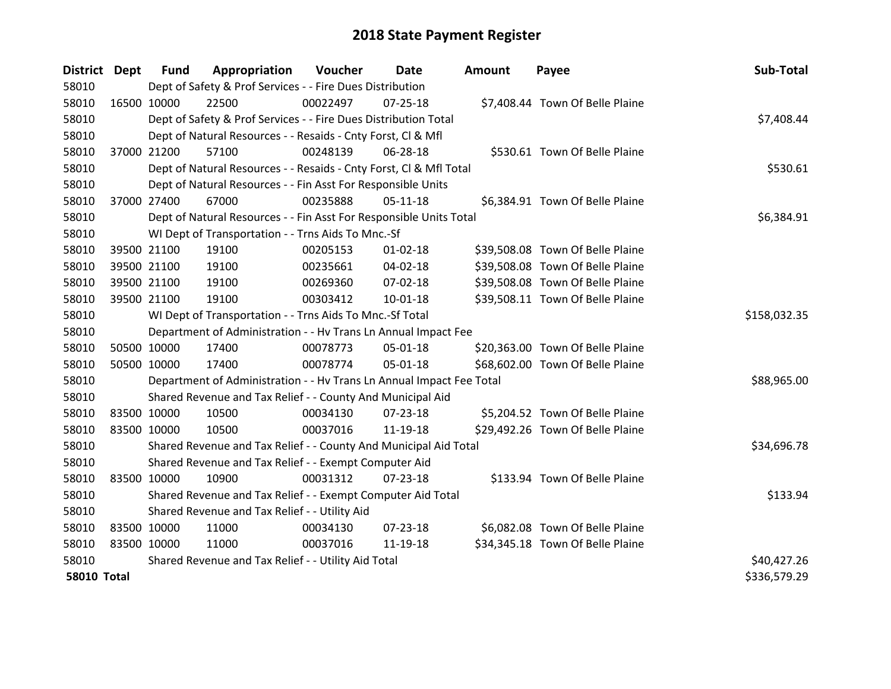| District Dept      |             | <b>Fund</b> | Appropriation                                                        | Voucher  | Date           | <b>Amount</b> | Payee                            | Sub-Total    |
|--------------------|-------------|-------------|----------------------------------------------------------------------|----------|----------------|---------------|----------------------------------|--------------|
| 58010              |             |             | Dept of Safety & Prof Services - - Fire Dues Distribution            |          |                |               |                                  |              |
| 58010              | 16500 10000 |             | 22500                                                                | 00022497 | 07-25-18       |               | \$7,408.44 Town Of Belle Plaine  |              |
| 58010              |             |             | Dept of Safety & Prof Services - - Fire Dues Distribution Total      |          |                |               |                                  | \$7,408.44   |
| 58010              |             |             | Dept of Natural Resources - - Resaids - Cnty Forst, CI & Mfl         |          |                |               |                                  |              |
| 58010              |             | 37000 21200 | 57100                                                                | 00248139 | 06-28-18       |               | \$530.61 Town Of Belle Plaine    |              |
| 58010              |             |             | Dept of Natural Resources - - Resaids - Cnty Forst, Cl & Mfl Total   |          | \$530.61       |               |                                  |              |
| 58010              |             |             | Dept of Natural Resources - - Fin Asst For Responsible Units         |          |                |               |                                  |              |
| 58010              | 37000 27400 |             | 67000                                                                | 00235888 | $05 - 11 - 18$ |               | \$6,384.91 Town Of Belle Plaine  |              |
| 58010              |             |             | Dept of Natural Resources - - Fin Asst For Responsible Units Total   |          |                |               |                                  | \$6,384.91   |
| 58010              |             |             | WI Dept of Transportation - - Trns Aids To Mnc.-Sf                   |          |                |               |                                  |              |
| 58010              |             | 39500 21100 | 19100                                                                | 00205153 | $01 - 02 - 18$ |               | \$39,508.08 Town Of Belle Plaine |              |
| 58010              |             | 39500 21100 | 19100                                                                | 00235661 | 04-02-18       |               | \$39,508.08 Town Of Belle Plaine |              |
| 58010              |             | 39500 21100 | 19100                                                                | 00269360 | 07-02-18       |               | \$39,508.08 Town Of Belle Plaine |              |
| 58010              |             | 39500 21100 | 19100                                                                | 00303412 | 10-01-18       |               | \$39,508.11 Town Of Belle Plaine |              |
| 58010              |             |             | WI Dept of Transportation - - Trns Aids To Mnc.-Sf Total             |          |                |               |                                  | \$158,032.35 |
| 58010              |             |             | Department of Administration - - Hv Trans Ln Annual Impact Fee       |          |                |               |                                  |              |
| 58010              | 50500 10000 |             | 17400                                                                | 00078773 | 05-01-18       |               | \$20,363.00 Town Of Belle Plaine |              |
| 58010              | 50500 10000 |             | 17400                                                                | 00078774 | 05-01-18       |               | \$68,602.00 Town Of Belle Plaine |              |
| 58010              |             |             | Department of Administration - - Hv Trans Ln Annual Impact Fee Total |          |                |               |                                  | \$88,965.00  |
| 58010              |             |             | Shared Revenue and Tax Relief - - County And Municipal Aid           |          |                |               |                                  |              |
| 58010              | 83500 10000 |             | 10500                                                                | 00034130 | 07-23-18       |               | \$5,204.52 Town Of Belle Plaine  |              |
| 58010              | 83500 10000 |             | 10500                                                                | 00037016 | 11-19-18       |               | \$29,492.26 Town Of Belle Plaine |              |
| 58010              |             |             | Shared Revenue and Tax Relief - - County And Municipal Aid Total     |          |                |               |                                  | \$34,696.78  |
| 58010              |             |             | Shared Revenue and Tax Relief - - Exempt Computer Aid                |          |                |               |                                  |              |
| 58010              | 83500 10000 |             | 10900                                                                | 00031312 | $07 - 23 - 18$ |               | \$133.94 Town Of Belle Plaine    |              |
| 58010              |             |             | Shared Revenue and Tax Relief - - Exempt Computer Aid Total          |          |                |               |                                  | \$133.94     |
| 58010              |             |             | Shared Revenue and Tax Relief - - Utility Aid                        |          |                |               |                                  |              |
| 58010              | 83500 10000 |             | 11000                                                                | 00034130 | 07-23-18       |               | \$6,082.08 Town Of Belle Plaine  |              |
| 58010              | 83500 10000 |             | 11000                                                                | 00037016 | 11-19-18       |               | \$34,345.18 Town Of Belle Plaine |              |
| 58010              |             |             | Shared Revenue and Tax Relief - - Utility Aid Total                  |          |                |               |                                  | \$40,427.26  |
| <b>58010 Total</b> |             |             |                                                                      |          |                |               |                                  | \$336,579.29 |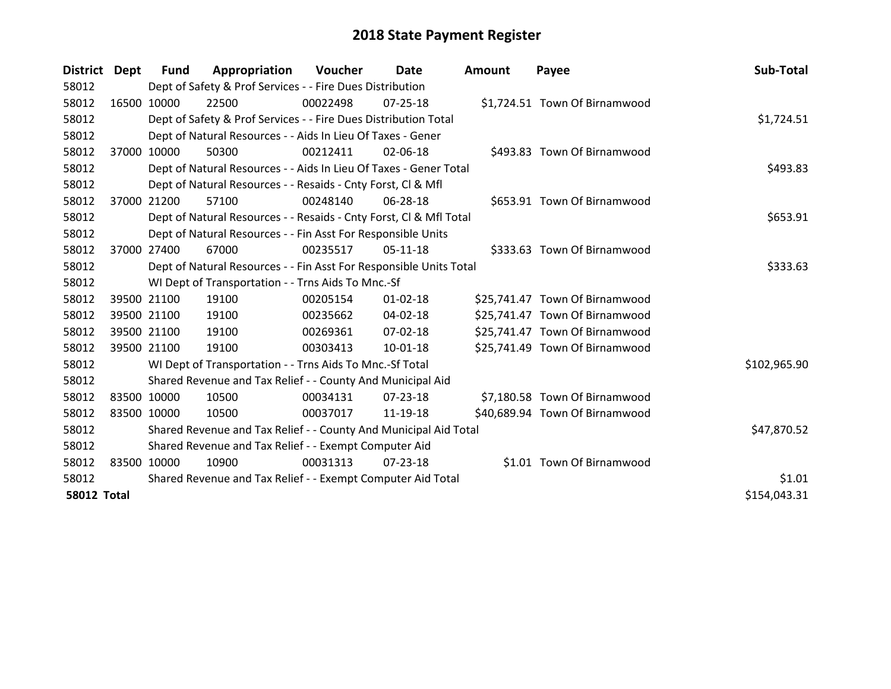| District Dept      |             | <b>Fund</b> | Appropriation                                                      | Voucher  | Date           | <b>Amount</b> | Payee                          | Sub-Total    |
|--------------------|-------------|-------------|--------------------------------------------------------------------|----------|----------------|---------------|--------------------------------|--------------|
| 58012              |             |             | Dept of Safety & Prof Services - - Fire Dues Distribution          |          |                |               |                                |              |
| 58012              | 16500 10000 |             | 22500                                                              | 00022498 | 07-25-18       |               | \$1,724.51 Town Of Birnamwood  |              |
| 58012              |             |             | Dept of Safety & Prof Services - - Fire Dues Distribution Total    |          |                |               |                                | \$1,724.51   |
| 58012              |             |             | Dept of Natural Resources - - Aids In Lieu Of Taxes - Gener        |          |                |               |                                |              |
| 58012              |             | 37000 10000 | 50300                                                              | 00212411 | 02-06-18       |               | \$493.83 Town Of Birnamwood    |              |
| 58012              |             |             | Dept of Natural Resources - - Aids In Lieu Of Taxes - Gener Total  |          |                |               |                                | \$493.83     |
| 58012              |             |             | Dept of Natural Resources - - Resaids - Cnty Forst, CI & Mfl       |          |                |               |                                |              |
| 58012              | 37000       | 21200       | 57100                                                              | 00248140 | 06-28-18       |               | \$653.91 Town Of Birnamwood    |              |
| 58012              |             |             | Dept of Natural Resources - - Resaids - Cnty Forst, Cl & Mfl Total |          |                |               |                                | \$653.91     |
| 58012              |             |             | Dept of Natural Resources - - Fin Asst For Responsible Units       |          |                |               |                                |              |
| 58012              |             | 37000 27400 | 67000                                                              | 00235517 | $05-11-18$     |               | \$333.63 Town Of Birnamwood    |              |
| 58012              |             |             | Dept of Natural Resources - - Fin Asst For Responsible Units Total |          |                |               |                                | \$333.63     |
| 58012              |             |             | WI Dept of Transportation - - Trns Aids To Mnc.-Sf                 |          |                |               |                                |              |
| 58012              |             | 39500 21100 | 19100                                                              | 00205154 | $01 - 02 - 18$ |               | \$25,741.47 Town Of Birnamwood |              |
| 58012              | 39500 21100 |             | 19100                                                              | 00235662 | $04 - 02 - 18$ |               | \$25,741.47 Town Of Birnamwood |              |
| 58012              |             | 39500 21100 | 19100                                                              | 00269361 | 07-02-18       |               | \$25,741.47 Town Of Birnamwood |              |
| 58012              |             | 39500 21100 | 19100                                                              | 00303413 | 10-01-18       |               | \$25,741.49 Town Of Birnamwood |              |
| 58012              |             |             | WI Dept of Transportation - - Trns Aids To Mnc.-Sf Total           |          |                |               |                                | \$102,965.90 |
| 58012              |             |             | Shared Revenue and Tax Relief - - County And Municipal Aid         |          |                |               |                                |              |
| 58012              | 83500 10000 |             | 10500                                                              | 00034131 | 07-23-18       |               | \$7,180.58 Town Of Birnamwood  |              |
| 58012              | 83500 10000 |             | 10500                                                              | 00037017 | 11-19-18       |               | \$40,689.94 Town Of Birnamwood |              |
| 58012              |             |             | Shared Revenue and Tax Relief - - County And Municipal Aid Total   |          |                |               |                                | \$47,870.52  |
| 58012              |             |             | Shared Revenue and Tax Relief - - Exempt Computer Aid              |          |                |               |                                |              |
| 58012              | 83500 10000 |             | 10900                                                              | 00031313 | 07-23-18       |               | \$1.01 Town Of Birnamwood      |              |
| 58012              |             |             | Shared Revenue and Tax Relief - - Exempt Computer Aid Total        | \$1.01   |                |               |                                |              |
| <b>58012 Total</b> |             |             |                                                                    |          |                |               |                                | \$154,043.31 |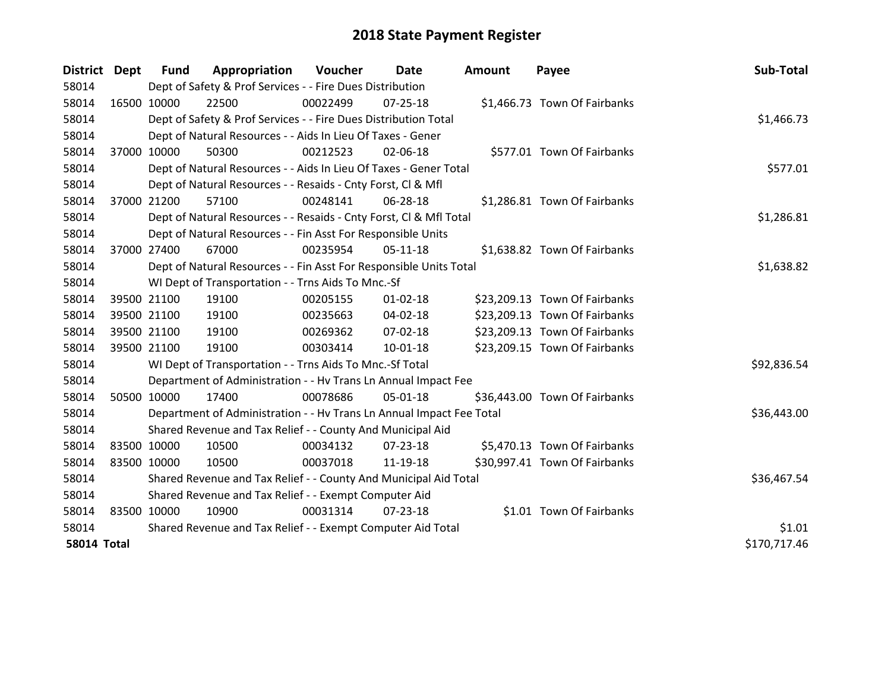| District Dept      |             | <b>Fund</b> | Appropriation                                                        | <b>Voucher</b> | Date           | <b>Amount</b> | Payee                         | Sub-Total    |
|--------------------|-------------|-------------|----------------------------------------------------------------------|----------------|----------------|---------------|-------------------------------|--------------|
| 58014              |             |             | Dept of Safety & Prof Services - - Fire Dues Distribution            |                |                |               |                               |              |
| 58014              | 16500 10000 |             | 22500                                                                | 00022499       | $07 - 25 - 18$ |               | \$1,466.73 Town Of Fairbanks  |              |
| 58014              |             |             | Dept of Safety & Prof Services - - Fire Dues Distribution Total      |                |                |               |                               | \$1,466.73   |
| 58014              |             |             | Dept of Natural Resources - - Aids In Lieu Of Taxes - Gener          |                |                |               |                               |              |
| 58014              |             | 37000 10000 | 50300                                                                | 00212523       | 02-06-18       |               | \$577.01 Town Of Fairbanks    |              |
| 58014              |             |             | Dept of Natural Resources - - Aids In Lieu Of Taxes - Gener Total    |                |                |               |                               | \$577.01     |
| 58014              |             |             | Dept of Natural Resources - - Resaids - Cnty Forst, Cl & Mfl         |                |                |               |                               |              |
| 58014              | 37000 21200 |             | 57100                                                                | 00248141       | 06-28-18       |               | \$1,286.81 Town Of Fairbanks  |              |
| 58014              |             |             | Dept of Natural Resources - - Resaids - Cnty Forst, CI & Mfl Total   |                |                |               |                               | \$1,286.81   |
| 58014              |             |             | Dept of Natural Resources - - Fin Asst For Responsible Units         |                |                |               |                               |              |
| 58014              | 37000 27400 |             | 67000                                                                | 00235954       | $05-11-18$     |               | \$1,638.82 Town Of Fairbanks  |              |
| 58014              |             |             | Dept of Natural Resources - - Fin Asst For Responsible Units Total   |                |                |               |                               | \$1,638.82   |
| 58014              |             |             | WI Dept of Transportation - - Trns Aids To Mnc.-Sf                   |                |                |               |                               |              |
| 58014              | 39500 21100 |             | 19100                                                                | 00205155       | $01 - 02 - 18$ |               | \$23,209.13 Town Of Fairbanks |              |
| 58014              | 39500 21100 |             | 19100                                                                | 00235663       | 04-02-18       |               | \$23,209.13 Town Of Fairbanks |              |
| 58014              | 39500 21100 |             | 19100                                                                | 00269362       | 07-02-18       |               | \$23,209.13 Town Of Fairbanks |              |
| 58014              | 39500 21100 |             | 19100                                                                | 00303414       | $10-01-18$     |               | \$23,209.15 Town Of Fairbanks |              |
| 58014              |             |             | WI Dept of Transportation - - Trns Aids To Mnc.-Sf Total             |                |                |               |                               | \$92,836.54  |
| 58014              |             |             | Department of Administration - - Hv Trans Ln Annual Impact Fee       |                |                |               |                               |              |
| 58014              | 50500 10000 |             | 17400                                                                | 00078686       | 05-01-18       |               | \$36,443.00 Town Of Fairbanks |              |
| 58014              |             |             | Department of Administration - - Hv Trans Ln Annual Impact Fee Total |                |                |               |                               | \$36,443.00  |
| 58014              |             |             | Shared Revenue and Tax Relief - - County And Municipal Aid           |                |                |               |                               |              |
| 58014              | 83500 10000 |             | 10500                                                                | 00034132       | 07-23-18       |               | \$5,470.13 Town Of Fairbanks  |              |
| 58014              | 83500 10000 |             | 10500                                                                | 00037018       | 11-19-18       |               | \$30,997.41 Town Of Fairbanks |              |
| 58014              |             |             | Shared Revenue and Tax Relief - - County And Municipal Aid Total     |                |                |               |                               | \$36,467.54  |
| 58014              |             |             | Shared Revenue and Tax Relief - - Exempt Computer Aid                |                |                |               |                               |              |
| 58014              | 83500 10000 |             | 10900                                                                | 00031314       | $07 - 23 - 18$ |               | \$1.01 Town Of Fairbanks      |              |
| 58014              |             |             | Shared Revenue and Tax Relief - - Exempt Computer Aid Total          |                |                |               |                               | \$1.01       |
| <b>58014 Total</b> |             |             |                                                                      |                |                |               |                               | \$170,717.46 |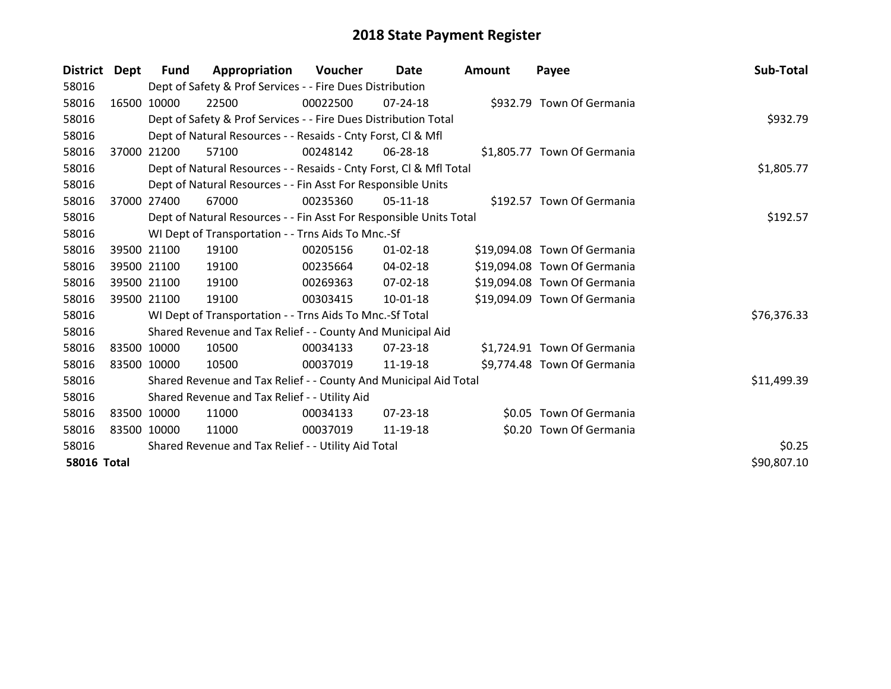| District           | Dept  | Fund        | Appropriation                                                      | Voucher  | Date           | Amount | Payee                        | Sub-Total   |
|--------------------|-------|-------------|--------------------------------------------------------------------|----------|----------------|--------|------------------------------|-------------|
| 58016              |       |             | Dept of Safety & Prof Services - - Fire Dues Distribution          |          |                |        |                              |             |
| 58016              |       | 16500 10000 | 22500                                                              | 00022500 | $07 - 24 - 18$ |        | \$932.79 Town Of Germania    |             |
| 58016              |       |             | Dept of Safety & Prof Services - - Fire Dues Distribution Total    |          |                |        |                              | \$932.79    |
| 58016              |       |             | Dept of Natural Resources - - Resaids - Cnty Forst, CI & Mfl       |          |                |        |                              |             |
| 58016              | 37000 | 21200       | 57100                                                              | 00248142 | 06-28-18       |        | \$1,805.77 Town Of Germania  |             |
| 58016              |       |             | Dept of Natural Resources - - Resaids - Cnty Forst, CI & Mfl Total |          |                |        |                              | \$1,805.77  |
| 58016              |       |             | Dept of Natural Resources - - Fin Asst For Responsible Units       |          |                |        |                              |             |
| 58016              | 37000 | 27400       | 67000                                                              | 00235360 | $05-11-18$     |        | \$192.57 Town Of Germania    |             |
| 58016              |       |             | Dept of Natural Resources - - Fin Asst For Responsible Units Total |          | \$192.57       |        |                              |             |
| 58016              |       |             | WI Dept of Transportation - - Trns Aids To Mnc.-Sf                 |          |                |        |                              |             |
| 58016              |       | 39500 21100 | 19100                                                              | 00205156 | $01 - 02 - 18$ |        | \$19,094.08 Town Of Germania |             |
| 58016              |       | 39500 21100 | 19100                                                              | 00235664 | 04-02-18       |        | \$19,094.08 Town Of Germania |             |
| 58016              |       | 39500 21100 | 19100                                                              | 00269363 | 07-02-18       |        | \$19,094.08 Town Of Germania |             |
| 58016              |       | 39500 21100 | 19100                                                              | 00303415 | $10 - 01 - 18$ |        | \$19,094.09 Town Of Germania |             |
| 58016              |       |             | WI Dept of Transportation - - Trns Aids To Mnc.-Sf Total           |          |                |        |                              | \$76,376.33 |
| 58016              |       |             | Shared Revenue and Tax Relief - - County And Municipal Aid         |          |                |        |                              |             |
| 58016              |       | 83500 10000 | 10500                                                              | 00034133 | $07 - 23 - 18$ |        | \$1,724.91 Town Of Germania  |             |
| 58016              |       | 83500 10000 | 10500                                                              | 00037019 | 11-19-18       |        | \$9,774.48 Town Of Germania  |             |
| 58016              |       |             | Shared Revenue and Tax Relief - - County And Municipal Aid Total   |          |                |        |                              | \$11,499.39 |
| 58016              |       |             | Shared Revenue and Tax Relief - - Utility Aid                      |          |                |        |                              |             |
| 58016              |       | 83500 10000 | 11000                                                              | 00034133 | $07 - 23 - 18$ |        | \$0.05 Town Of Germania      |             |
| 58016              |       | 83500 10000 | 11000                                                              | 00037019 | 11-19-18       |        | \$0.20 Town Of Germania      |             |
| 58016              |       |             | Shared Revenue and Tax Relief - - Utility Aid Total                |          |                |        |                              | \$0.25      |
| <b>58016 Total</b> |       |             |                                                                    |          |                |        |                              | \$90,807.10 |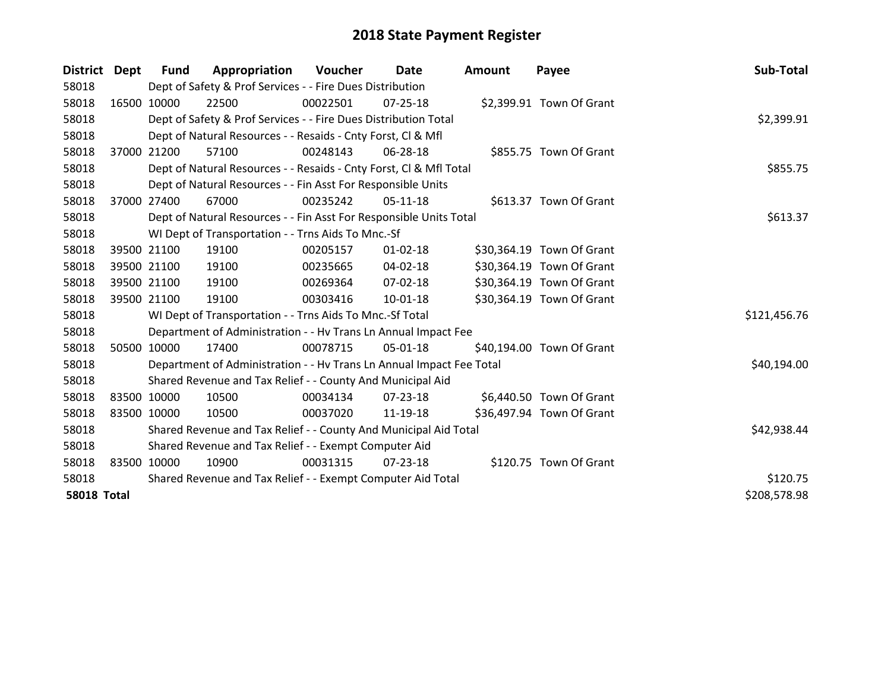| <b>District</b>    | Dept        | <b>Fund</b>                                                 | Appropriation                                                        | Voucher  | Date           | <b>Amount</b> | Payee                     | Sub-Total    |
|--------------------|-------------|-------------------------------------------------------------|----------------------------------------------------------------------|----------|----------------|---------------|---------------------------|--------------|
| 58018              |             |                                                             | Dept of Safety & Prof Services - - Fire Dues Distribution            |          |                |               |                           |              |
| 58018              | 16500 10000 |                                                             | 22500                                                                | 00022501 | $07 - 25 - 18$ |               | \$2,399.91 Town Of Grant  |              |
| 58018              |             |                                                             | Dept of Safety & Prof Services - - Fire Dues Distribution Total      |          |                |               |                           | \$2,399.91   |
| 58018              |             |                                                             | Dept of Natural Resources - - Resaids - Cnty Forst, CI & Mfl         |          |                |               |                           |              |
| 58018              | 37000 21200 |                                                             | 57100                                                                | 00248143 | 06-28-18       |               | \$855.75 Town Of Grant    |              |
| 58018              |             |                                                             | Dept of Natural Resources - - Resaids - Cnty Forst, Cl & Mfl Total   |          | \$855.75       |               |                           |              |
| 58018              |             |                                                             | Dept of Natural Resources - - Fin Asst For Responsible Units         |          |                |               |                           |              |
| 58018              | 37000 27400 |                                                             | 67000                                                                | 00235242 | 05-11-18       |               | \$613.37 Town Of Grant    |              |
| 58018              |             |                                                             | Dept of Natural Resources - - Fin Asst For Responsible Units Total   |          |                |               |                           | \$613.37     |
| 58018              |             |                                                             | WI Dept of Transportation - - Trns Aids To Mnc.-Sf                   |          |                |               |                           |              |
| 58018              |             | 39500 21100                                                 | 19100                                                                | 00205157 | $01 - 02 - 18$ |               | \$30,364.19 Town Of Grant |              |
| 58018              | 39500 21100 |                                                             | 19100                                                                | 00235665 | 04-02-18       |               | \$30,364.19 Town Of Grant |              |
| 58018              |             | 39500 21100                                                 | 19100                                                                | 00269364 | 07-02-18       |               | \$30,364.19 Town Of Grant |              |
| 58018              | 39500 21100 |                                                             | 19100                                                                | 00303416 | 10-01-18       |               | \$30,364.19 Town Of Grant |              |
| 58018              |             |                                                             | WI Dept of Transportation - - Trns Aids To Mnc.-Sf Total             |          |                |               |                           | \$121,456.76 |
| 58018              |             |                                                             | Department of Administration - - Hv Trans Ln Annual Impact Fee       |          |                |               |                           |              |
| 58018              | 50500 10000 |                                                             | 17400                                                                | 00078715 | 05-01-18       |               | \$40,194.00 Town Of Grant |              |
| 58018              |             |                                                             | Department of Administration - - Hv Trans Ln Annual Impact Fee Total |          |                |               |                           | \$40,194.00  |
| 58018              |             |                                                             | Shared Revenue and Tax Relief - - County And Municipal Aid           |          |                |               |                           |              |
| 58018              | 83500 10000 |                                                             | 10500                                                                | 00034134 | $07 - 23 - 18$ |               | \$6,440.50 Town Of Grant  |              |
| 58018              | 83500 10000 |                                                             | 10500                                                                | 00037020 | 11-19-18       |               | \$36,497.94 Town Of Grant |              |
| 58018              |             |                                                             | Shared Revenue and Tax Relief - - County And Municipal Aid Total     |          |                |               |                           | \$42,938.44  |
| 58018              |             |                                                             | Shared Revenue and Tax Relief - - Exempt Computer Aid                |          |                |               |                           |              |
| 58018              | 83500       | 10000                                                       | 10900                                                                | 00031315 | $07 - 23 - 18$ |               | \$120.75 Town Of Grant    |              |
| 58018              |             | Shared Revenue and Tax Relief - - Exempt Computer Aid Total |                                                                      | \$120.75 |                |               |                           |              |
| <b>58018 Total</b> |             |                                                             |                                                                      |          |                |               |                           | \$208,578.98 |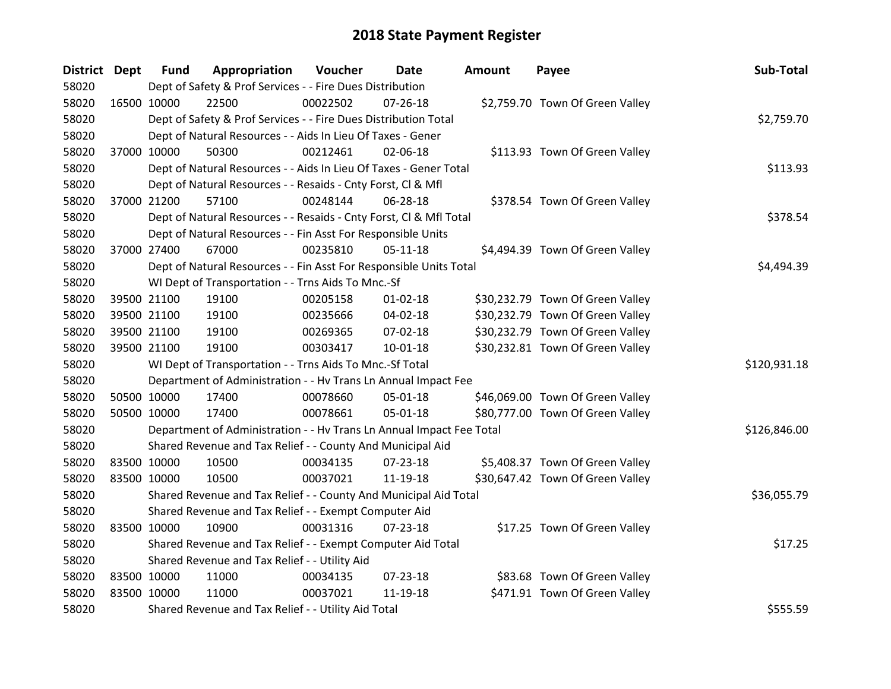| District Dept |             | <b>Fund</b>                                   | Appropriation                                                        | Voucher  | Date           | <b>Amount</b> | Payee                            | Sub-Total    |  |
|---------------|-------------|-----------------------------------------------|----------------------------------------------------------------------|----------|----------------|---------------|----------------------------------|--------------|--|
| 58020         |             |                                               | Dept of Safety & Prof Services - - Fire Dues Distribution            |          |                |               |                                  |              |  |
| 58020         | 16500 10000 |                                               | 22500                                                                | 00022502 | $07 - 26 - 18$ |               | \$2,759.70 Town Of Green Valley  |              |  |
| 58020         |             |                                               | Dept of Safety & Prof Services - - Fire Dues Distribution Total      |          |                |               |                                  | \$2,759.70   |  |
| 58020         |             |                                               | Dept of Natural Resources - - Aids In Lieu Of Taxes - Gener          |          |                |               |                                  |              |  |
| 58020         |             | 37000 10000                                   | 50300                                                                | 00212461 | 02-06-18       |               | \$113.93 Town Of Green Valley    |              |  |
| 58020         |             |                                               | Dept of Natural Resources - - Aids In Lieu Of Taxes - Gener Total    |          |                |               |                                  | \$113.93     |  |
| 58020         |             |                                               | Dept of Natural Resources - - Resaids - Cnty Forst, Cl & Mfl         |          |                |               |                                  |              |  |
| 58020         |             | 37000 21200                                   | 57100                                                                | 00248144 | 06-28-18       |               | \$378.54 Town Of Green Valley    |              |  |
| 58020         |             |                                               | Dept of Natural Resources - - Resaids - Cnty Forst, Cl & Mfl Total   |          |                |               |                                  | \$378.54     |  |
| 58020         |             |                                               | Dept of Natural Resources - - Fin Asst For Responsible Units         |          |                |               |                                  |              |  |
| 58020         |             | 37000 27400                                   | 67000                                                                | 00235810 | $05-11-18$     |               | \$4,494.39 Town Of Green Valley  |              |  |
| 58020         |             |                                               | Dept of Natural Resources - - Fin Asst For Responsible Units Total   |          |                |               |                                  | \$4,494.39   |  |
| 58020         |             |                                               | WI Dept of Transportation - - Trns Aids To Mnc.-Sf                   |          |                |               |                                  |              |  |
| 58020         | 39500 21100 |                                               | 19100                                                                | 00205158 | $01 - 02 - 18$ |               | \$30,232.79 Town Of Green Valley |              |  |
| 58020         |             | 39500 21100                                   | 19100                                                                | 00235666 | 04-02-18       |               | \$30,232.79 Town Of Green Valley |              |  |
| 58020         |             | 39500 21100                                   | 19100                                                                | 00269365 | 07-02-18       |               | \$30,232.79 Town Of Green Valley |              |  |
| 58020         |             | 39500 21100                                   | 19100                                                                | 00303417 | $10 - 01 - 18$ |               | \$30,232.81 Town Of Green Valley |              |  |
| 58020         |             |                                               | WI Dept of Transportation - - Trns Aids To Mnc.-Sf Total             |          |                |               |                                  | \$120,931.18 |  |
| 58020         |             |                                               | Department of Administration - - Hv Trans Ln Annual Impact Fee       |          |                |               |                                  |              |  |
| 58020         | 50500 10000 |                                               | 17400                                                                | 00078660 | $05 - 01 - 18$ |               | \$46,069.00 Town Of Green Valley |              |  |
| 58020         | 50500 10000 |                                               | 17400                                                                | 00078661 | $05 - 01 - 18$ |               | \$80,777.00 Town Of Green Valley |              |  |
| 58020         |             |                                               | Department of Administration - - Hv Trans Ln Annual Impact Fee Total |          |                |               |                                  | \$126,846.00 |  |
| 58020         |             |                                               | Shared Revenue and Tax Relief - - County And Municipal Aid           |          |                |               |                                  |              |  |
| 58020         | 83500 10000 |                                               | 10500                                                                | 00034135 | 07-23-18       |               | \$5,408.37 Town Of Green Valley  |              |  |
| 58020         | 83500 10000 |                                               | 10500                                                                | 00037021 | 11-19-18       |               | \$30,647.42 Town Of Green Valley |              |  |
| 58020         |             |                                               | Shared Revenue and Tax Relief - - County And Municipal Aid Total     |          |                |               |                                  | \$36,055.79  |  |
| 58020         |             |                                               | Shared Revenue and Tax Relief - - Exempt Computer Aid                |          |                |               |                                  |              |  |
| 58020         | 83500 10000 |                                               | 10900                                                                | 00031316 | $07 - 23 - 18$ |               | \$17.25 Town Of Green Valley     |              |  |
| 58020         |             |                                               | Shared Revenue and Tax Relief - - Exempt Computer Aid Total          |          |                |               |                                  | \$17.25      |  |
| 58020         |             | Shared Revenue and Tax Relief - - Utility Aid |                                                                      |          |                |               |                                  |              |  |
| 58020         | 83500 10000 |                                               | 11000                                                                | 00034135 | $07 - 23 - 18$ |               | \$83.68 Town Of Green Valley     |              |  |
| 58020         | 83500 10000 |                                               | 11000                                                                | 00037021 | 11-19-18       |               | \$471.91 Town Of Green Valley    |              |  |
| 58020         |             |                                               | Shared Revenue and Tax Relief - - Utility Aid Total                  |          |                |               |                                  | \$555.59     |  |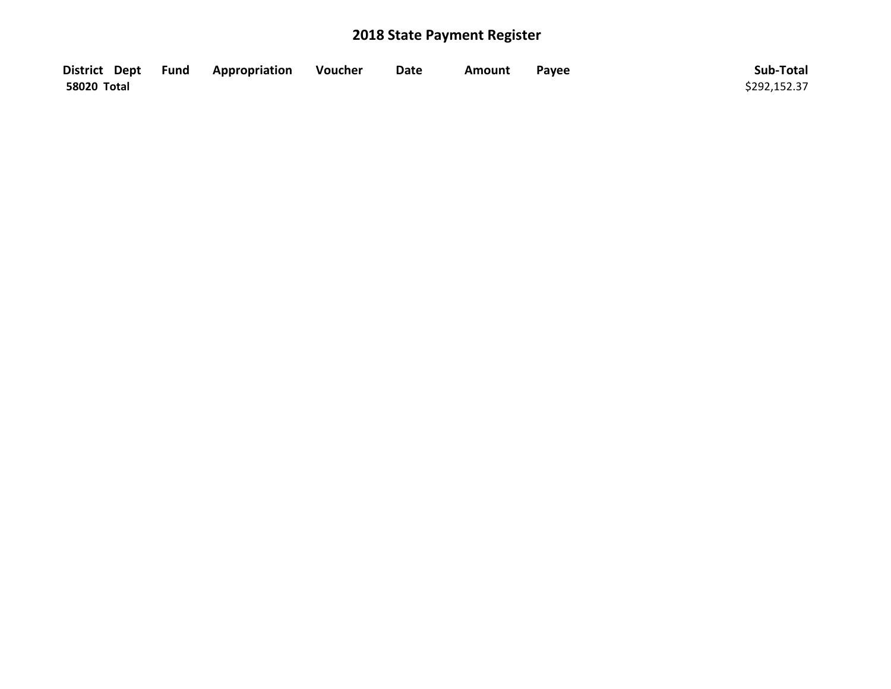|             | District Dept Fund Appropriation | Voucher | <b>Date</b> | Amount | Payee | Sub-Total    |
|-------------|----------------------------------|---------|-------------|--------|-------|--------------|
| 58020 Total |                                  |         |             |        |       | \$292,152.37 |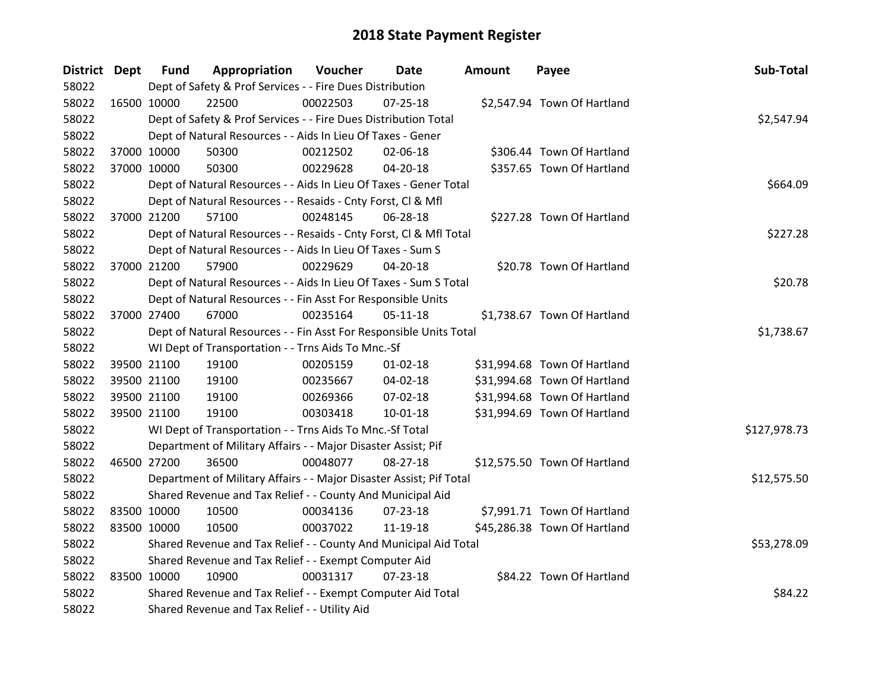| District Dept |             | <b>Fund</b> | Appropriation                                                       | Voucher  | Date           | Amount | Payee                        | Sub-Total    |
|---------------|-------------|-------------|---------------------------------------------------------------------|----------|----------------|--------|------------------------------|--------------|
| 58022         |             |             | Dept of Safety & Prof Services - - Fire Dues Distribution           |          |                |        |                              |              |
| 58022         | 16500 10000 |             | 22500                                                               | 00022503 | 07-25-18       |        | \$2,547.94 Town Of Hartland  |              |
| 58022         |             |             | Dept of Safety & Prof Services - - Fire Dues Distribution Total     |          |                |        |                              | \$2,547.94   |
| 58022         |             |             | Dept of Natural Resources - - Aids In Lieu Of Taxes - Gener         |          |                |        |                              |              |
| 58022         | 37000 10000 |             | 50300                                                               | 00212502 | 02-06-18       |        | \$306.44 Town Of Hartland    |              |
| 58022         | 37000 10000 |             | 50300                                                               | 00229628 | 04-20-18       |        | \$357.65 Town Of Hartland    |              |
| 58022         |             |             | Dept of Natural Resources - - Aids In Lieu Of Taxes - Gener Total   |          |                |        |                              | \$664.09     |
| 58022         |             |             | Dept of Natural Resources - - Resaids - Cnty Forst, Cl & Mfl        |          |                |        |                              |              |
| 58022         |             | 37000 21200 | 57100                                                               | 00248145 | 06-28-18       |        | \$227.28 Town Of Hartland    |              |
| 58022         |             |             | Dept of Natural Resources - - Resaids - Cnty Forst, CI & Mfl Total  |          |                |        |                              | \$227.28     |
| 58022         |             |             | Dept of Natural Resources - - Aids In Lieu Of Taxes - Sum S         |          |                |        |                              |              |
| 58022         |             | 37000 21200 | 57900                                                               | 00229629 | 04-20-18       |        | \$20.78 Town Of Hartland     |              |
| 58022         |             |             | Dept of Natural Resources - - Aids In Lieu Of Taxes - Sum S Total   |          |                |        |                              | \$20.78      |
| 58022         |             |             | Dept of Natural Resources - - Fin Asst For Responsible Units        |          |                |        |                              |              |
| 58022         | 37000 27400 |             | 67000                                                               | 00235164 | $05 - 11 - 18$ |        | \$1,738.67 Town Of Hartland  |              |
| 58022         |             |             | Dept of Natural Resources - - Fin Asst For Responsible Units Total  |          |                |        |                              | \$1,738.67   |
| 58022         |             |             | WI Dept of Transportation - - Trns Aids To Mnc.-Sf                  |          |                |        |                              |              |
| 58022         |             | 39500 21100 | 19100                                                               | 00205159 | $01 - 02 - 18$ |        | \$31,994.68 Town Of Hartland |              |
| 58022         |             | 39500 21100 | 19100                                                               | 00235667 | 04-02-18       |        | \$31,994.68 Town Of Hartland |              |
| 58022         |             | 39500 21100 | 19100                                                               | 00269366 | 07-02-18       |        | \$31,994.68 Town Of Hartland |              |
| 58022         | 39500 21100 |             | 19100                                                               | 00303418 | $10 - 01 - 18$ |        | \$31,994.69 Town Of Hartland |              |
| 58022         |             |             | WI Dept of Transportation - - Trns Aids To Mnc.-Sf Total            |          |                |        |                              | \$127,978.73 |
| 58022         |             |             | Department of Military Affairs - - Major Disaster Assist; Pif       |          |                |        |                              |              |
| 58022         | 46500 27200 |             | 36500                                                               | 00048077 | 08-27-18       |        | \$12,575.50 Town Of Hartland |              |
| 58022         |             |             | Department of Military Affairs - - Major Disaster Assist; Pif Total |          |                |        |                              | \$12,575.50  |
| 58022         |             |             | Shared Revenue and Tax Relief - - County And Municipal Aid          |          |                |        |                              |              |
| 58022         | 83500 10000 |             | 10500                                                               | 00034136 | 07-23-18       |        | \$7,991.71 Town Of Hartland  |              |
| 58022         | 83500 10000 |             | 10500                                                               | 00037022 | 11-19-18       |        | \$45,286.38 Town Of Hartland |              |
| 58022         |             |             | Shared Revenue and Tax Relief - - County And Municipal Aid Total    |          |                |        |                              | \$53,278.09  |
| 58022         |             |             | Shared Revenue and Tax Relief - - Exempt Computer Aid               |          |                |        |                              |              |
| 58022         | 83500 10000 |             | 10900                                                               | 00031317 | $07 - 23 - 18$ |        | \$84.22 Town Of Hartland     |              |
| 58022         |             |             | Shared Revenue and Tax Relief - - Exempt Computer Aid Total         |          |                |        |                              | \$84.22      |
| 58022         |             |             | Shared Revenue and Tax Relief - - Utility Aid                       |          |                |        |                              |              |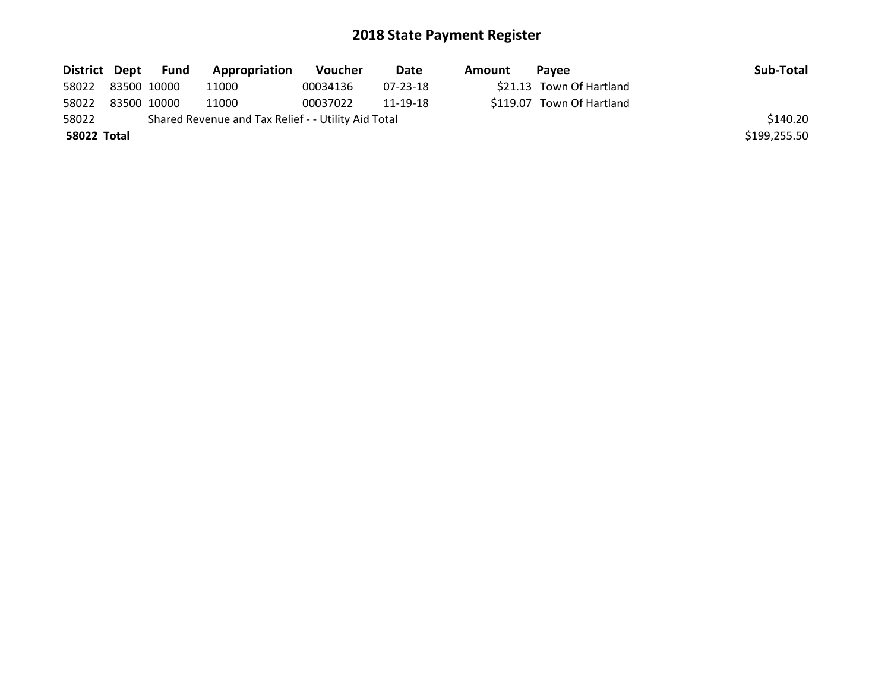|                   | District Dept Fund | Appropriation                                       | Voucher  | Date     | Amount | Pavee                     | Sub-Total    |
|-------------------|--------------------|-----------------------------------------------------|----------|----------|--------|---------------------------|--------------|
| 58022 83500 10000 |                    | 11000                                               | 00034136 | 07-23-18 |        | \$21.13 Town Of Hartland  |              |
| 58022             | 83500 10000        | 11000                                               | 00037022 | 11-19-18 |        | \$119.07 Town Of Hartland |              |
| 58022             |                    | Shared Revenue and Tax Relief - - Utility Aid Total |          |          |        |                           | \$140.20     |
| 58022 Total       |                    |                                                     |          |          |        |                           | \$199,255.50 |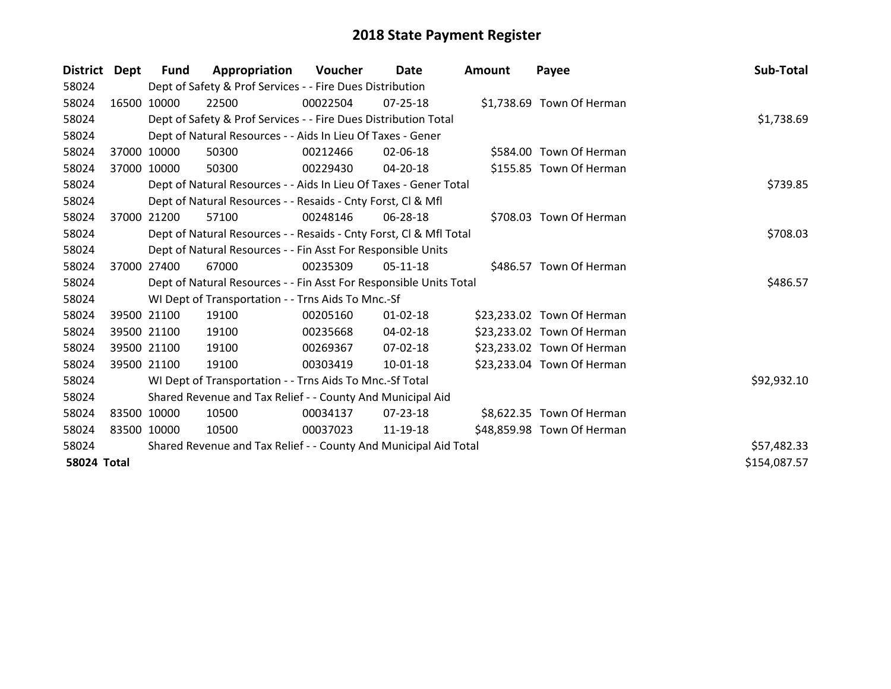| <b>District</b>    | Dept        | <b>Fund</b> | Appropriation                                                      | <b>Voucher</b> | <b>Date</b>    | <b>Amount</b> | Payee                      | Sub-Total    |
|--------------------|-------------|-------------|--------------------------------------------------------------------|----------------|----------------|---------------|----------------------------|--------------|
| 58024              |             |             | Dept of Safety & Prof Services - - Fire Dues Distribution          |                |                |               |                            |              |
| 58024              |             | 16500 10000 | 22500                                                              | 00022504       | $07 - 25 - 18$ |               | \$1,738.69 Town Of Herman  |              |
| 58024              |             |             | Dept of Safety & Prof Services - - Fire Dues Distribution Total    |                |                |               |                            | \$1,738.69   |
| 58024              |             |             | Dept of Natural Resources - - Aids In Lieu Of Taxes - Gener        |                |                |               |                            |              |
| 58024              | 37000       | 10000       | 50300                                                              | 00212466       | 02-06-18       |               | \$584.00 Town Of Herman    |              |
| 58024              |             | 37000 10000 | 50300                                                              | 00229430       | 04-20-18       |               | \$155.85 Town Of Herman    |              |
| 58024              |             |             | Dept of Natural Resources - - Aids In Lieu Of Taxes - Gener Total  |                |                |               |                            | \$739.85     |
| 58024              |             |             | Dept of Natural Resources - - Resaids - Cnty Forst, Cl & Mfl       |                |                |               |                            |              |
| 58024              | 37000       | 21200       | 57100                                                              | 00248146       | 06-28-18       |               | \$708.03 Town Of Herman    |              |
| 58024              |             |             | Dept of Natural Resources - - Resaids - Cnty Forst, Cl & Mfl Total |                |                |               |                            | \$708.03     |
| 58024              |             |             | Dept of Natural Resources - - Fin Asst For Responsible Units       |                |                |               |                            |              |
| 58024              |             | 37000 27400 | 67000                                                              | 00235309       | 05-11-18       |               | \$486.57 Town Of Herman    |              |
| 58024              |             |             | Dept of Natural Resources - - Fin Asst For Responsible Units Total |                |                |               |                            | \$486.57     |
| 58024              |             |             | WI Dept of Transportation - - Trns Aids To Mnc.-Sf                 |                |                |               |                            |              |
| 58024              |             | 39500 21100 | 19100                                                              | 00205160       | $01 - 02 - 18$ |               | \$23,233.02 Town Of Herman |              |
| 58024              |             | 39500 21100 | 19100                                                              | 00235668       | 04-02-18       |               | \$23,233.02 Town Of Herman |              |
| 58024              |             | 39500 21100 | 19100                                                              | 00269367       | 07-02-18       |               | \$23,233.02 Town Of Herman |              |
| 58024              |             | 39500 21100 | 19100                                                              | 00303419       | $10 - 01 - 18$ |               | \$23,233.04 Town Of Herman |              |
| 58024              |             |             | WI Dept of Transportation - - Trns Aids To Mnc.-Sf Total           |                |                |               |                            | \$92,932.10  |
| 58024              |             |             | Shared Revenue and Tax Relief - - County And Municipal Aid         |                |                |               |                            |              |
| 58024              | 83500 10000 |             | 10500                                                              | 00034137       | 07-23-18       |               | \$8,622.35 Town Of Herman  |              |
| 58024              |             | 83500 10000 | 10500                                                              | 00037023       | 11-19-18       |               | \$48,859.98 Town Of Herman |              |
| 58024              |             |             | Shared Revenue and Tax Relief - - County And Municipal Aid Total   |                |                |               |                            | \$57,482.33  |
| <b>58024 Total</b> |             |             |                                                                    |                |                |               |                            | \$154,087.57 |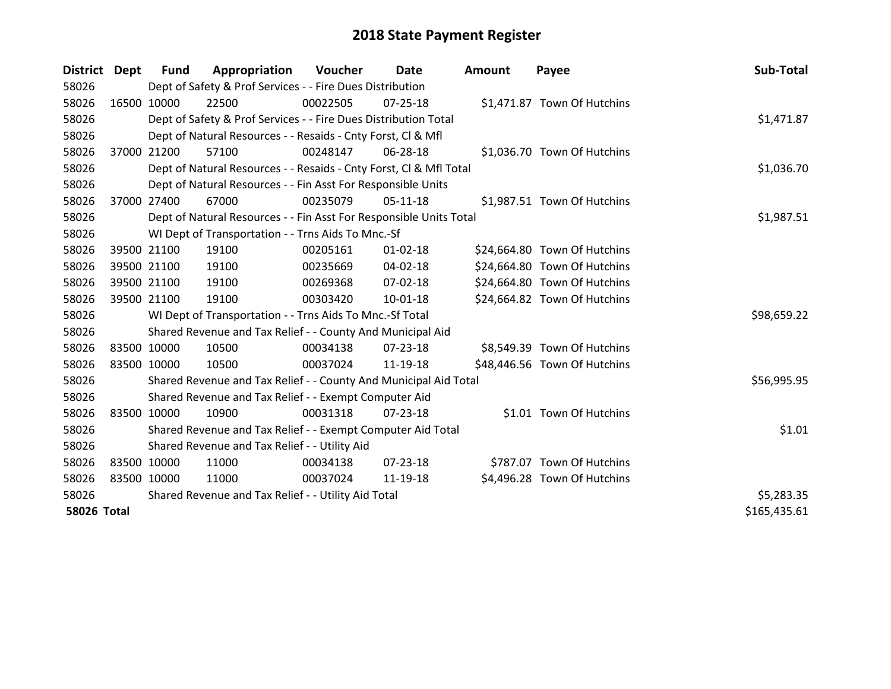| District Dept      | <b>Fund</b> | Appropriation                                                      | Voucher    | Date           | <b>Amount</b> | Payee                        | Sub-Total    |
|--------------------|-------------|--------------------------------------------------------------------|------------|----------------|---------------|------------------------------|--------------|
| 58026              |             | Dept of Safety & Prof Services - - Fire Dues Distribution          |            |                |               |                              |              |
| 58026              | 16500 10000 | 22500                                                              | 00022505   | $07 - 25 - 18$ |               | \$1,471.87 Town Of Hutchins  |              |
| 58026              |             | Dept of Safety & Prof Services - - Fire Dues Distribution Total    |            |                |               |                              | \$1,471.87   |
| 58026              |             | Dept of Natural Resources - - Resaids - Cnty Forst, CI & Mfl       |            |                |               |                              |              |
| 58026              | 37000 21200 | 57100                                                              | 00248147   | 06-28-18       |               | \$1,036.70 Town Of Hutchins  |              |
| 58026              |             | Dept of Natural Resources - - Resaids - Cnty Forst, Cl & Mfl Total |            |                |               |                              | \$1,036.70   |
| 58026              |             | Dept of Natural Resources - - Fin Asst For Responsible Units       |            |                |               |                              |              |
| 58026              | 37000 27400 | 67000                                                              | 00235079   | $05-11-18$     |               | \$1,987.51 Town Of Hutchins  |              |
| 58026              |             | Dept of Natural Resources - - Fin Asst For Responsible Units Total |            |                |               |                              | \$1,987.51   |
| 58026              |             | WI Dept of Transportation - - Trns Aids To Mnc.-Sf                 |            |                |               |                              |              |
| 58026              | 39500 21100 | 19100                                                              | 00205161   | $01 - 02 - 18$ |               | \$24,664.80 Town Of Hutchins |              |
| 58026              | 39500 21100 | 19100                                                              | 00235669   | 04-02-18       |               | \$24,664.80 Town Of Hutchins |              |
| 58026              | 39500 21100 | 19100                                                              | 00269368   | 07-02-18       |               | \$24,664.80 Town Of Hutchins |              |
| 58026              | 39500 21100 | 19100                                                              | 00303420   | $10-01-18$     |               | \$24,664.82 Town Of Hutchins |              |
| 58026              |             | WI Dept of Transportation - - Trns Aids To Mnc.-Sf Total           |            |                |               |                              | \$98,659.22  |
| 58026              |             | Shared Revenue and Tax Relief - - County And Municipal Aid         |            |                |               |                              |              |
| 58026              | 83500 10000 | 10500                                                              | 00034138   | 07-23-18       |               | \$8,549.39 Town Of Hutchins  |              |
| 58026              | 83500 10000 | 10500                                                              | 00037024   | 11-19-18       |               | \$48,446.56 Town Of Hutchins |              |
| 58026              |             | Shared Revenue and Tax Relief - - County And Municipal Aid Total   |            |                |               |                              | \$56,995.95  |
| 58026              |             | Shared Revenue and Tax Relief - - Exempt Computer Aid              |            |                |               |                              |              |
| 58026              | 83500 10000 | 10900                                                              | 00031318   | 07-23-18       |               | \$1.01 Town Of Hutchins      |              |
| 58026              |             | Shared Revenue and Tax Relief - - Exempt Computer Aid Total        |            |                |               |                              | \$1.01       |
| 58026              |             | Shared Revenue and Tax Relief - - Utility Aid                      |            |                |               |                              |              |
| 58026              | 83500 10000 | 11000                                                              | 00034138   | $07 - 23 - 18$ |               | \$787.07 Town Of Hutchins    |              |
| 58026              | 83500 10000 | 11000                                                              | 00037024   | 11-19-18       |               | \$4,496.28 Town Of Hutchins  |              |
| 58026              |             | Shared Revenue and Tax Relief - - Utility Aid Total                | \$5,283.35 |                |               |                              |              |
| <b>58026 Total</b> |             |                                                                    |            |                |               |                              | \$165,435.61 |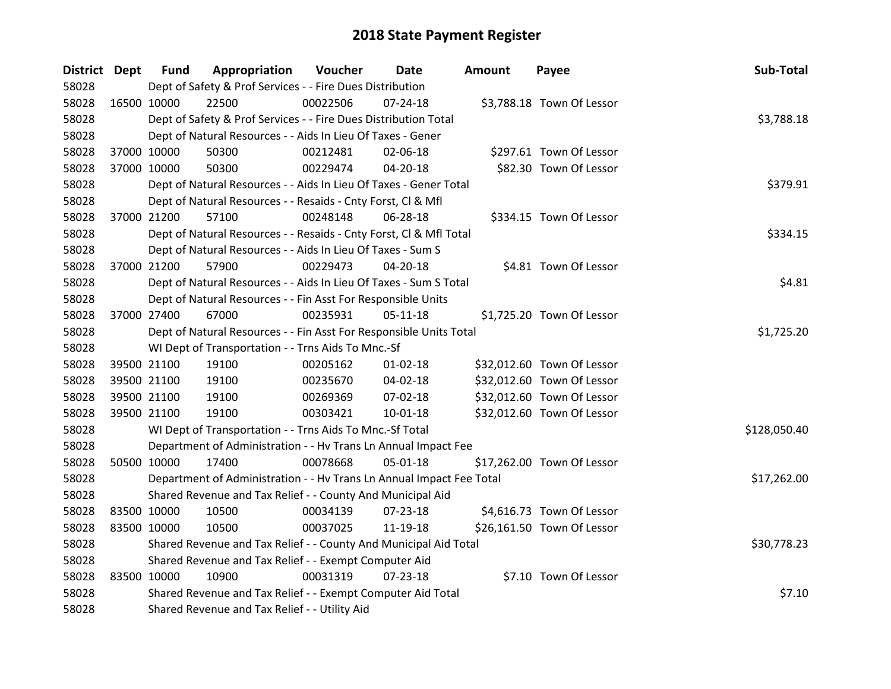| District Dept |             | <b>Fund</b> | Appropriation                                                        | Voucher  | Date           | <b>Amount</b> | Payee                      | Sub-Total    |
|---------------|-------------|-------------|----------------------------------------------------------------------|----------|----------------|---------------|----------------------------|--------------|
| 58028         |             |             | Dept of Safety & Prof Services - - Fire Dues Distribution            |          |                |               |                            |              |
| 58028         | 16500 10000 |             | 22500                                                                | 00022506 | 07-24-18       |               | \$3,788.18 Town Of Lessor  |              |
| 58028         |             |             | Dept of Safety & Prof Services - - Fire Dues Distribution Total      |          |                |               |                            | \$3,788.18   |
| 58028         |             |             | Dept of Natural Resources - - Aids In Lieu Of Taxes - Gener          |          |                |               |                            |              |
| 58028         | 37000 10000 |             | 50300                                                                | 00212481 | 02-06-18       |               | \$297.61 Town Of Lessor    |              |
| 58028         | 37000 10000 |             | 50300                                                                | 00229474 | 04-20-18       |               | \$82.30 Town Of Lessor     |              |
| 58028         |             |             | Dept of Natural Resources - - Aids In Lieu Of Taxes - Gener Total    |          |                |               |                            | \$379.91     |
| 58028         |             |             | Dept of Natural Resources - - Resaids - Cnty Forst, CI & Mfl         |          |                |               |                            |              |
| 58028         | 37000 21200 |             | 57100                                                                | 00248148 | 06-28-18       |               | \$334.15 Town Of Lessor    |              |
| 58028         |             |             | Dept of Natural Resources - - Resaids - Cnty Forst, CI & Mfl Total   |          |                |               |                            | \$334.15     |
| 58028         |             |             | Dept of Natural Resources - - Aids In Lieu Of Taxes - Sum S          |          |                |               |                            |              |
| 58028         | 37000 21200 |             | 57900                                                                | 00229473 | 04-20-18       |               | \$4.81 Town Of Lessor      |              |
| 58028         |             |             | Dept of Natural Resources - - Aids In Lieu Of Taxes - Sum S Total    |          |                |               |                            | \$4.81       |
| 58028         |             |             | Dept of Natural Resources - - Fin Asst For Responsible Units         |          |                |               |                            |              |
| 58028         | 37000 27400 |             | 67000                                                                | 00235931 | $05-11-18$     |               | \$1,725.20 Town Of Lessor  |              |
| 58028         |             |             | Dept of Natural Resources - - Fin Asst For Responsible Units Total   |          |                |               |                            | \$1,725.20   |
| 58028         |             |             | WI Dept of Transportation - - Trns Aids To Mnc.-Sf                   |          |                |               |                            |              |
| 58028         | 39500 21100 |             | 19100                                                                | 00205162 | $01 - 02 - 18$ |               | \$32,012.60 Town Of Lessor |              |
| 58028         | 39500 21100 |             | 19100                                                                | 00235670 | 04-02-18       |               | \$32,012.60 Town Of Lessor |              |
| 58028         | 39500 21100 |             | 19100                                                                | 00269369 | 07-02-18       |               | \$32,012.60 Town Of Lessor |              |
| 58028         | 39500 21100 |             | 19100                                                                | 00303421 | $10 - 01 - 18$ |               | \$32,012.60 Town Of Lessor |              |
| 58028         |             |             | WI Dept of Transportation - - Trns Aids To Mnc.-Sf Total             |          |                |               |                            | \$128,050.40 |
| 58028         |             |             | Department of Administration - - Hv Trans Ln Annual Impact Fee       |          |                |               |                            |              |
| 58028         | 50500 10000 |             | 17400                                                                | 00078668 | 05-01-18       |               | \$17,262.00 Town Of Lessor |              |
| 58028         |             |             | Department of Administration - - Hv Trans Ln Annual Impact Fee Total |          |                |               |                            | \$17,262.00  |
| 58028         |             |             | Shared Revenue and Tax Relief - - County And Municipal Aid           |          |                |               |                            |              |
| 58028         | 83500 10000 |             | 10500                                                                | 00034139 | $07 - 23 - 18$ |               | \$4,616.73 Town Of Lessor  |              |
| 58028         | 83500 10000 |             | 10500                                                                | 00037025 | 11-19-18       |               | \$26,161.50 Town Of Lessor |              |
| 58028         |             |             | Shared Revenue and Tax Relief - - County And Municipal Aid Total     |          |                |               |                            | \$30,778.23  |
| 58028         |             |             | Shared Revenue and Tax Relief - - Exempt Computer Aid                |          |                |               |                            |              |
| 58028         | 83500 10000 |             | 10900                                                                | 00031319 | $07 - 23 - 18$ |               | \$7.10 Town Of Lessor      |              |
| 58028         |             |             | Shared Revenue and Tax Relief - - Exempt Computer Aid Total          |          |                |               |                            | \$7.10       |
| 58028         |             |             | Shared Revenue and Tax Relief - - Utility Aid                        |          |                |               |                            |              |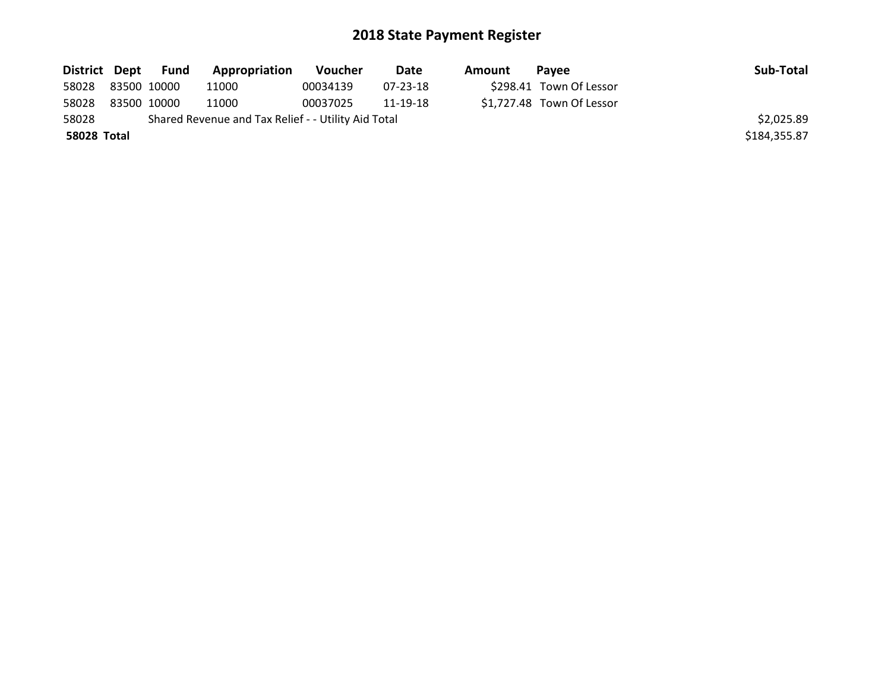|             | District Dept Fund | <b>Appropriation</b>                                | <b>Voucher</b> | Date     | Amount | Pavee                     | Sub-Total    |
|-------------|--------------------|-----------------------------------------------------|----------------|----------|--------|---------------------------|--------------|
| 58028       | 83500 10000        | 11000                                               | 00034139       | 07-23-18 |        | \$298.41 Town Of Lessor   |              |
| 58028       | 83500 10000        | 11000                                               | 00037025       | 11-19-18 |        | \$1,727.48 Town Of Lessor |              |
| 58028       |                    | Shared Revenue and Tax Relief - - Utility Aid Total |                |          |        |                           | \$2,025.89   |
| 58028 Total |                    |                                                     |                |          |        |                           | \$184,355.87 |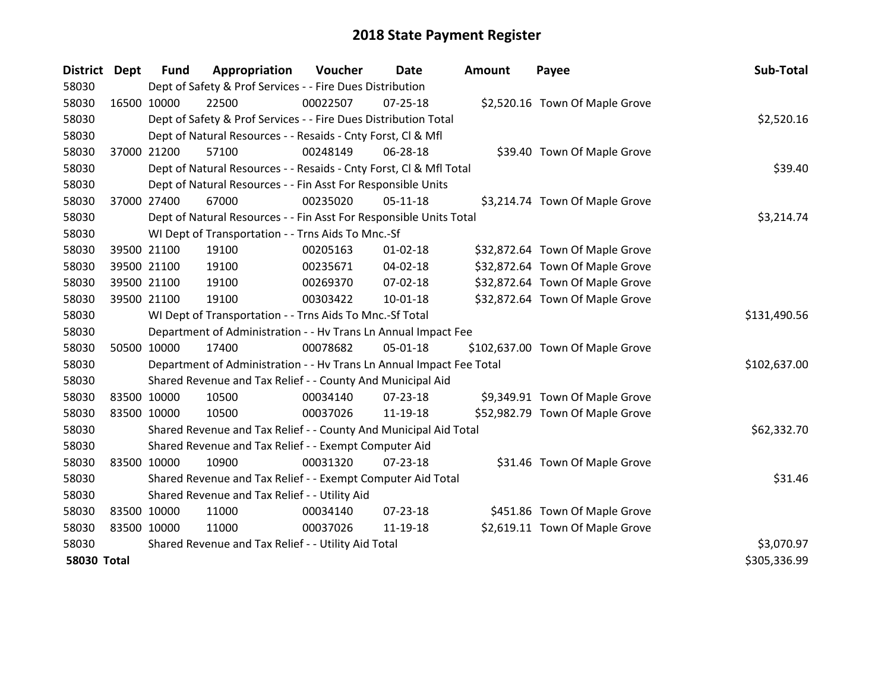| District           | Dept        | <b>Fund</b>                                         | Appropriation                                                        | Voucher  | Date           | <b>Amount</b> | Payee                            | Sub-Total    |
|--------------------|-------------|-----------------------------------------------------|----------------------------------------------------------------------|----------|----------------|---------------|----------------------------------|--------------|
| 58030              |             |                                                     | Dept of Safety & Prof Services - - Fire Dues Distribution            |          |                |               |                                  |              |
| 58030              | 16500 10000 |                                                     | 22500                                                                | 00022507 | $07 - 25 - 18$ |               | \$2,520.16 Town Of Maple Grove   |              |
| 58030              |             |                                                     | Dept of Safety & Prof Services - - Fire Dues Distribution Total      |          |                |               |                                  | \$2,520.16   |
| 58030              |             |                                                     | Dept of Natural Resources - - Resaids - Cnty Forst, CI & Mfl         |          |                |               |                                  |              |
| 58030              | 37000 21200 |                                                     | 57100                                                                | 00248149 | 06-28-18       |               | \$39.40 Town Of Maple Grove      |              |
| 58030              |             |                                                     | Dept of Natural Resources - - Resaids - Cnty Forst, CI & Mfl Total   |          |                |               |                                  | \$39.40      |
| 58030              |             |                                                     | Dept of Natural Resources - - Fin Asst For Responsible Units         |          |                |               |                                  |              |
| 58030              | 37000 27400 |                                                     | 67000                                                                | 00235020 | $05-11-18$     |               | \$3,214.74 Town Of Maple Grove   |              |
| 58030              |             |                                                     | Dept of Natural Resources - - Fin Asst For Responsible Units Total   |          | \$3,214.74     |               |                                  |              |
| 58030              |             |                                                     | WI Dept of Transportation - - Trns Aids To Mnc.-Sf                   |          |                |               |                                  |              |
| 58030              |             | 39500 21100                                         | 19100                                                                | 00205163 | $01 - 02 - 18$ |               | \$32,872.64 Town Of Maple Grove  |              |
| 58030              |             | 39500 21100                                         | 19100                                                                | 00235671 | 04-02-18       |               | \$32,872.64 Town Of Maple Grove  |              |
| 58030              |             | 39500 21100                                         | 19100                                                                | 00269370 | 07-02-18       |               | \$32,872.64 Town Of Maple Grove  |              |
| 58030              | 39500 21100 |                                                     | 19100                                                                | 00303422 | $10 - 01 - 18$ |               | \$32,872.64 Town Of Maple Grove  |              |
| 58030              |             |                                                     | WI Dept of Transportation - - Trns Aids To Mnc.-Sf Total             |          |                |               |                                  | \$131,490.56 |
| 58030              |             |                                                     | Department of Administration - - Hv Trans Ln Annual Impact Fee       |          |                |               |                                  |              |
| 58030              | 50500 10000 |                                                     | 17400                                                                | 00078682 | 05-01-18       |               | \$102,637.00 Town Of Maple Grove |              |
| 58030              |             |                                                     | Department of Administration - - Hv Trans Ln Annual Impact Fee Total |          |                |               |                                  | \$102,637.00 |
| 58030              |             |                                                     | Shared Revenue and Tax Relief - - County And Municipal Aid           |          |                |               |                                  |              |
| 58030              | 83500 10000 |                                                     | 10500                                                                | 00034140 | $07 - 23 - 18$ |               | \$9,349.91 Town Of Maple Grove   |              |
| 58030              | 83500 10000 |                                                     | 10500                                                                | 00037026 | 11-19-18       |               | \$52,982.79 Town Of Maple Grove  |              |
| 58030              |             |                                                     | Shared Revenue and Tax Relief - - County And Municipal Aid Total     |          |                |               |                                  | \$62,332.70  |
| 58030              |             |                                                     | Shared Revenue and Tax Relief - - Exempt Computer Aid                |          |                |               |                                  |              |
| 58030              | 83500 10000 |                                                     | 10900                                                                | 00031320 | $07 - 23 - 18$ |               | \$31.46 Town Of Maple Grove      |              |
| 58030              |             |                                                     | Shared Revenue and Tax Relief - - Exempt Computer Aid Total          |          |                |               |                                  | \$31.46      |
| 58030              |             |                                                     | Shared Revenue and Tax Relief - - Utility Aid                        |          |                |               |                                  |              |
| 58030              | 83500 10000 |                                                     | 11000                                                                | 00034140 | $07 - 23 - 18$ |               | \$451.86 Town Of Maple Grove     |              |
| 58030              | 83500 10000 |                                                     | 11000                                                                | 00037026 | 11-19-18       |               | \$2,619.11 Town Of Maple Grove   |              |
| 58030              |             | Shared Revenue and Tax Relief - - Utility Aid Total | \$3,070.97                                                           |          |                |               |                                  |              |
| <b>58030 Total</b> |             |                                                     |                                                                      |          |                |               |                                  | \$305,336.99 |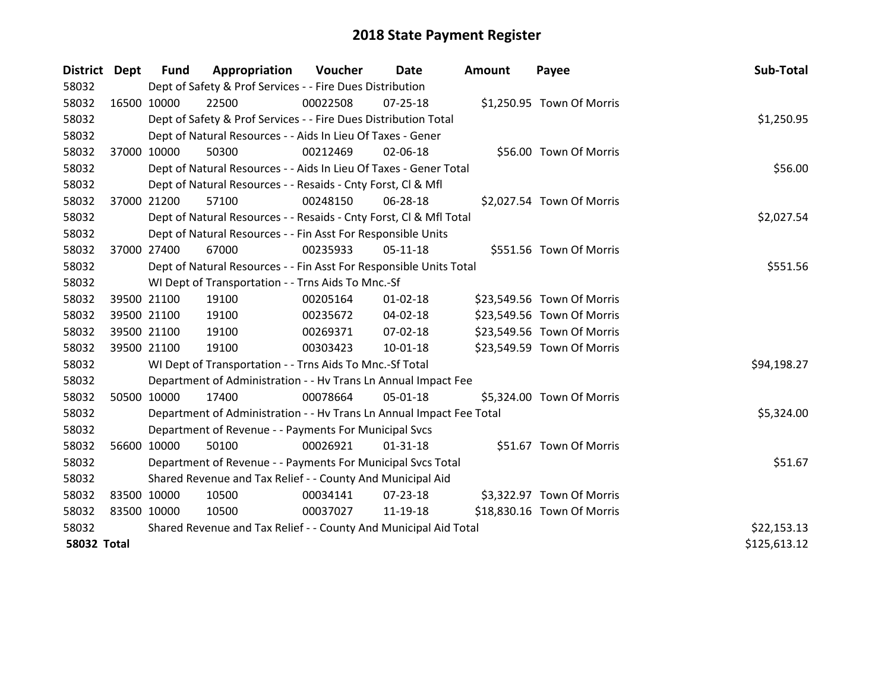| District Dept      |             | <b>Fund</b> | Appropriation                                                        | Voucher  | Date           | <b>Amount</b> | Payee                      | Sub-Total    |
|--------------------|-------------|-------------|----------------------------------------------------------------------|----------|----------------|---------------|----------------------------|--------------|
| 58032              |             |             | Dept of Safety & Prof Services - - Fire Dues Distribution            |          |                |               |                            |              |
| 58032              |             | 16500 10000 | 22500                                                                | 00022508 | 07-25-18       |               | \$1,250.95 Town Of Morris  |              |
| 58032              |             |             | Dept of Safety & Prof Services - - Fire Dues Distribution Total      |          |                |               |                            | \$1,250.95   |
| 58032              |             |             | Dept of Natural Resources - - Aids In Lieu Of Taxes - Gener          |          |                |               |                            |              |
| 58032              |             | 37000 10000 | 50300                                                                | 00212469 | 02-06-18       |               | \$56.00 Town Of Morris     |              |
| 58032              |             |             | Dept of Natural Resources - - Aids In Lieu Of Taxes - Gener Total    | \$56.00  |                |               |                            |              |
| 58032              |             |             | Dept of Natural Resources - - Resaids - Cnty Forst, Cl & Mfl         |          |                |               |                            |              |
| 58032              |             | 37000 21200 | 57100                                                                | 00248150 | 06-28-18       |               | \$2,027.54 Town Of Morris  |              |
| 58032              |             |             | Dept of Natural Resources - - Resaids - Cnty Forst, CI & Mfl Total   |          |                |               |                            | \$2,027.54   |
| 58032              |             |             | Dept of Natural Resources - - Fin Asst For Responsible Units         |          |                |               |                            |              |
| 58032              |             | 37000 27400 | 67000                                                                | 00235933 | $05-11-18$     |               | \$551.56 Town Of Morris    |              |
| 58032              |             |             | Dept of Natural Resources - - Fin Asst For Responsible Units Total   |          |                |               |                            | \$551.56     |
| 58032              |             |             | WI Dept of Transportation - - Trns Aids To Mnc.-Sf                   |          |                |               |                            |              |
| 58032              |             | 39500 21100 | 19100                                                                | 00205164 | $01 - 02 - 18$ |               | \$23,549.56 Town Of Morris |              |
| 58032              |             | 39500 21100 | 19100                                                                | 00235672 | 04-02-18       |               | \$23,549.56 Town Of Morris |              |
| 58032              |             | 39500 21100 | 19100                                                                | 00269371 | $07 - 02 - 18$ |               | \$23,549.56 Town Of Morris |              |
| 58032              |             | 39500 21100 | 19100                                                                | 00303423 | $10 - 01 - 18$ |               | \$23,549.59 Town Of Morris |              |
| 58032              |             |             | WI Dept of Transportation - - Trns Aids To Mnc.-Sf Total             |          |                |               |                            | \$94,198.27  |
| 58032              |             |             | Department of Administration - - Hv Trans Ln Annual Impact Fee       |          |                |               |                            |              |
| 58032              | 50500 10000 |             | 17400                                                                | 00078664 | 05-01-18       |               | \$5,324.00 Town Of Morris  |              |
| 58032              |             |             | Department of Administration - - Hv Trans Ln Annual Impact Fee Total |          |                |               |                            | \$5,324.00   |
| 58032              |             |             | Department of Revenue - - Payments For Municipal Svcs                |          |                |               |                            |              |
| 58032              |             | 56600 10000 | 50100                                                                | 00026921 | $01 - 31 - 18$ |               | \$51.67 Town Of Morris     |              |
| 58032              |             |             | Department of Revenue - - Payments For Municipal Svcs Total          |          |                |               |                            | \$51.67      |
| 58032              |             |             | Shared Revenue and Tax Relief - - County And Municipal Aid           |          |                |               |                            |              |
| 58032              | 83500 10000 |             | 10500                                                                | 00034141 | 07-23-18       |               | \$3,322.97 Town Of Morris  |              |
| 58032              | 83500 10000 |             | 10500                                                                | 00037027 | 11-19-18       |               | \$18,830.16 Town Of Morris |              |
| 58032              |             |             | Shared Revenue and Tax Relief - - County And Municipal Aid Total     |          |                |               |                            | \$22,153.13  |
| <b>58032 Total</b> |             |             |                                                                      |          |                |               |                            | \$125,613.12 |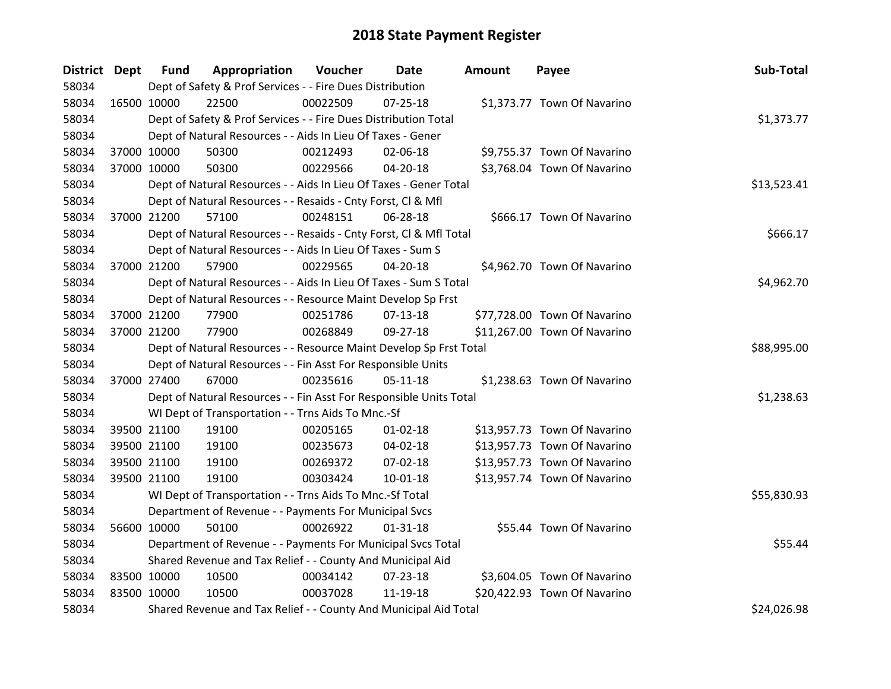| District Dept |             | <b>Fund</b> | Appropriation                                                      | Voucher  | Date           | <b>Amount</b> | Payee                        | Sub-Total   |
|---------------|-------------|-------------|--------------------------------------------------------------------|----------|----------------|---------------|------------------------------|-------------|
| 58034         |             |             | Dept of Safety & Prof Services - - Fire Dues Distribution          |          |                |               |                              |             |
| 58034         | 16500 10000 |             | 22500                                                              | 00022509 | $07 - 25 - 18$ |               | \$1,373.77 Town Of Navarino  |             |
| 58034         |             |             | Dept of Safety & Prof Services - - Fire Dues Distribution Total    |          |                |               |                              | \$1,373.77  |
| 58034         |             |             | Dept of Natural Resources - - Aids In Lieu Of Taxes - Gener        |          |                |               |                              |             |
| 58034         |             | 37000 10000 | 50300                                                              | 00212493 | 02-06-18       |               | \$9,755.37 Town Of Navarino  |             |
| 58034         |             | 37000 10000 | 50300                                                              | 00229566 | $04 - 20 - 18$ |               | \$3,768.04 Town Of Navarino  |             |
| 58034         |             |             | Dept of Natural Resources - - Aids In Lieu Of Taxes - Gener Total  |          |                |               |                              | \$13,523.41 |
| 58034         |             |             | Dept of Natural Resources - - Resaids - Cnty Forst, Cl & Mfl       |          |                |               |                              |             |
| 58034         |             | 37000 21200 | 57100                                                              | 00248151 | 06-28-18       |               | \$666.17 Town Of Navarino    |             |
| 58034         |             |             | Dept of Natural Resources - - Resaids - Cnty Forst, CI & Mfl Total |          |                |               |                              | \$666.17    |
| 58034         |             |             | Dept of Natural Resources - - Aids In Lieu Of Taxes - Sum S        |          |                |               |                              |             |
| 58034         |             | 37000 21200 | 57900                                                              | 00229565 | $04 - 20 - 18$ |               | \$4,962.70 Town Of Navarino  |             |
| 58034         |             |             | Dept of Natural Resources - - Aids In Lieu Of Taxes - Sum S Total  |          |                |               |                              | \$4,962.70  |
| 58034         |             |             | Dept of Natural Resources - - Resource Maint Develop Sp Frst       |          |                |               |                              |             |
| 58034         |             | 37000 21200 | 77900                                                              | 00251786 | 07-13-18       |               | \$77,728.00 Town Of Navarino |             |
| 58034         |             | 37000 21200 | 77900                                                              | 00268849 | 09-27-18       |               | \$11,267.00 Town Of Navarino |             |
| 58034         |             |             | Dept of Natural Resources - - Resource Maint Develop Sp Frst Total |          |                |               |                              | \$88,995.00 |
| 58034         |             |             | Dept of Natural Resources - - Fin Asst For Responsible Units       |          |                |               |                              |             |
| 58034         | 37000 27400 |             | 67000                                                              | 00235616 | $05 - 11 - 18$ |               | \$1,238.63 Town Of Navarino  |             |
| 58034         |             |             | Dept of Natural Resources - - Fin Asst For Responsible Units Total |          |                |               |                              | \$1,238.63  |
| 58034         |             |             | WI Dept of Transportation - - Trns Aids To Mnc.-Sf                 |          |                |               |                              |             |
| 58034         |             | 39500 21100 | 19100                                                              | 00205165 | $01 - 02 - 18$ |               | \$13,957.73 Town Of Navarino |             |
| 58034         |             | 39500 21100 | 19100                                                              | 00235673 | 04-02-18       |               | \$13,957.73 Town Of Navarino |             |
| 58034         |             | 39500 21100 | 19100                                                              | 00269372 | 07-02-18       |               | \$13,957.73 Town Of Navarino |             |
| 58034         |             | 39500 21100 | 19100                                                              | 00303424 | $10 - 01 - 18$ |               | \$13,957.74 Town Of Navarino |             |
| 58034         |             |             | WI Dept of Transportation - - Trns Aids To Mnc.-Sf Total           |          |                |               |                              | \$55,830.93 |
| 58034         |             |             | Department of Revenue - - Payments For Municipal Svcs              |          |                |               |                              |             |
| 58034         |             | 56600 10000 | 50100                                                              | 00026922 | $01 - 31 - 18$ |               | \$55.44 Town Of Navarino     |             |
| 58034         |             |             | Department of Revenue - - Payments For Municipal Svcs Total        |          |                |               |                              | \$55.44     |
| 58034         |             |             | Shared Revenue and Tax Relief - - County And Municipal Aid         |          |                |               |                              |             |
| 58034         | 83500 10000 |             | 10500                                                              | 00034142 | 07-23-18       |               | \$3,604.05 Town Of Navarino  |             |
| 58034         | 83500 10000 |             | 10500                                                              | 00037028 | 11-19-18       |               | \$20,422.93 Town Of Navarino |             |
| 58034         |             |             | Shared Revenue and Tax Relief - - County And Municipal Aid Total   |          |                |               |                              | \$24,026.98 |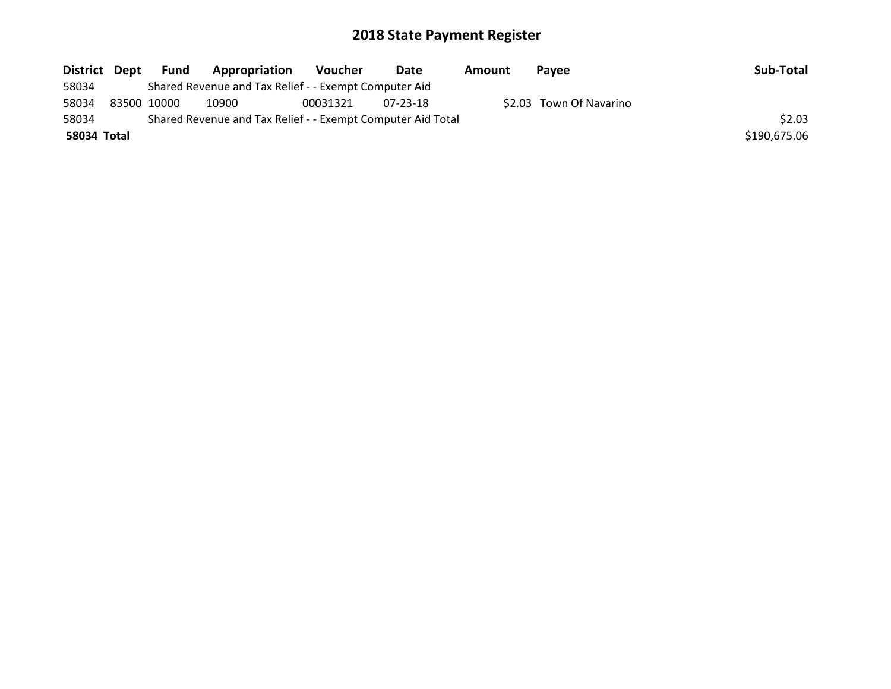| District Dept |             | Fund | Appropriation                                               | Voucher  | Date     | Amount | Pavee                   | Sub-Total    |
|---------------|-------------|------|-------------------------------------------------------------|----------|----------|--------|-------------------------|--------------|
| 58034         |             |      | Shared Revenue and Tax Relief - - Exempt Computer Aid       |          |          |        |                         |              |
| 58034         | 83500 10000 |      | 10900                                                       | 00031321 | 07-23-18 |        | \$2.03 Town Of Navarino |              |
| 58034         |             |      | Shared Revenue and Tax Relief - - Exempt Computer Aid Total |          |          |        |                         | \$2.03       |
| 58034 Total   |             |      |                                                             |          |          |        |                         | \$190,675.06 |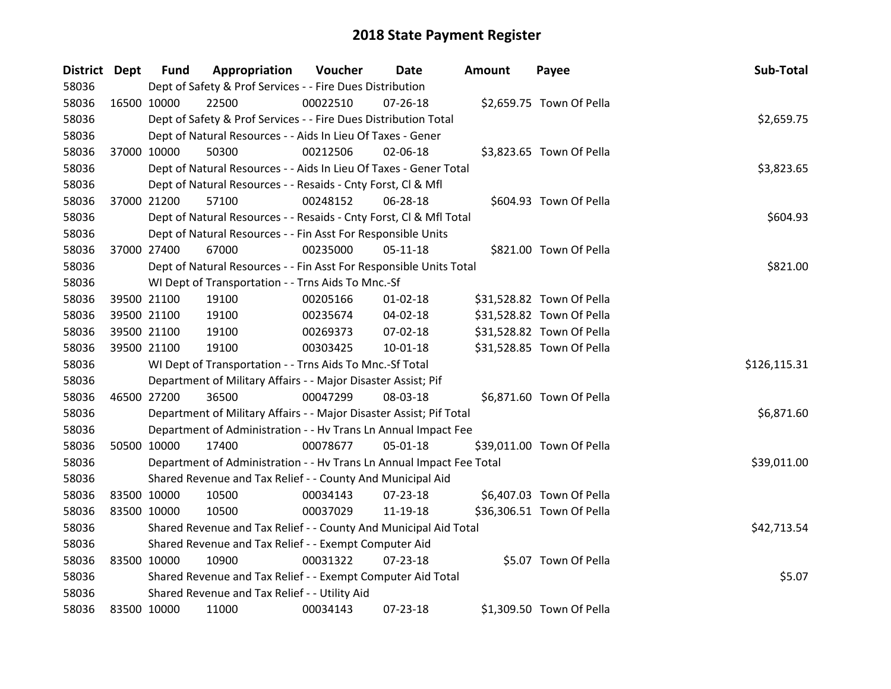| District Dept |             | <b>Fund</b>                                                     | Appropriation                                                        | Voucher  | Date           | <b>Amount</b> | Payee                     | Sub-Total    |
|---------------|-------------|-----------------------------------------------------------------|----------------------------------------------------------------------|----------|----------------|---------------|---------------------------|--------------|
| 58036         |             |                                                                 | Dept of Safety & Prof Services - - Fire Dues Distribution            |          |                |               |                           |              |
| 58036         | 16500 10000 |                                                                 | 22500                                                                | 00022510 | 07-26-18       |               | \$2,659.75 Town Of Pella  |              |
| 58036         |             | Dept of Safety & Prof Services - - Fire Dues Distribution Total | \$2,659.75                                                           |          |                |               |                           |              |
| 58036         |             |                                                                 | Dept of Natural Resources - - Aids In Lieu Of Taxes - Gener          |          |                |               |                           |              |
| 58036         | 37000 10000 |                                                                 | 50300                                                                | 00212506 | 02-06-18       |               | \$3,823.65 Town Of Pella  |              |
| 58036         |             |                                                                 | Dept of Natural Resources - - Aids In Lieu Of Taxes - Gener Total    |          |                |               |                           | \$3,823.65   |
| 58036         |             |                                                                 | Dept of Natural Resources - - Resaids - Cnty Forst, Cl & Mfl         |          |                |               |                           |              |
| 58036         |             | 37000 21200                                                     | 57100                                                                | 00248152 | 06-28-18       |               | \$604.93 Town Of Pella    |              |
| 58036         |             |                                                                 | Dept of Natural Resources - - Resaids - Cnty Forst, CI & Mfl Total   |          |                |               |                           | \$604.93     |
| 58036         |             |                                                                 | Dept of Natural Resources - - Fin Asst For Responsible Units         |          |                |               |                           |              |
| 58036         |             | 37000 27400                                                     | 67000                                                                | 00235000 | $05-11-18$     |               | \$821.00 Town Of Pella    |              |
| 58036         |             |                                                                 | Dept of Natural Resources - - Fin Asst For Responsible Units Total   |          |                |               |                           | \$821.00     |
| 58036         |             |                                                                 | WI Dept of Transportation - - Trns Aids To Mnc.-Sf                   |          |                |               |                           |              |
| 58036         |             | 39500 21100                                                     | 19100                                                                | 00205166 | 01-02-18       |               | \$31,528.82 Town Of Pella |              |
| 58036         |             | 39500 21100                                                     | 19100                                                                | 00235674 | 04-02-18       |               | \$31,528.82 Town Of Pella |              |
| 58036         |             | 39500 21100                                                     | 19100                                                                | 00269373 | 07-02-18       |               | \$31,528.82 Town Of Pella |              |
| 58036         |             | 39500 21100                                                     | 19100                                                                | 00303425 | $10 - 01 - 18$ |               | \$31,528.85 Town Of Pella |              |
| 58036         |             |                                                                 | WI Dept of Transportation - - Trns Aids To Mnc.-Sf Total             |          |                |               |                           | \$126,115.31 |
| 58036         |             |                                                                 | Department of Military Affairs - - Major Disaster Assist; Pif        |          |                |               |                           |              |
| 58036         | 46500 27200 |                                                                 | 36500                                                                | 00047299 | 08-03-18       |               | \$6,871.60 Town Of Pella  |              |
| 58036         |             |                                                                 | Department of Military Affairs - - Major Disaster Assist; Pif Total  |          |                |               |                           | \$6,871.60   |
| 58036         |             |                                                                 | Department of Administration - - Hv Trans Ln Annual Impact Fee       |          |                |               |                           |              |
| 58036         |             | 50500 10000                                                     | 17400                                                                | 00078677 | 05-01-18       |               | \$39,011.00 Town Of Pella |              |
| 58036         |             |                                                                 | Department of Administration - - Hv Trans Ln Annual Impact Fee Total |          |                |               |                           | \$39,011.00  |
| 58036         |             |                                                                 | Shared Revenue and Tax Relief - - County And Municipal Aid           |          |                |               |                           |              |
| 58036         | 83500 10000 |                                                                 | 10500                                                                | 00034143 | 07-23-18       |               | \$6,407.03 Town Of Pella  |              |
| 58036         | 83500 10000 |                                                                 | 10500                                                                | 00037029 | 11-19-18       |               | \$36,306.51 Town Of Pella |              |
| 58036         |             |                                                                 | Shared Revenue and Tax Relief - - County And Municipal Aid Total     |          |                |               |                           | \$42,713.54  |
| 58036         |             |                                                                 | Shared Revenue and Tax Relief - - Exempt Computer Aid                |          |                |               |                           |              |
| 58036         | 83500 10000 |                                                                 | 10900                                                                | 00031322 | 07-23-18       |               | \$5.07 Town Of Pella      |              |
| 58036         |             |                                                                 | Shared Revenue and Tax Relief - - Exempt Computer Aid Total          |          |                |               |                           | \$5.07       |
| 58036         |             |                                                                 | Shared Revenue and Tax Relief - - Utility Aid                        |          |                |               |                           |              |
| 58036         | 83500 10000 |                                                                 | 11000                                                                | 00034143 | 07-23-18       |               | \$1,309.50 Town Of Pella  |              |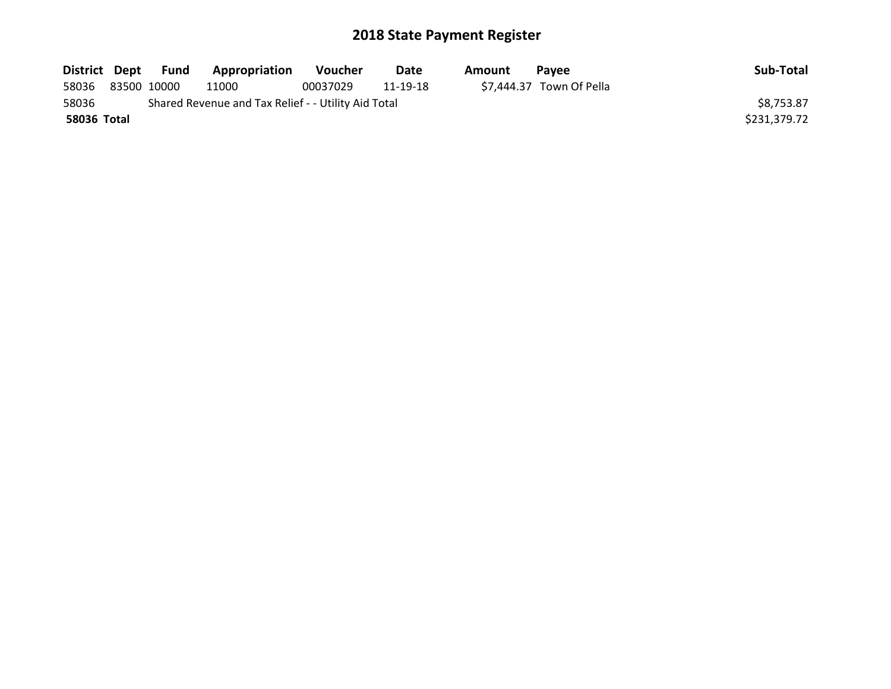|             | District Dept Fund | Appropriation                                       | Voucher  | Date     | Amount | <b>Pavee</b>             | Sub-Total    |
|-------------|--------------------|-----------------------------------------------------|----------|----------|--------|--------------------------|--------------|
| 58036       | 83500 10000        | 11000                                               | 00037029 | 11-19-18 |        | \$7,444.37 Town Of Pella |              |
| 58036       |                    | Shared Revenue and Tax Relief - - Utility Aid Total |          |          |        |                          | \$8,753.87   |
| 58036 Total |                    |                                                     |          |          |        |                          | \$231,379.72 |
|             |                    |                                                     |          |          |        |                          |              |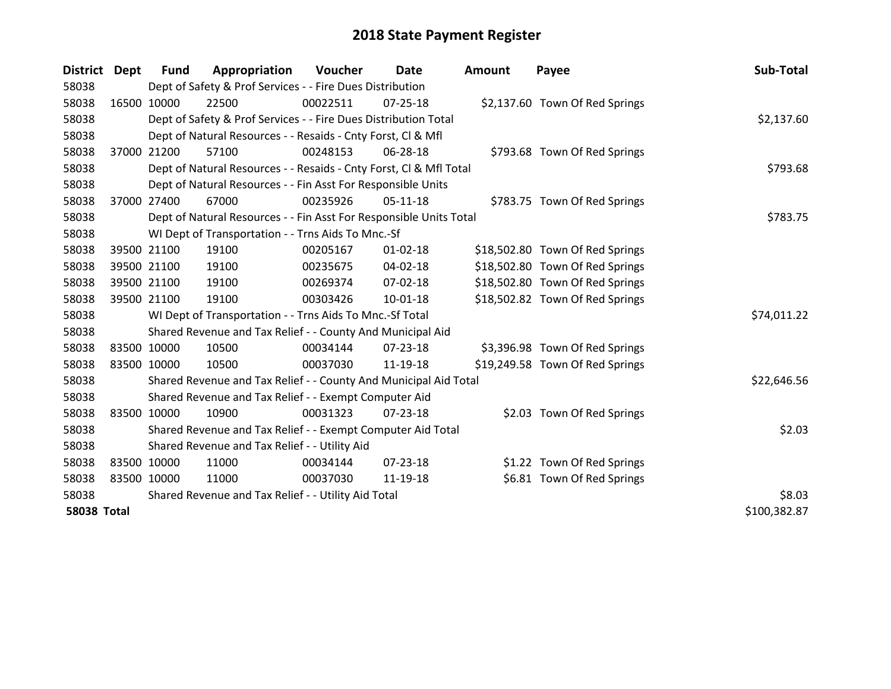| District           | <b>Dept</b> | <b>Fund</b>                                   | Appropriation                                                      | Voucher  | Date           | Amount | Payee                           | Sub-Total    |
|--------------------|-------------|-----------------------------------------------|--------------------------------------------------------------------|----------|----------------|--------|---------------------------------|--------------|
| 58038              |             |                                               | Dept of Safety & Prof Services - - Fire Dues Distribution          |          |                |        |                                 |              |
| 58038              |             | 16500 10000                                   | 22500                                                              | 00022511 | $07 - 25 - 18$ |        | \$2,137.60 Town Of Red Springs  |              |
| 58038              |             |                                               | Dept of Safety & Prof Services - - Fire Dues Distribution Total    |          |                |        |                                 | \$2,137.60   |
| 58038              |             |                                               | Dept of Natural Resources - - Resaids - Cnty Forst, CI & Mfl       |          |                |        |                                 |              |
| 58038              |             | 37000 21200                                   | 57100                                                              | 00248153 | 06-28-18       |        | \$793.68 Town Of Red Springs    |              |
| 58038              |             |                                               | Dept of Natural Resources - - Resaids - Cnty Forst, Cl & Mfl Total | \$793.68 |                |        |                                 |              |
| 58038              |             |                                               | Dept of Natural Resources - - Fin Asst For Responsible Units       |          |                |        |                                 |              |
| 58038              |             | 37000 27400                                   | 67000                                                              | 00235926 | $05-11-18$     |        | \$783.75 Town Of Red Springs    |              |
| 58038              |             |                                               | Dept of Natural Resources - - Fin Asst For Responsible Units Total |          |                |        |                                 | \$783.75     |
| 58038              |             |                                               | WI Dept of Transportation - - Trns Aids To Mnc.-Sf                 |          |                |        |                                 |              |
| 58038              |             | 39500 21100                                   | 19100                                                              | 00205167 | $01 - 02 - 18$ |        | \$18,502.80 Town Of Red Springs |              |
| 58038              |             | 39500 21100                                   | 19100                                                              | 00235675 | 04-02-18       |        | \$18,502.80 Town Of Red Springs |              |
| 58038              |             | 39500 21100                                   | 19100                                                              | 00269374 | 07-02-18       |        | \$18,502.80 Town Of Red Springs |              |
| 58038              |             | 39500 21100                                   | 19100                                                              | 00303426 | $10 - 01 - 18$ |        | \$18,502.82 Town Of Red Springs |              |
| 58038              |             |                                               | WI Dept of Transportation - - Trns Aids To Mnc.-Sf Total           |          |                |        |                                 | \$74,011.22  |
| 58038              |             |                                               | Shared Revenue and Tax Relief - - County And Municipal Aid         |          |                |        |                                 |              |
| 58038              |             | 83500 10000                                   | 10500                                                              | 00034144 | $07 - 23 - 18$ |        | \$3,396.98 Town Of Red Springs  |              |
| 58038              |             | 83500 10000                                   | 10500                                                              | 00037030 | 11-19-18       |        | \$19,249.58 Town Of Red Springs |              |
| 58038              |             |                                               | Shared Revenue and Tax Relief - - County And Municipal Aid Total   |          |                |        |                                 | \$22,646.56  |
| 58038              |             |                                               | Shared Revenue and Tax Relief - - Exempt Computer Aid              |          |                |        |                                 |              |
| 58038              |             | 83500 10000                                   | 10900                                                              | 00031323 | 07-23-18       |        | \$2.03 Town Of Red Springs      |              |
| 58038              |             |                                               | Shared Revenue and Tax Relief - - Exempt Computer Aid Total        |          |                |        |                                 | \$2.03       |
| 58038              |             | Shared Revenue and Tax Relief - - Utility Aid |                                                                    |          |                |        |                                 |              |
| 58038              |             | 83500 10000                                   | 11000                                                              | 00034144 | $07 - 23 - 18$ |        | \$1.22 Town Of Red Springs      |              |
| 58038              |             | 83500 10000                                   | 11000                                                              | 00037030 | 11-19-18       |        | \$6.81 Town Of Red Springs      |              |
| 58038              |             |                                               | Shared Revenue and Tax Relief - - Utility Aid Total                |          |                |        |                                 | \$8.03       |
| <b>58038 Total</b> |             |                                               |                                                                    |          |                |        |                                 | \$100,382.87 |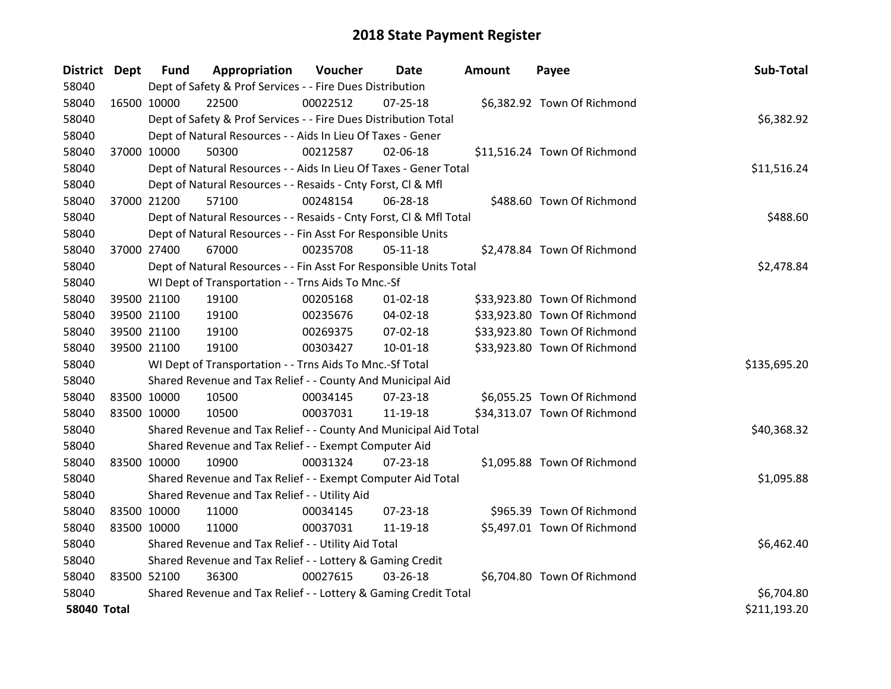| District Dept      |             | <b>Fund</b>                                               | Appropriation                                                      | Voucher  | Date           | <b>Amount</b> | Payee                        | Sub-Total    |
|--------------------|-------------|-----------------------------------------------------------|--------------------------------------------------------------------|----------|----------------|---------------|------------------------------|--------------|
| 58040              |             |                                                           | Dept of Safety & Prof Services - - Fire Dues Distribution          |          |                |               |                              |              |
| 58040              | 16500 10000 |                                                           | 22500                                                              | 00022512 | $07 - 25 - 18$ |               | \$6,382.92 Town Of Richmond  |              |
| 58040              |             |                                                           | Dept of Safety & Prof Services - - Fire Dues Distribution Total    |          |                |               |                              | \$6,382.92   |
| 58040              |             |                                                           | Dept of Natural Resources - - Aids In Lieu Of Taxes - Gener        |          |                |               |                              |              |
| 58040              | 37000 10000 |                                                           | 50300                                                              | 00212587 | 02-06-18       |               | \$11,516.24 Town Of Richmond |              |
| 58040              |             |                                                           | Dept of Natural Resources - - Aids In Lieu Of Taxes - Gener Total  |          |                |               |                              | \$11,516.24  |
| 58040              |             |                                                           | Dept of Natural Resources - - Resaids - Cnty Forst, Cl & Mfl       |          |                |               |                              |              |
| 58040              | 37000 21200 |                                                           | 57100                                                              | 00248154 | 06-28-18       |               | \$488.60 Town Of Richmond    |              |
| 58040              |             |                                                           | Dept of Natural Resources - - Resaids - Cnty Forst, CI & Mfl Total |          |                |               |                              | \$488.60     |
| 58040              |             |                                                           | Dept of Natural Resources - - Fin Asst For Responsible Units       |          |                |               |                              |              |
| 58040              | 37000 27400 |                                                           | 67000                                                              | 00235708 | $05-11-18$     |               | \$2,478.84 Town Of Richmond  |              |
| 58040              |             |                                                           | Dept of Natural Resources - - Fin Asst For Responsible Units Total |          |                |               |                              | \$2,478.84   |
| 58040              |             |                                                           | WI Dept of Transportation - - Trns Aids To Mnc.-Sf                 |          |                |               |                              |              |
| 58040              |             | 39500 21100                                               | 19100                                                              | 00205168 | $01 - 02 - 18$ |               | \$33,923.80 Town Of Richmond |              |
| 58040              |             | 39500 21100                                               | 19100                                                              | 00235676 | 04-02-18       |               | \$33,923.80 Town Of Richmond |              |
| 58040              |             | 39500 21100                                               | 19100                                                              | 00269375 | 07-02-18       |               | \$33,923.80 Town Of Richmond |              |
| 58040              | 39500 21100 |                                                           | 19100                                                              | 00303427 | $10 - 01 - 18$ |               | \$33,923.80 Town Of Richmond |              |
| 58040              |             |                                                           | WI Dept of Transportation - - Trns Aids To Mnc.-Sf Total           |          |                |               |                              | \$135,695.20 |
| 58040              |             |                                                           | Shared Revenue and Tax Relief - - County And Municipal Aid         |          |                |               |                              |              |
| 58040              | 83500 10000 |                                                           | 10500                                                              | 00034145 | 07-23-18       |               | \$6,055.25 Town Of Richmond  |              |
| 58040              | 83500 10000 |                                                           | 10500                                                              | 00037031 | 11-19-18       |               | \$34,313.07 Town Of Richmond |              |
| 58040              |             |                                                           | Shared Revenue and Tax Relief - - County And Municipal Aid Total   |          |                |               |                              | \$40,368.32  |
| 58040              |             |                                                           | Shared Revenue and Tax Relief - - Exempt Computer Aid              |          |                |               |                              |              |
| 58040              | 83500 10000 |                                                           | 10900                                                              | 00031324 | $07 - 23 - 18$ |               | \$1,095.88 Town Of Richmond  |              |
| 58040              |             |                                                           | Shared Revenue and Tax Relief - - Exempt Computer Aid Total        |          |                |               |                              | \$1,095.88   |
| 58040              |             |                                                           | Shared Revenue and Tax Relief - - Utility Aid                      |          |                |               |                              |              |
| 58040              | 83500 10000 |                                                           | 11000                                                              | 00034145 | 07-23-18       |               | \$965.39 Town Of Richmond    |              |
| 58040              | 83500 10000 |                                                           | 11000                                                              | 00037031 | 11-19-18       |               | \$5,497.01 Town Of Richmond  |              |
| 58040              |             |                                                           | Shared Revenue and Tax Relief - - Utility Aid Total                |          |                |               |                              | \$6,462.40   |
| 58040              |             | Shared Revenue and Tax Relief - - Lottery & Gaming Credit |                                                                    |          |                |               |                              |              |
| 58040              | 83500 52100 |                                                           | 36300                                                              | 00027615 | 03-26-18       |               | \$6,704.80 Town Of Richmond  |              |
| 58040              |             |                                                           | Shared Revenue and Tax Relief - - Lottery & Gaming Credit Total    |          |                |               |                              | \$6,704.80   |
| <b>58040 Total</b> |             |                                                           |                                                                    |          |                |               |                              | \$211,193.20 |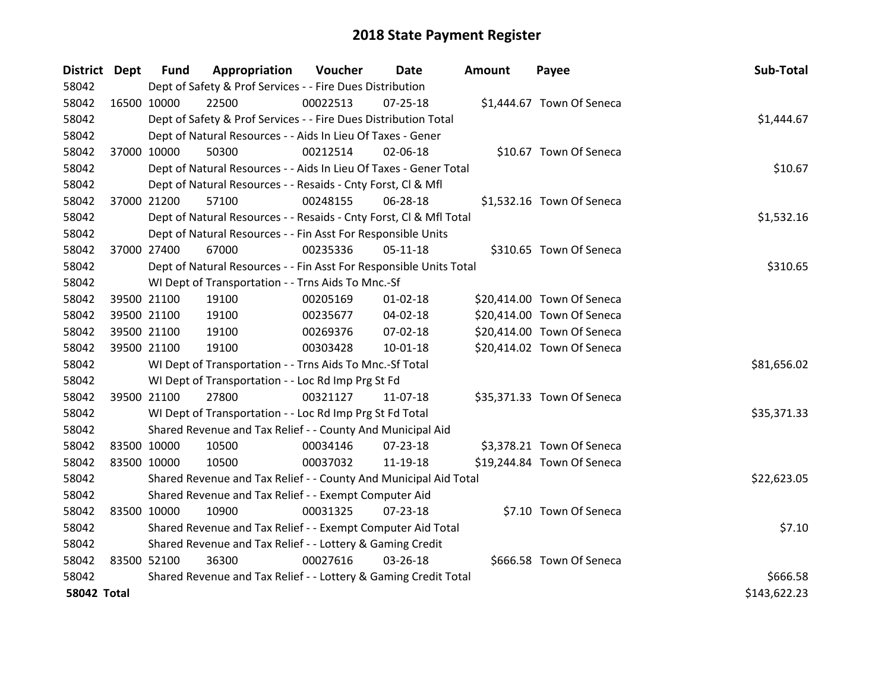| District Dept      |             | <b>Fund</b>                                                     | Appropriation                                                      | Voucher  | <b>Date</b>    | <b>Amount</b> | Payee                      | Sub-Total    |
|--------------------|-------------|-----------------------------------------------------------------|--------------------------------------------------------------------|----------|----------------|---------------|----------------------------|--------------|
| 58042              |             |                                                                 | Dept of Safety & Prof Services - - Fire Dues Distribution          |          |                |               |                            |              |
| 58042              | 16500 10000 |                                                                 | 22500                                                              | 00022513 | 07-25-18       |               | \$1,444.67 Town Of Seneca  |              |
| 58042              |             |                                                                 | Dept of Safety & Prof Services - - Fire Dues Distribution Total    |          |                |               |                            | \$1,444.67   |
| 58042              |             |                                                                 | Dept of Natural Resources - - Aids In Lieu Of Taxes - Gener        |          |                |               |                            |              |
| 58042              | 37000 10000 |                                                                 | 50300                                                              | 00212514 | 02-06-18       |               | \$10.67 Town Of Seneca     |              |
| 58042              |             |                                                                 | Dept of Natural Resources - - Aids In Lieu Of Taxes - Gener Total  |          |                |               |                            | \$10.67      |
| 58042              |             |                                                                 | Dept of Natural Resources - - Resaids - Cnty Forst, Cl & Mfl       |          |                |               |                            |              |
| 58042              |             | 37000 21200                                                     | 57100                                                              | 00248155 | 06-28-18       |               | \$1,532.16 Town Of Seneca  |              |
| 58042              |             |                                                                 | Dept of Natural Resources - - Resaids - Cnty Forst, Cl & Mfl Total |          |                |               |                            | \$1,532.16   |
| 58042              |             |                                                                 | Dept of Natural Resources - - Fin Asst For Responsible Units       |          |                |               |                            |              |
| 58042              | 37000 27400 |                                                                 | 67000                                                              | 00235336 | $05-11-18$     |               | \$310.65 Town Of Seneca    |              |
| 58042              |             |                                                                 | Dept of Natural Resources - - Fin Asst For Responsible Units Total |          |                |               |                            | \$310.65     |
| 58042              |             |                                                                 | WI Dept of Transportation - - Trns Aids To Mnc.-Sf                 |          |                |               |                            |              |
| 58042              |             | 39500 21100                                                     | 19100                                                              | 00205169 | $01 - 02 - 18$ |               | \$20,414.00 Town Of Seneca |              |
| 58042              |             | 39500 21100                                                     | 19100                                                              | 00235677 | 04-02-18       |               | \$20,414.00 Town Of Seneca |              |
| 58042              |             | 39500 21100                                                     | 19100                                                              | 00269376 | 07-02-18       |               | \$20,414.00 Town Of Seneca |              |
| 58042              | 39500 21100 |                                                                 | 19100                                                              | 00303428 | $10 - 01 - 18$ |               | \$20,414.02 Town Of Seneca |              |
| 58042              |             |                                                                 | WI Dept of Transportation - - Trns Aids To Mnc.-Sf Total           |          |                |               |                            | \$81,656.02  |
| 58042              |             |                                                                 | WI Dept of Transportation - - Loc Rd Imp Prg St Fd                 |          |                |               |                            |              |
| 58042              | 39500 21100 |                                                                 | 27800                                                              | 00321127 | 11-07-18       |               | \$35,371.33 Town Of Seneca |              |
| 58042              |             |                                                                 | WI Dept of Transportation - - Loc Rd Imp Prg St Fd Total           |          |                |               |                            | \$35,371.33  |
| 58042              |             |                                                                 | Shared Revenue and Tax Relief - - County And Municipal Aid         |          |                |               |                            |              |
| 58042              | 83500 10000 |                                                                 | 10500                                                              | 00034146 | 07-23-18       |               | \$3,378.21 Town Of Seneca  |              |
| 58042              | 83500 10000 |                                                                 | 10500                                                              | 00037032 | 11-19-18       |               | \$19,244.84 Town Of Seneca |              |
| 58042              |             |                                                                 | Shared Revenue and Tax Relief - - County And Municipal Aid Total   |          |                |               |                            | \$22,623.05  |
| 58042              |             |                                                                 | Shared Revenue and Tax Relief - - Exempt Computer Aid              |          |                |               |                            |              |
| 58042              | 83500 10000 |                                                                 | 10900                                                              | 00031325 | $07 - 23 - 18$ |               | \$7.10 Town Of Seneca      |              |
| 58042              |             |                                                                 | Shared Revenue and Tax Relief - - Exempt Computer Aid Total        |          |                |               |                            | \$7.10       |
| 58042              |             |                                                                 | Shared Revenue and Tax Relief - - Lottery & Gaming Credit          |          |                |               |                            |              |
| 58042              | 83500 52100 |                                                                 | 36300                                                              | 00027616 | 03-26-18       |               | \$666.58 Town Of Seneca    |              |
| 58042              |             | Shared Revenue and Tax Relief - - Lottery & Gaming Credit Total | \$666.58                                                           |          |                |               |                            |              |
| <b>58042 Total</b> |             |                                                                 |                                                                    |          |                |               |                            | \$143,622.23 |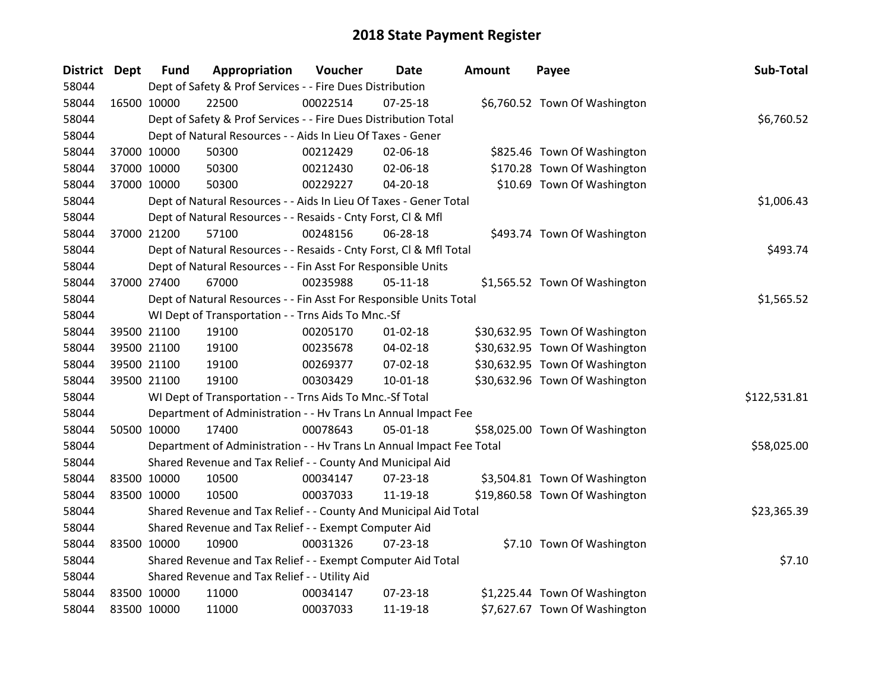| District Dept |             | <b>Fund</b> | Appropriation                                                        | Voucher  | Date           | <b>Amount</b> | Payee                          | Sub-Total    |
|---------------|-------------|-------------|----------------------------------------------------------------------|----------|----------------|---------------|--------------------------------|--------------|
| 58044         |             |             | Dept of Safety & Prof Services - - Fire Dues Distribution            |          |                |               |                                |              |
| 58044         | 16500 10000 |             | 22500                                                                | 00022514 | $07 - 25 - 18$ |               | \$6,760.52 Town Of Washington  |              |
| 58044         |             |             | Dept of Safety & Prof Services - - Fire Dues Distribution Total      |          |                |               |                                | \$6,760.52   |
| 58044         |             |             | Dept of Natural Resources - - Aids In Lieu Of Taxes - Gener          |          |                |               |                                |              |
| 58044         | 37000 10000 |             | 50300                                                                | 00212429 | 02-06-18       |               | \$825.46 Town Of Washington    |              |
| 58044         |             | 37000 10000 | 50300                                                                | 00212430 | 02-06-18       |               | \$170.28 Town Of Washington    |              |
| 58044         | 37000 10000 |             | 50300                                                                | 00229227 | $04 - 20 - 18$ |               | \$10.69 Town Of Washington     |              |
| 58044         |             |             | Dept of Natural Resources - - Aids In Lieu Of Taxes - Gener Total    |          |                |               |                                | \$1,006.43   |
| 58044         |             |             | Dept of Natural Resources - - Resaids - Cnty Forst, Cl & Mfl         |          |                |               |                                |              |
| 58044         | 37000 21200 |             | 57100                                                                | 00248156 | 06-28-18       |               | \$493.74 Town Of Washington    |              |
| 58044         |             |             | Dept of Natural Resources - - Resaids - Cnty Forst, CI & Mfl Total   |          |                |               |                                | \$493.74     |
| 58044         |             |             | Dept of Natural Resources - - Fin Asst For Responsible Units         |          |                |               |                                |              |
| 58044         |             | 37000 27400 | 67000                                                                | 00235988 | $05 - 11 - 18$ |               | \$1,565.52 Town Of Washington  |              |
| 58044         |             |             | Dept of Natural Resources - - Fin Asst For Responsible Units Total   |          |                |               |                                | \$1,565.52   |
| 58044         |             |             | WI Dept of Transportation - - Trns Aids To Mnc.-Sf                   |          |                |               |                                |              |
| 58044         |             | 39500 21100 | 19100                                                                | 00205170 | $01 - 02 - 18$ |               | \$30,632.95 Town Of Washington |              |
| 58044         |             | 39500 21100 | 19100                                                                | 00235678 | 04-02-18       |               | \$30,632.95 Town Of Washington |              |
| 58044         | 39500 21100 |             | 19100                                                                | 00269377 | 07-02-18       |               | \$30,632.95 Town Of Washington |              |
| 58044         |             | 39500 21100 | 19100                                                                | 00303429 | $10 - 01 - 18$ |               | \$30,632.96 Town Of Washington |              |
| 58044         |             |             | WI Dept of Transportation - - Trns Aids To Mnc.-Sf Total             |          |                |               |                                | \$122,531.81 |
| 58044         |             |             | Department of Administration - - Hv Trans Ln Annual Impact Fee       |          |                |               |                                |              |
| 58044         | 50500 10000 |             | 17400                                                                | 00078643 | $05 - 01 - 18$ |               | \$58,025.00 Town Of Washington |              |
| 58044         |             |             | Department of Administration - - Hv Trans Ln Annual Impact Fee Total |          |                |               |                                | \$58,025.00  |
| 58044         |             |             | Shared Revenue and Tax Relief - - County And Municipal Aid           |          |                |               |                                |              |
| 58044         | 83500 10000 |             | 10500                                                                | 00034147 | 07-23-18       |               | \$3,504.81 Town Of Washington  |              |
| 58044         | 83500 10000 |             | 10500                                                                | 00037033 | 11-19-18       |               | \$19,860.58 Town Of Washington |              |
| 58044         |             |             | Shared Revenue and Tax Relief - - County And Municipal Aid Total     |          |                |               |                                | \$23,365.39  |
| 58044         |             |             | Shared Revenue and Tax Relief - - Exempt Computer Aid                |          |                |               |                                |              |
| 58044         | 83500 10000 |             | 10900                                                                | 00031326 | $07 - 23 - 18$ |               | \$7.10 Town Of Washington      |              |
| 58044         |             |             | Shared Revenue and Tax Relief - - Exempt Computer Aid Total          |          |                |               |                                | \$7.10       |
| 58044         |             |             | Shared Revenue and Tax Relief - - Utility Aid                        |          |                |               |                                |              |
| 58044         | 83500 10000 |             | 11000                                                                | 00034147 | $07 - 23 - 18$ |               | \$1,225.44 Town Of Washington  |              |
| 58044         | 83500 10000 |             | 11000                                                                | 00037033 | 11-19-18       |               | \$7,627.67 Town Of Washington  |              |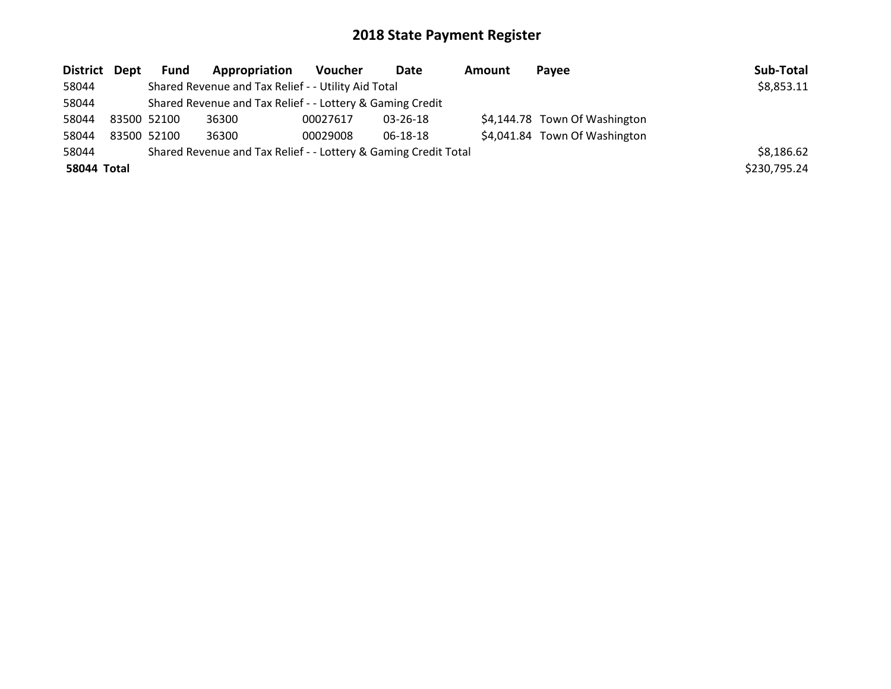| District Dept      |             | Fund | Appropriation                                                   | <b>Voucher</b> | Date           | Amount | <b>Pavee</b>                  | Sub-Total    |
|--------------------|-------------|------|-----------------------------------------------------------------|----------------|----------------|--------|-------------------------------|--------------|
| 58044              |             |      | Shared Revenue and Tax Relief - - Utility Aid Total             |                |                |        |                               | \$8,853.11   |
| 58044              |             |      | Shared Revenue and Tax Relief - - Lottery & Gaming Credit       |                |                |        |                               |              |
| 58044              | 83500 52100 |      | 36300                                                           | 00027617       | $03 - 26 - 18$ |        | \$4,144.78 Town Of Washington |              |
| 58044              | 83500 52100 |      | 36300                                                           | 00029008       | 06-18-18       |        | \$4,041.84 Town Of Washington |              |
| 58044              |             |      | Shared Revenue and Tax Relief - - Lottery & Gaming Credit Total |                |                |        |                               | \$8,186.62   |
| <b>58044 Total</b> |             |      |                                                                 |                |                |        |                               | \$230,795.24 |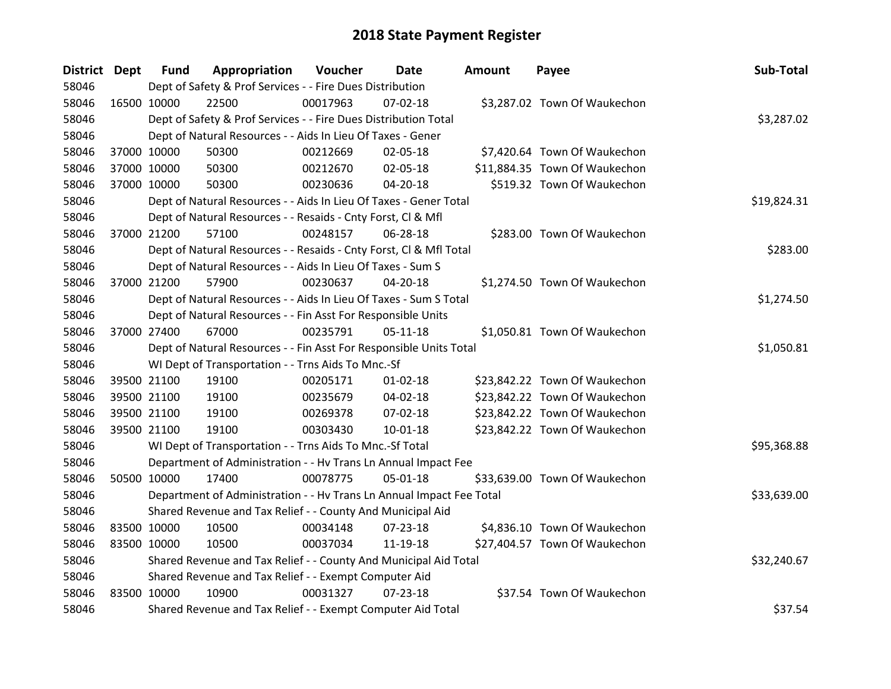| District Dept |             | <b>Fund</b> | Appropriation                                                        | Voucher  | Date           | <b>Amount</b> | Payee                         | Sub-Total   |
|---------------|-------------|-------------|----------------------------------------------------------------------|----------|----------------|---------------|-------------------------------|-------------|
| 58046         |             |             | Dept of Safety & Prof Services - - Fire Dues Distribution            |          |                |               |                               |             |
| 58046         | 16500 10000 |             | 22500                                                                | 00017963 | $07 - 02 - 18$ |               | \$3,287.02 Town Of Waukechon  |             |
| 58046         |             |             | Dept of Safety & Prof Services - - Fire Dues Distribution Total      |          |                |               |                               | \$3,287.02  |
| 58046         |             |             | Dept of Natural Resources - - Aids In Lieu Of Taxes - Gener          |          |                |               |                               |             |
| 58046         | 37000 10000 |             | 50300                                                                | 00212669 | 02-05-18       |               | \$7,420.64 Town Of Waukechon  |             |
| 58046         |             | 37000 10000 | 50300                                                                | 00212670 | 02-05-18       |               | \$11,884.35 Town Of Waukechon |             |
| 58046         |             | 37000 10000 | 50300                                                                | 00230636 | $04 - 20 - 18$ |               | \$519.32 Town Of Waukechon    |             |
| 58046         |             |             | Dept of Natural Resources - - Aids In Lieu Of Taxes - Gener Total    |          | \$19,824.31    |               |                               |             |
| 58046         |             |             | Dept of Natural Resources - - Resaids - Cnty Forst, Cl & Mfl         |          |                |               |                               |             |
| 58046         | 37000 21200 |             | 57100                                                                | 00248157 | 06-28-18       |               | \$283.00 Town Of Waukechon    |             |
| 58046         |             |             | Dept of Natural Resources - - Resaids - Cnty Forst, Cl & Mfl Total   |          |                |               |                               | \$283.00    |
| 58046         |             |             | Dept of Natural Resources - - Aids In Lieu Of Taxes - Sum S          |          |                |               |                               |             |
| 58046         |             | 37000 21200 | 57900                                                                | 00230637 | 04-20-18       |               | \$1,274.50 Town Of Waukechon  |             |
| 58046         |             |             | Dept of Natural Resources - - Aids In Lieu Of Taxes - Sum S Total    |          |                |               |                               | \$1,274.50  |
| 58046         |             |             | Dept of Natural Resources - - Fin Asst For Responsible Units         |          |                |               |                               |             |
| 58046         |             | 37000 27400 | 67000                                                                | 00235791 | $05-11-18$     |               | \$1,050.81 Town Of Waukechon  |             |
| 58046         |             |             | Dept of Natural Resources - - Fin Asst For Responsible Units Total   |          |                |               |                               | \$1,050.81  |
| 58046         |             |             | WI Dept of Transportation - - Trns Aids To Mnc.-Sf                   |          |                |               |                               |             |
| 58046         |             | 39500 21100 | 19100                                                                | 00205171 | $01 - 02 - 18$ |               | \$23,842.22 Town Of Waukechon |             |
| 58046         |             | 39500 21100 | 19100                                                                | 00235679 | 04-02-18       |               | \$23,842.22 Town Of Waukechon |             |
| 58046         |             | 39500 21100 | 19100                                                                | 00269378 | 07-02-18       |               | \$23,842.22 Town Of Waukechon |             |
| 58046         | 39500 21100 |             | 19100                                                                | 00303430 | 10-01-18       |               | \$23,842.22 Town Of Waukechon |             |
| 58046         |             |             | WI Dept of Transportation - - Trns Aids To Mnc.-Sf Total             |          |                |               |                               | \$95,368.88 |
| 58046         |             |             | Department of Administration - - Hv Trans Ln Annual Impact Fee       |          |                |               |                               |             |
| 58046         | 50500 10000 |             | 17400                                                                | 00078775 | 05-01-18       |               | \$33,639.00 Town Of Waukechon |             |
| 58046         |             |             | Department of Administration - - Hv Trans Ln Annual Impact Fee Total |          |                |               |                               | \$33,639.00 |
| 58046         |             |             | Shared Revenue and Tax Relief - - County And Municipal Aid           |          |                |               |                               |             |
| 58046         | 83500 10000 |             | 10500                                                                | 00034148 | $07 - 23 - 18$ |               | \$4,836.10 Town Of Waukechon  |             |
| 58046         | 83500 10000 |             | 10500                                                                | 00037034 | 11-19-18       |               | \$27,404.57 Town Of Waukechon |             |
| 58046         |             |             | Shared Revenue and Tax Relief - - County And Municipal Aid Total     |          |                |               |                               | \$32,240.67 |
| 58046         |             |             | Shared Revenue and Tax Relief - - Exempt Computer Aid                |          |                |               |                               |             |
| 58046         | 83500 10000 |             | 10900                                                                | 00031327 | $07 - 23 - 18$ |               | \$37.54 Town Of Waukechon     |             |
| 58046         |             |             | Shared Revenue and Tax Relief - - Exempt Computer Aid Total          |          |                |               |                               | \$37.54     |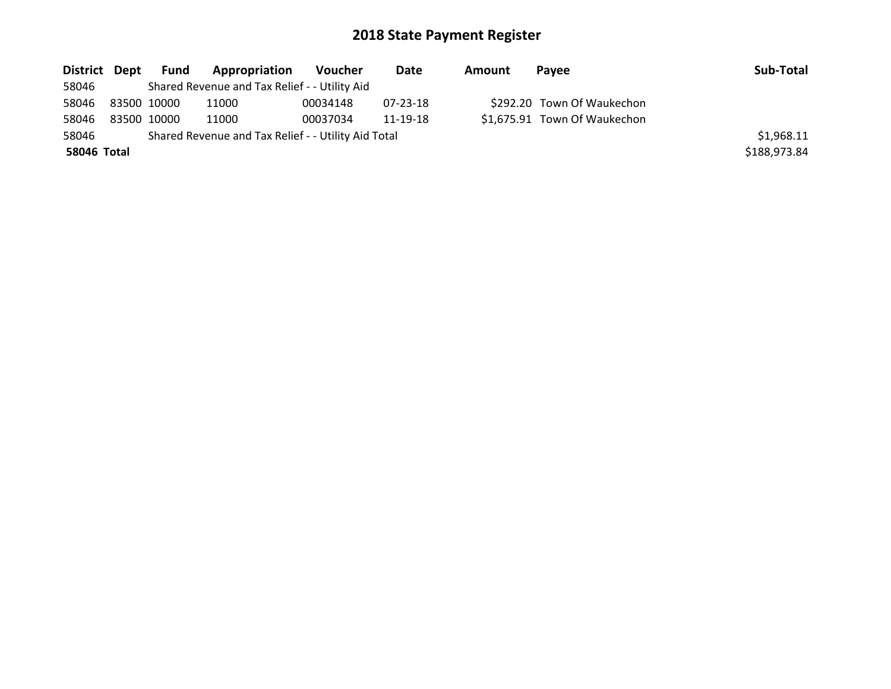| District Dept | Fund        | <b>Appropriation</b>                                | Voucher  | Date     | Amount | Pavee                        | Sub-Total    |
|---------------|-------------|-----------------------------------------------------|----------|----------|--------|------------------------------|--------------|
| 58046         |             | Shared Revenue and Tax Relief - - Utility Aid       |          |          |        |                              |              |
| 58046         | 83500 10000 | 11000                                               | 00034148 | 07-23-18 |        | \$292.20 Town Of Waukechon   |              |
| 58046         | 83500 10000 | 11000                                               | 00037034 | 11-19-18 |        | \$1,675.91 Town Of Waukechon |              |
| 58046         |             | Shared Revenue and Tax Relief - - Utility Aid Total |          |          |        |                              | \$1,968.11   |
| 58046 Total   |             |                                                     |          |          |        |                              | \$188,973.84 |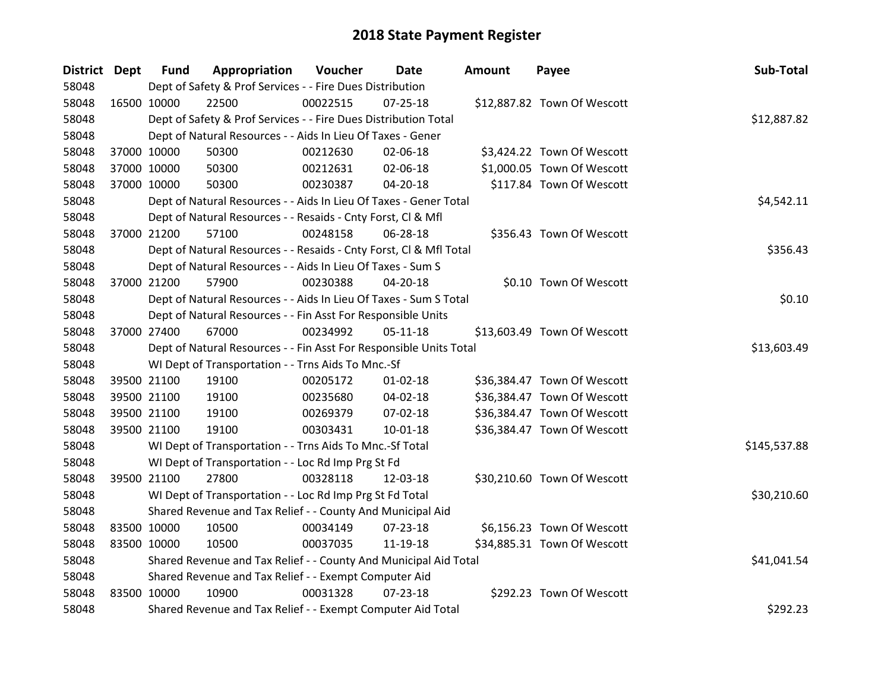| District Dept |             | <b>Fund</b> | Appropriation                                                      | Voucher  | Date           | <b>Amount</b> | Payee                       | Sub-Total    |
|---------------|-------------|-------------|--------------------------------------------------------------------|----------|----------------|---------------|-----------------------------|--------------|
| 58048         |             |             | Dept of Safety & Prof Services - - Fire Dues Distribution          |          |                |               |                             |              |
| 58048         | 16500 10000 |             | 22500                                                              | 00022515 | $07 - 25 - 18$ |               | \$12,887.82 Town Of Wescott |              |
| 58048         |             |             | Dept of Safety & Prof Services - - Fire Dues Distribution Total    |          |                |               |                             | \$12,887.82  |
| 58048         |             |             | Dept of Natural Resources - - Aids In Lieu Of Taxes - Gener        |          |                |               |                             |              |
| 58048         | 37000 10000 |             | 50300                                                              | 00212630 | 02-06-18       |               | \$3,424.22 Town Of Wescott  |              |
| 58048         | 37000 10000 |             | 50300                                                              | 00212631 | 02-06-18       |               | \$1,000.05 Town Of Wescott  |              |
| 58048         | 37000 10000 |             | 50300                                                              | 00230387 | 04-20-18       |               | \$117.84 Town Of Wescott    |              |
| 58048         |             |             | Dept of Natural Resources - - Aids In Lieu Of Taxes - Gener Total  |          |                |               |                             | \$4,542.11   |
| 58048         |             |             | Dept of Natural Resources - - Resaids - Cnty Forst, CI & Mfl       |          |                |               |                             |              |
| 58048         | 37000 21200 |             | 57100                                                              | 00248158 | 06-28-18       |               | \$356.43 Town Of Wescott    |              |
| 58048         |             |             | Dept of Natural Resources - - Resaids - Cnty Forst, Cl & Mfl Total |          |                |               |                             | \$356.43     |
| 58048         |             |             | Dept of Natural Resources - - Aids In Lieu Of Taxes - Sum S        |          |                |               |                             |              |
| 58048         | 37000 21200 |             | 57900                                                              | 00230388 | $04 - 20 - 18$ |               | \$0.10 Town Of Wescott      |              |
| 58048         |             |             | Dept of Natural Resources - - Aids In Lieu Of Taxes - Sum S Total  |          |                |               |                             | \$0.10       |
| 58048         |             |             | Dept of Natural Resources - - Fin Asst For Responsible Units       |          |                |               |                             |              |
| 58048         | 37000 27400 |             | 67000                                                              | 00234992 | $05-11-18$     |               | \$13,603.49 Town Of Wescott |              |
| 58048         |             |             | Dept of Natural Resources - - Fin Asst For Responsible Units Total |          |                |               |                             | \$13,603.49  |
| 58048         |             |             | WI Dept of Transportation - - Trns Aids To Mnc.-Sf                 |          |                |               |                             |              |
| 58048         | 39500 21100 |             | 19100                                                              | 00205172 | $01 - 02 - 18$ |               | \$36,384.47 Town Of Wescott |              |
| 58048         |             | 39500 21100 | 19100                                                              | 00235680 | 04-02-18       |               | \$36,384.47 Town Of Wescott |              |
| 58048         |             | 39500 21100 | 19100                                                              | 00269379 | 07-02-18       |               | \$36,384.47 Town Of Wescott |              |
| 58048         | 39500 21100 |             | 19100                                                              | 00303431 | $10 - 01 - 18$ |               | \$36,384.47 Town Of Wescott |              |
| 58048         |             |             | WI Dept of Transportation - - Trns Aids To Mnc.-Sf Total           |          |                |               |                             | \$145,537.88 |
| 58048         |             |             | WI Dept of Transportation - - Loc Rd Imp Prg St Fd                 |          |                |               |                             |              |
| 58048         | 39500 21100 |             | 27800                                                              | 00328118 | 12-03-18       |               | \$30,210.60 Town Of Wescott |              |
| 58048         |             |             | WI Dept of Transportation - - Loc Rd Imp Prg St Fd Total           |          |                |               |                             | \$30,210.60  |
| 58048         |             |             | Shared Revenue and Tax Relief - - County And Municipal Aid         |          |                |               |                             |              |
| 58048         | 83500 10000 |             | 10500                                                              | 00034149 | 07-23-18       |               | \$6,156.23 Town Of Wescott  |              |
| 58048         | 83500 10000 |             | 10500                                                              | 00037035 | 11-19-18       |               | \$34,885.31 Town Of Wescott |              |
| 58048         |             |             | Shared Revenue and Tax Relief - - County And Municipal Aid Total   |          |                |               |                             | \$41,041.54  |
| 58048         |             |             | Shared Revenue and Tax Relief - - Exempt Computer Aid              |          |                |               |                             |              |
| 58048         | 83500 10000 |             | 10900                                                              | 00031328 | $07 - 23 - 18$ |               | \$292.23 Town Of Wescott    |              |
| 58048         |             |             | Shared Revenue and Tax Relief - - Exempt Computer Aid Total        |          |                |               |                             | \$292.23     |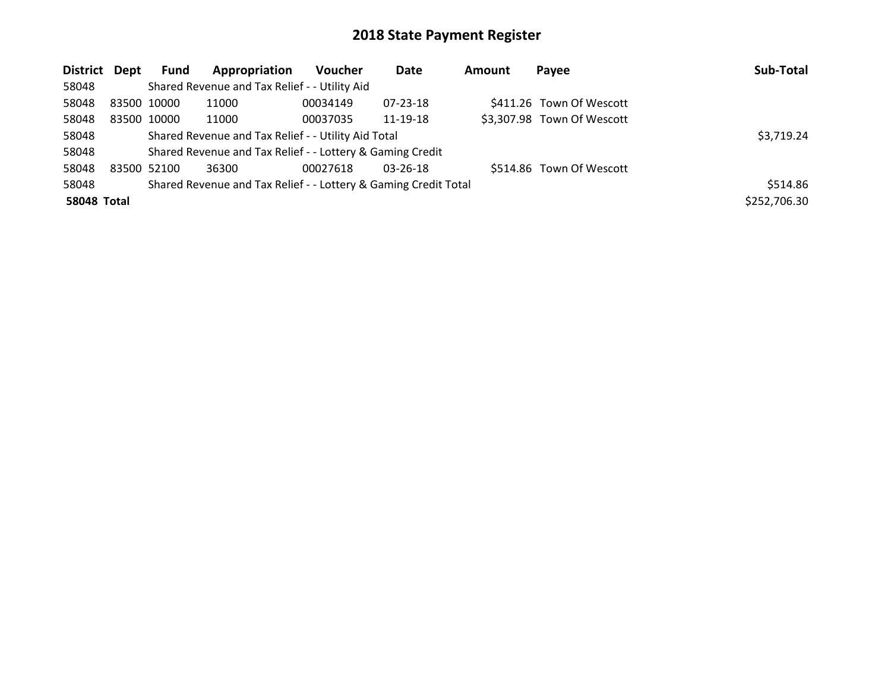| District Dept      |             | <b>Fund</b>                                         | Appropriation                                                   | <b>Voucher</b> | Date           | Amount | Payee                      | Sub-Total    |
|--------------------|-------------|-----------------------------------------------------|-----------------------------------------------------------------|----------------|----------------|--------|----------------------------|--------------|
| 58048              |             |                                                     | Shared Revenue and Tax Relief - - Utility Aid                   |                |                |        |                            |              |
| 58048              | 83500 10000 |                                                     | 11000                                                           | 00034149       | 07-23-18       |        | \$411.26 Town Of Wescott   |              |
| 58048              | 83500 10000 |                                                     | 11000                                                           | 00037035       | 11-19-18       |        | \$3,307.98 Town Of Wescott |              |
| 58048              |             | Shared Revenue and Tax Relief - - Utility Aid Total |                                                                 | \$3,719.24     |                |        |                            |              |
| 58048              |             |                                                     | Shared Revenue and Tax Relief - - Lottery & Gaming Credit       |                |                |        |                            |              |
| 58048              | 83500 52100 |                                                     | 36300                                                           | 00027618       | $03 - 26 - 18$ |        | \$514.86 Town Of Wescott   |              |
| 58048              |             |                                                     | Shared Revenue and Tax Relief - - Lottery & Gaming Credit Total |                |                |        |                            | \$514.86     |
| <b>58048 Total</b> |             |                                                     |                                                                 |                |                |        |                            | \$252,706.30 |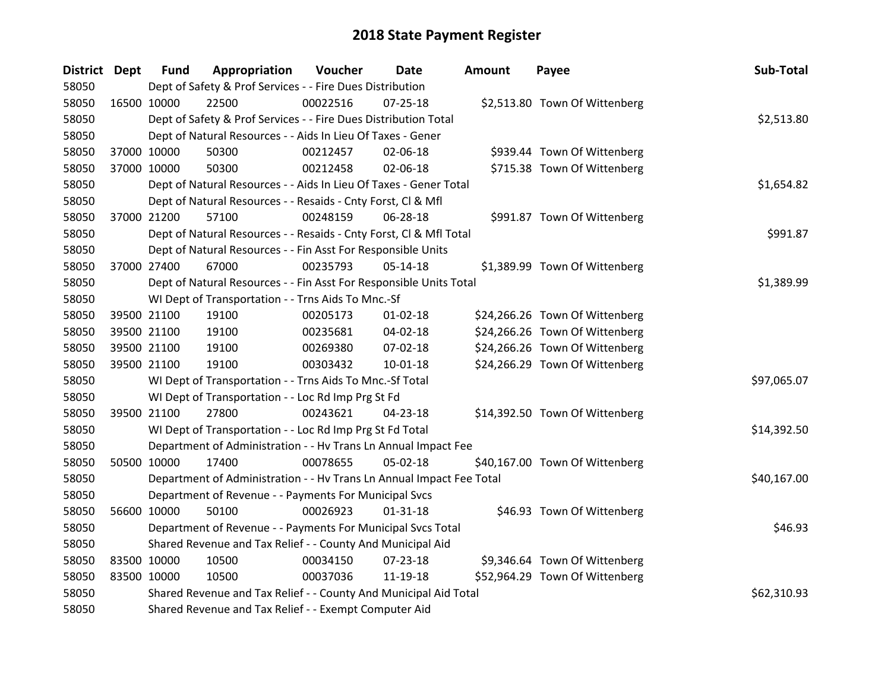| <b>District Dept</b> |             | <b>Fund</b> | Appropriation                                                        | Voucher  | Date           | Amount | Payee                          | Sub-Total   |
|----------------------|-------------|-------------|----------------------------------------------------------------------|----------|----------------|--------|--------------------------------|-------------|
| 58050                |             |             | Dept of Safety & Prof Services - - Fire Dues Distribution            |          |                |        |                                |             |
| 58050                | 16500 10000 |             | 22500                                                                | 00022516 | 07-25-18       |        | \$2,513.80 Town Of Wittenberg  |             |
| 58050                |             |             | Dept of Safety & Prof Services - - Fire Dues Distribution Total      |          |                |        |                                | \$2,513.80  |
| 58050                |             |             | Dept of Natural Resources - - Aids In Lieu Of Taxes - Gener          |          |                |        |                                |             |
| 58050                | 37000 10000 |             | 50300                                                                | 00212457 | 02-06-18       |        | \$939.44 Town Of Wittenberg    |             |
| 58050                | 37000 10000 |             | 50300                                                                | 00212458 | 02-06-18       |        | \$715.38 Town Of Wittenberg    |             |
| 58050                |             |             | Dept of Natural Resources - - Aids In Lieu Of Taxes - Gener Total    |          |                |        |                                | \$1,654.82  |
| 58050                |             |             | Dept of Natural Resources - - Resaids - Cnty Forst, Cl & Mfl         |          |                |        |                                |             |
| 58050                | 37000 21200 |             | 57100                                                                | 00248159 | 06-28-18       |        | \$991.87 Town Of Wittenberg    |             |
| 58050                |             |             | Dept of Natural Resources - - Resaids - Cnty Forst, CI & Mfl Total   |          |                |        |                                | \$991.87    |
| 58050                |             |             | Dept of Natural Resources - - Fin Asst For Responsible Units         |          |                |        |                                |             |
| 58050                | 37000 27400 |             | 67000                                                                | 00235793 | $05-14-18$     |        | \$1,389.99 Town Of Wittenberg  |             |
| 58050                |             |             | Dept of Natural Resources - - Fin Asst For Responsible Units Total   |          |                |        |                                | \$1,389.99  |
| 58050                |             |             | WI Dept of Transportation - - Trns Aids To Mnc.-Sf                   |          |                |        |                                |             |
| 58050                |             | 39500 21100 | 19100                                                                | 00205173 | 01-02-18       |        | \$24,266.26 Town Of Wittenberg |             |
| 58050                |             | 39500 21100 | 19100                                                                | 00235681 | 04-02-18       |        | \$24,266.26 Town Of Wittenberg |             |
| 58050                | 39500 21100 |             | 19100                                                                | 00269380 | 07-02-18       |        | \$24,266.26 Town Of Wittenberg |             |
| 58050                | 39500 21100 |             | 19100                                                                | 00303432 | 10-01-18       |        | \$24,266.29 Town Of Wittenberg |             |
| 58050                |             |             | WI Dept of Transportation - - Trns Aids To Mnc.-Sf Total             |          |                |        |                                | \$97,065.07 |
| 58050                |             |             | WI Dept of Transportation - - Loc Rd Imp Prg St Fd                   |          |                |        |                                |             |
| 58050                | 39500 21100 |             | 27800                                                                | 00243621 | 04-23-18       |        | \$14,392.50 Town Of Wittenberg |             |
| 58050                |             |             | WI Dept of Transportation - - Loc Rd Imp Prg St Fd Total             |          |                |        |                                | \$14,392.50 |
| 58050                |             |             | Department of Administration - - Hv Trans Ln Annual Impact Fee       |          |                |        |                                |             |
| 58050                | 50500 10000 |             | 17400                                                                | 00078655 | 05-02-18       |        | \$40,167.00 Town Of Wittenberg |             |
| 58050                |             |             | Department of Administration - - Hv Trans Ln Annual Impact Fee Total |          |                |        |                                | \$40,167.00 |
| 58050                |             |             | Department of Revenue - - Payments For Municipal Svcs                |          |                |        |                                |             |
| 58050                | 56600 10000 |             | 50100                                                                | 00026923 | $01 - 31 - 18$ |        | \$46.93 Town Of Wittenberg     |             |
| 58050                |             |             | Department of Revenue - - Payments For Municipal Svcs Total          |          |                |        |                                | \$46.93     |
| 58050                |             |             | Shared Revenue and Tax Relief - - County And Municipal Aid           |          |                |        |                                |             |
| 58050                | 83500 10000 |             | 10500                                                                | 00034150 | $07 - 23 - 18$ |        | \$9,346.64 Town Of Wittenberg  |             |
| 58050                | 83500 10000 |             | 10500                                                                | 00037036 | 11-19-18       |        | \$52,964.29 Town Of Wittenberg |             |
| 58050                |             |             | Shared Revenue and Tax Relief - - County And Municipal Aid Total     |          |                |        |                                | \$62,310.93 |
| 58050                |             |             | Shared Revenue and Tax Relief - - Exempt Computer Aid                |          |                |        |                                |             |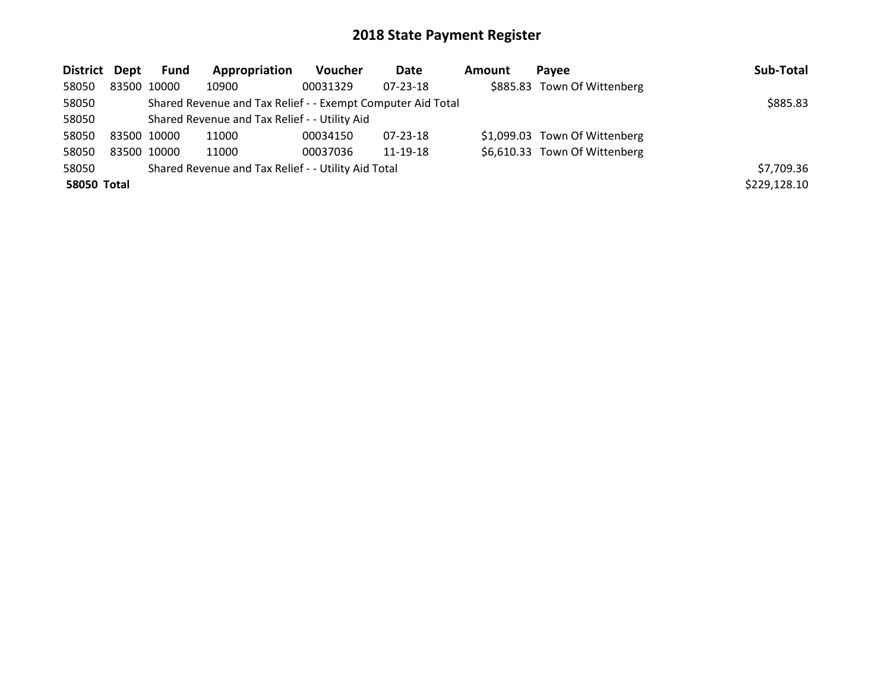| District Dept |             | <b>Fund</b> | Appropriation                                               | <b>Voucher</b> | <b>Date</b>    | Amount | Pavee                         | Sub-Total    |
|---------------|-------------|-------------|-------------------------------------------------------------|----------------|----------------|--------|-------------------------------|--------------|
| 58050         | 83500 10000 |             | 10900                                                       | 00031329       | $07 - 23 - 18$ |        | \$885.83 Town Of Wittenberg   |              |
| 58050         |             |             | Shared Revenue and Tax Relief - - Exempt Computer Aid Total |                |                |        |                               | \$885.83     |
| 58050         |             |             | Shared Revenue and Tax Relief - - Utility Aid               |                |                |        |                               |              |
| 58050         | 83500 10000 |             | 11000                                                       | 00034150       | 07-23-18       |        | \$1,099.03 Town Of Wittenberg |              |
| 58050         | 83500 10000 |             | 11000                                                       | 00037036       | 11-19-18       |        | \$6,610.33 Town Of Wittenberg |              |
| 58050         |             |             | Shared Revenue and Tax Relief - - Utility Aid Total         |                |                |        |                               | \$7,709.36   |
| 58050 Total   |             |             |                                                             |                |                |        |                               | \$229,128.10 |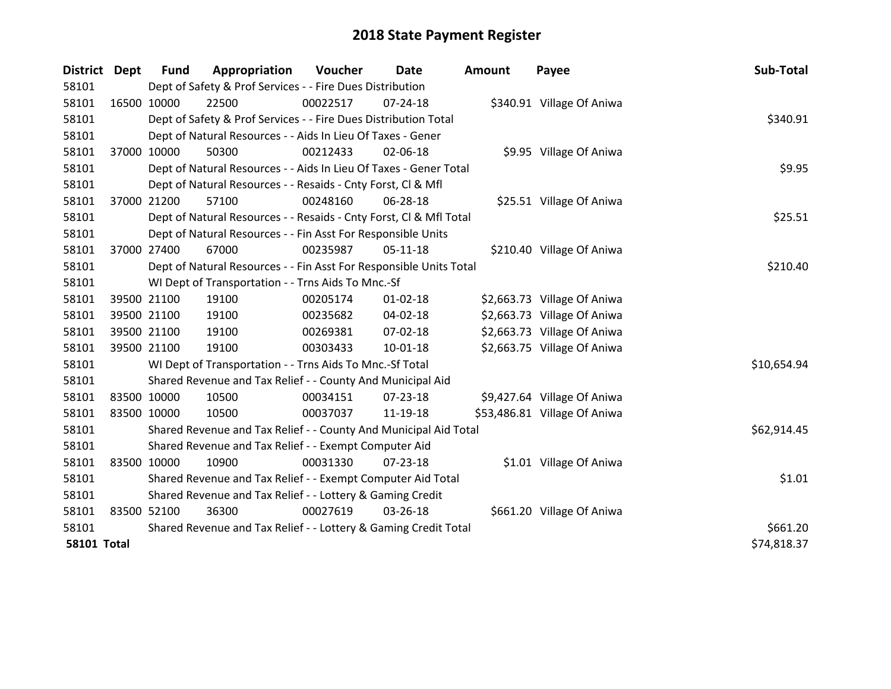| District Dept      |             | <b>Fund</b> | Appropriation                                                      | Voucher  | Date           | <b>Amount</b> | Payee                        | Sub-Total   |
|--------------------|-------------|-------------|--------------------------------------------------------------------|----------|----------------|---------------|------------------------------|-------------|
| 58101              |             |             | Dept of Safety & Prof Services - - Fire Dues Distribution          |          |                |               |                              |             |
| 58101              | 16500 10000 |             | 22500                                                              | 00022517 | $07 - 24 - 18$ |               | \$340.91 Village Of Aniwa    |             |
| 58101              |             |             | Dept of Safety & Prof Services - - Fire Dues Distribution Total    |          |                |               |                              | \$340.91    |
| 58101              |             |             | Dept of Natural Resources - - Aids In Lieu Of Taxes - Gener        |          |                |               |                              |             |
| 58101              |             | 37000 10000 | 50300                                                              | 00212433 | 02-06-18       |               | \$9.95 Village Of Aniwa      |             |
| 58101              |             |             | Dept of Natural Resources - - Aids In Lieu Of Taxes - Gener Total  |          |                |               |                              | \$9.95      |
| 58101              |             |             | Dept of Natural Resources - - Resaids - Cnty Forst, Cl & Mfl       |          |                |               |                              |             |
| 58101              | 37000 21200 |             | 57100                                                              | 00248160 | 06-28-18       |               | \$25.51 Village Of Aniwa     |             |
| 58101              |             |             | Dept of Natural Resources - - Resaids - Cnty Forst, CI & Mfl Total |          |                |               |                              | \$25.51     |
| 58101              |             |             | Dept of Natural Resources - - Fin Asst For Responsible Units       |          |                |               |                              |             |
| 58101              | 37000 27400 |             | 67000                                                              | 00235987 | $05 - 11 - 18$ |               | \$210.40 Village Of Aniwa    |             |
| 58101              |             |             | Dept of Natural Resources - - Fin Asst For Responsible Units Total |          |                |               |                              | \$210.40    |
| 58101              |             |             | WI Dept of Transportation - - Trns Aids To Mnc.-Sf                 |          |                |               |                              |             |
| 58101              | 39500 21100 |             | 19100                                                              | 00205174 | $01 - 02 - 18$ |               | \$2,663.73 Village Of Aniwa  |             |
| 58101              | 39500 21100 |             | 19100                                                              | 00235682 | 04-02-18       |               | \$2,663.73 Village Of Aniwa  |             |
| 58101              | 39500 21100 |             | 19100                                                              | 00269381 | $07 - 02 - 18$ |               | \$2,663.73 Village Of Aniwa  |             |
| 58101              | 39500 21100 |             | 19100                                                              | 00303433 | $10 - 01 - 18$ |               | \$2,663.75 Village Of Aniwa  |             |
| 58101              |             |             | WI Dept of Transportation - - Trns Aids To Mnc.-Sf Total           |          |                |               |                              | \$10,654.94 |
| 58101              |             |             | Shared Revenue and Tax Relief - - County And Municipal Aid         |          |                |               |                              |             |
| 58101              | 83500 10000 |             | 10500                                                              | 00034151 | 07-23-18       |               | \$9,427.64 Village Of Aniwa  |             |
| 58101              | 83500 10000 |             | 10500                                                              | 00037037 | 11-19-18       |               | \$53,486.81 Village Of Aniwa |             |
| 58101              |             |             | Shared Revenue and Tax Relief - - County And Municipal Aid Total   |          |                |               |                              | \$62,914.45 |
| 58101              |             |             | Shared Revenue and Tax Relief - - Exempt Computer Aid              |          |                |               |                              |             |
| 58101              | 83500 10000 |             | 10900                                                              | 00031330 | $07 - 23 - 18$ |               | \$1.01 Village Of Aniwa      |             |
| 58101              |             |             | Shared Revenue and Tax Relief - - Exempt Computer Aid Total        |          |                |               |                              | \$1.01      |
| 58101              |             |             | Shared Revenue and Tax Relief - - Lottery & Gaming Credit          |          |                |               |                              |             |
| 58101              | 83500 52100 |             | 36300                                                              | 00027619 | 03-26-18       |               | \$661.20 Village Of Aniwa    |             |
| 58101              |             |             | Shared Revenue and Tax Relief - - Lottery & Gaming Credit Total    | \$661.20 |                |               |                              |             |
| <b>58101 Total</b> |             |             |                                                                    |          |                |               |                              | \$74,818.37 |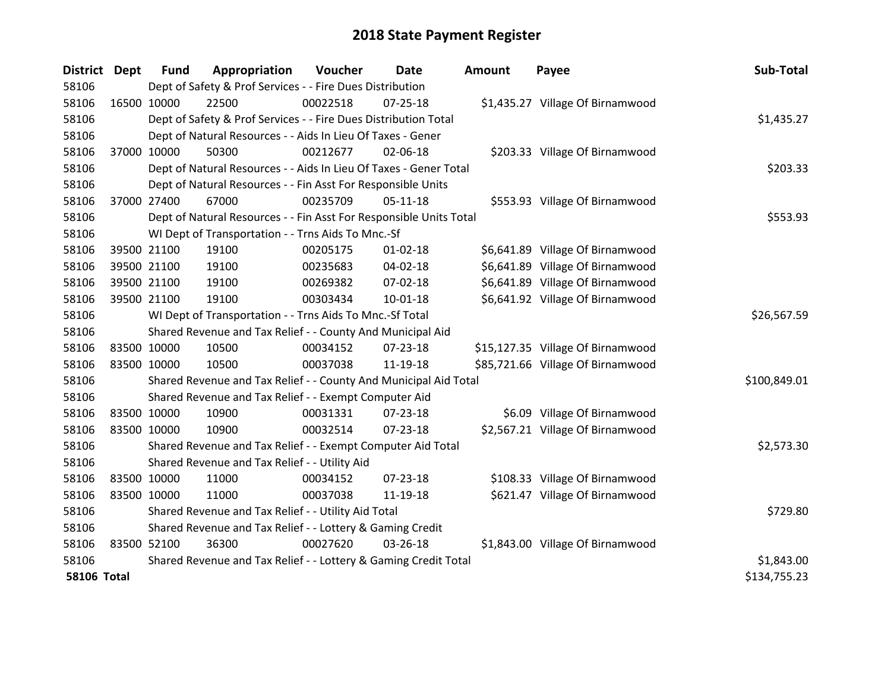| <b>District</b>    | Dept        | <b>Fund</b>                                                     | Appropriation                                                      | Voucher  | Date           | <b>Amount</b> | Payee                             | Sub-Total    |
|--------------------|-------------|-----------------------------------------------------------------|--------------------------------------------------------------------|----------|----------------|---------------|-----------------------------------|--------------|
| 58106              |             |                                                                 | Dept of Safety & Prof Services - - Fire Dues Distribution          |          |                |               |                                   |              |
| 58106              | 16500 10000 |                                                                 | 22500                                                              | 00022518 | $07 - 25 - 18$ |               | \$1,435.27 Village Of Birnamwood  |              |
| 58106              |             |                                                                 | Dept of Safety & Prof Services - - Fire Dues Distribution Total    |          |                |               |                                   | \$1,435.27   |
| 58106              |             |                                                                 | Dept of Natural Resources - - Aids In Lieu Of Taxes - Gener        |          |                |               |                                   |              |
| 58106              | 37000 10000 |                                                                 | 50300                                                              | 00212677 | 02-06-18       |               | \$203.33 Village Of Birnamwood    |              |
| 58106              |             |                                                                 | Dept of Natural Resources - - Aids In Lieu Of Taxes - Gener Total  |          |                |               |                                   | \$203.33     |
| 58106              |             |                                                                 | Dept of Natural Resources - - Fin Asst For Responsible Units       |          |                |               |                                   |              |
| 58106              | 37000 27400 |                                                                 | 67000                                                              | 00235709 | 05-11-18       |               | \$553.93 Village Of Birnamwood    |              |
| 58106              |             |                                                                 | Dept of Natural Resources - - Fin Asst For Responsible Units Total |          |                |               |                                   | \$553.93     |
| 58106              |             |                                                                 | WI Dept of Transportation - - Trns Aids To Mnc.-Sf                 |          |                |               |                                   |              |
| 58106              |             | 39500 21100                                                     | 19100                                                              | 00205175 | $01 - 02 - 18$ |               | \$6,641.89 Village Of Birnamwood  |              |
| 58106              | 39500 21100 |                                                                 | 19100                                                              | 00235683 | 04-02-18       |               | \$6,641.89 Village Of Birnamwood  |              |
| 58106              | 39500 21100 |                                                                 | 19100                                                              | 00269382 | 07-02-18       |               | \$6,641.89 Village Of Birnamwood  |              |
| 58106              | 39500 21100 |                                                                 | 19100                                                              | 00303434 | 10-01-18       |               | \$6,641.92 Village Of Birnamwood  |              |
| 58106              |             |                                                                 | WI Dept of Transportation - - Trns Aids To Mnc.-Sf Total           |          |                |               |                                   | \$26,567.59  |
| 58106              |             |                                                                 | Shared Revenue and Tax Relief - - County And Municipal Aid         |          |                |               |                                   |              |
| 58106              | 83500 10000 |                                                                 | 10500                                                              | 00034152 | 07-23-18       |               | \$15,127.35 Village Of Birnamwood |              |
| 58106              | 83500 10000 |                                                                 | 10500                                                              | 00037038 | 11-19-18       |               | \$85,721.66 Village Of Birnamwood |              |
| 58106              |             |                                                                 | Shared Revenue and Tax Relief - - County And Municipal Aid Total   |          |                |               |                                   | \$100,849.01 |
| 58106              |             |                                                                 | Shared Revenue and Tax Relief - - Exempt Computer Aid              |          |                |               |                                   |              |
| 58106              | 83500 10000 |                                                                 | 10900                                                              | 00031331 | 07-23-18       |               | \$6.09 Village Of Birnamwood      |              |
| 58106              | 83500 10000 |                                                                 | 10900                                                              | 00032514 | 07-23-18       |               | \$2,567.21 Village Of Birnamwood  |              |
| 58106              |             |                                                                 | Shared Revenue and Tax Relief - - Exempt Computer Aid Total        |          |                |               |                                   | \$2,573.30   |
| 58106              |             |                                                                 | Shared Revenue and Tax Relief - - Utility Aid                      |          |                |               |                                   |              |
| 58106              | 83500 10000 |                                                                 | 11000                                                              | 00034152 | $07 - 23 - 18$ |               | \$108.33 Village Of Birnamwood    |              |
| 58106              | 83500 10000 |                                                                 | 11000                                                              | 00037038 | 11-19-18       |               | \$621.47 Village Of Birnamwood    |              |
| 58106              |             |                                                                 | Shared Revenue and Tax Relief - - Utility Aid Total                |          |                |               |                                   | \$729.80     |
| 58106              |             | Shared Revenue and Tax Relief - - Lottery & Gaming Credit       |                                                                    |          |                |               |                                   |              |
| 58106              | 83500 52100 |                                                                 | 36300                                                              | 00027620 | 03-26-18       |               | \$1,843.00 Village Of Birnamwood  |              |
| 58106              |             | Shared Revenue and Tax Relief - - Lottery & Gaming Credit Total |                                                                    |          |                |               |                                   | \$1,843.00   |
| <b>58106 Total</b> |             |                                                                 |                                                                    |          |                |               |                                   | \$134,755.23 |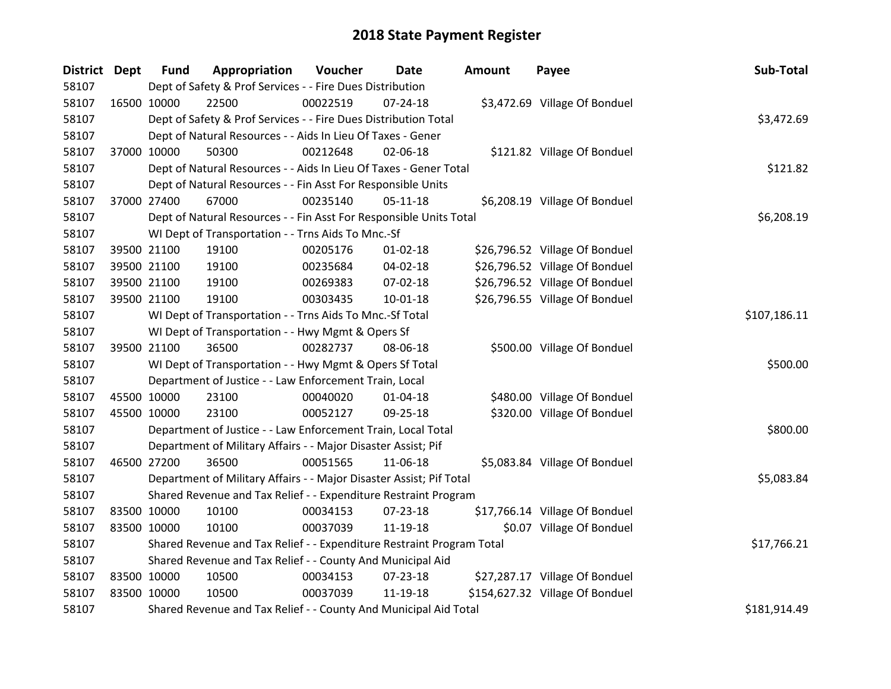| District Dept |             | <b>Fund</b> | Appropriation                                                         | Voucher      | Date           | <b>Amount</b> | Payee                           | Sub-Total    |
|---------------|-------------|-------------|-----------------------------------------------------------------------|--------------|----------------|---------------|---------------------------------|--------------|
| 58107         |             |             | Dept of Safety & Prof Services - - Fire Dues Distribution             |              |                |               |                                 |              |
| 58107         | 16500 10000 |             | 22500                                                                 | 00022519     | $07 - 24 - 18$ |               | \$3,472.69 Village Of Bonduel   |              |
| 58107         |             |             | Dept of Safety & Prof Services - - Fire Dues Distribution Total       |              |                |               |                                 | \$3,472.69   |
| 58107         |             |             | Dept of Natural Resources - - Aids In Lieu Of Taxes - Gener           |              |                |               |                                 |              |
| 58107         | 37000 10000 |             | 50300                                                                 | 00212648     | 02-06-18       |               | \$121.82 Village Of Bonduel     |              |
| 58107         |             |             | Dept of Natural Resources - - Aids In Lieu Of Taxes - Gener Total     | \$121.82     |                |               |                                 |              |
| 58107         |             |             | Dept of Natural Resources - - Fin Asst For Responsible Units          |              |                |               |                                 |              |
| 58107         | 37000 27400 |             | 67000                                                                 | 00235140     | 05-11-18       |               | \$6,208.19 Village Of Bonduel   |              |
| 58107         |             |             | Dept of Natural Resources - - Fin Asst For Responsible Units Total    |              |                |               |                                 | \$6,208.19   |
| 58107         |             |             | WI Dept of Transportation - - Trns Aids To Mnc.-Sf                    |              |                |               |                                 |              |
| 58107         | 39500 21100 |             | 19100                                                                 | 00205176     | 01-02-18       |               | \$26,796.52 Village Of Bonduel  |              |
| 58107         | 39500 21100 |             | 19100                                                                 | 00235684     | 04-02-18       |               | \$26,796.52 Village Of Bonduel  |              |
| 58107         | 39500 21100 |             | 19100                                                                 | 00269383     | 07-02-18       |               | \$26,796.52 Village Of Bonduel  |              |
| 58107         | 39500 21100 |             | 19100                                                                 | 00303435     | $10 - 01 - 18$ |               | \$26,796.55 Village Of Bonduel  |              |
| 58107         |             |             | WI Dept of Transportation - - Trns Aids To Mnc.-Sf Total              | \$107,186.11 |                |               |                                 |              |
| 58107         |             |             | WI Dept of Transportation - - Hwy Mgmt & Opers Sf                     |              |                |               |                                 |              |
| 58107         | 39500 21100 |             | 36500                                                                 | 00282737     | 08-06-18       |               | \$500.00 Village Of Bonduel     |              |
| 58107         |             |             | WI Dept of Transportation - - Hwy Mgmt & Opers Sf Total               |              |                |               |                                 | \$500.00     |
| 58107         |             |             | Department of Justice - - Law Enforcement Train, Local                |              |                |               |                                 |              |
| 58107         | 45500 10000 |             | 23100                                                                 | 00040020     | $01 - 04 - 18$ |               | \$480.00 Village Of Bonduel     |              |
| 58107         | 45500 10000 |             | 23100                                                                 | 00052127     | 09-25-18       |               | \$320.00 Village Of Bonduel     |              |
| 58107         |             |             | Department of Justice - - Law Enforcement Train, Local Total          |              |                |               |                                 | \$800.00     |
| 58107         |             |             | Department of Military Affairs - - Major Disaster Assist; Pif         |              |                |               |                                 |              |
| 58107         | 46500 27200 |             | 36500                                                                 | 00051565     | 11-06-18       |               | \$5,083.84 Village Of Bonduel   |              |
| 58107         |             |             | Department of Military Affairs - - Major Disaster Assist; Pif Total   |              |                |               |                                 | \$5,083.84   |
| 58107         |             |             | Shared Revenue and Tax Relief - - Expenditure Restraint Program       |              |                |               |                                 |              |
| 58107         | 83500 10000 |             | 10100                                                                 | 00034153     | 07-23-18       |               | \$17,766.14 Village Of Bonduel  |              |
| 58107         | 83500 10000 |             | 10100                                                                 | 00037039     | 11-19-18       |               | \$0.07 Village Of Bonduel       |              |
| 58107         |             |             | Shared Revenue and Tax Relief - - Expenditure Restraint Program Total |              |                |               |                                 | \$17,766.21  |
| 58107         |             |             | Shared Revenue and Tax Relief - - County And Municipal Aid            |              |                |               |                                 |              |
| 58107         | 83500 10000 |             | 10500                                                                 | 00034153     | 07-23-18       |               | \$27,287.17 Village Of Bonduel  |              |
| 58107         | 83500 10000 |             | 10500                                                                 | 00037039     | 11-19-18       |               | \$154,627.32 Village Of Bonduel |              |
| 58107         |             |             | Shared Revenue and Tax Relief - - County And Municipal Aid Total      |              |                |               |                                 | \$181,914.49 |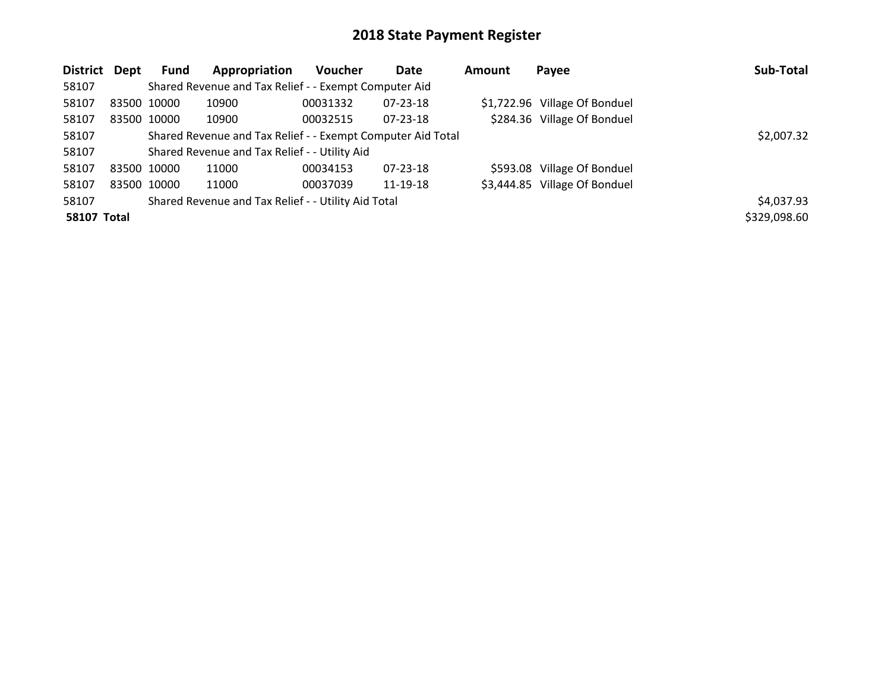| District Dept      |             | Fund                                                        | Appropriation                                         | <b>Voucher</b> | Date           | <b>Amount</b> | Payee                         | Sub-Total    |
|--------------------|-------------|-------------------------------------------------------------|-------------------------------------------------------|----------------|----------------|---------------|-------------------------------|--------------|
| 58107              |             |                                                             | Shared Revenue and Tax Relief - - Exempt Computer Aid |                |                |               |                               |              |
| 58107              |             | 83500 10000                                                 | 10900                                                 | 00031332       | 07-23-18       |               | \$1,722.96 Village Of Bonduel |              |
| 58107              |             | 83500 10000                                                 | 10900                                                 | 00032515       | $07 - 23 - 18$ |               | \$284.36 Village Of Bonduel   |              |
| 58107              |             | Shared Revenue and Tax Relief - - Exempt Computer Aid Total |                                                       | \$2,007.32     |                |               |                               |              |
| 58107              |             |                                                             | Shared Revenue and Tax Relief - - Utility Aid         |                |                |               |                               |              |
| 58107              | 83500 10000 |                                                             | 11000                                                 | 00034153       | $07 - 23 - 18$ |               | \$593.08 Village Of Bonduel   |              |
| 58107              |             | 83500 10000                                                 | 11000                                                 | 00037039       | 11-19-18       |               | \$3,444.85 Village Of Bonduel |              |
| 58107              |             |                                                             | Shared Revenue and Tax Relief - - Utility Aid Total   |                |                |               |                               | \$4,037.93   |
| <b>58107 Total</b> |             |                                                             |                                                       |                |                |               |                               | \$329,098.60 |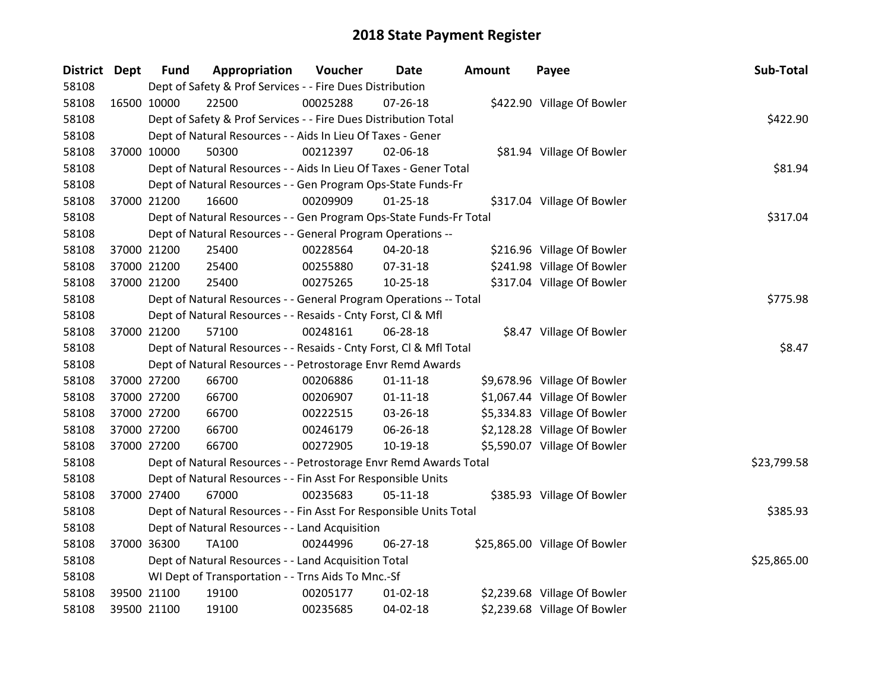| District Dept |             | <b>Fund</b> | Appropriation                                                      | Voucher  | Date           | <b>Amount</b> | Payee                         | Sub-Total   |
|---------------|-------------|-------------|--------------------------------------------------------------------|----------|----------------|---------------|-------------------------------|-------------|
| 58108         |             |             | Dept of Safety & Prof Services - - Fire Dues Distribution          |          |                |               |                               |             |
| 58108         | 16500 10000 |             | 22500                                                              | 00025288 | $07 - 26 - 18$ |               | \$422.90 Village Of Bowler    |             |
| 58108         |             |             | Dept of Safety & Prof Services - - Fire Dues Distribution Total    |          |                |               |                               | \$422.90    |
| 58108         |             |             | Dept of Natural Resources - - Aids In Lieu Of Taxes - Gener        |          |                |               |                               |             |
| 58108         | 37000 10000 |             | 50300                                                              | 00212397 | 02-06-18       |               | \$81.94 Village Of Bowler     |             |
| 58108         |             |             | Dept of Natural Resources - - Aids In Lieu Of Taxes - Gener Total  |          |                |               |                               | \$81.94     |
| 58108         |             |             | Dept of Natural Resources - - Gen Program Ops-State Funds-Fr       |          |                |               |                               |             |
| 58108         | 37000 21200 |             | 16600                                                              | 00209909 | $01 - 25 - 18$ |               | \$317.04 Village Of Bowler    |             |
| 58108         |             |             | Dept of Natural Resources - - Gen Program Ops-State Funds-Fr Total |          |                |               |                               | \$317.04    |
| 58108         |             |             | Dept of Natural Resources - - General Program Operations --        |          |                |               |                               |             |
| 58108         | 37000 21200 |             | 25400                                                              | 00228564 | 04-20-18       |               | \$216.96 Village Of Bowler    |             |
| 58108         | 37000 21200 |             | 25400                                                              | 00255880 | 07-31-18       |               | \$241.98 Village Of Bowler    |             |
| 58108         | 37000 21200 |             | 25400                                                              | 00275265 | $10 - 25 - 18$ |               | \$317.04 Village Of Bowler    |             |
| 58108         |             |             | Dept of Natural Resources - - General Program Operations -- Total  |          |                |               |                               | \$775.98    |
| 58108         |             |             | Dept of Natural Resources - - Resaids - Cnty Forst, Cl & Mfl       |          |                |               |                               |             |
| 58108         | 37000 21200 |             | 57100                                                              | 00248161 | 06-28-18       |               | \$8.47 Village Of Bowler      |             |
| 58108         |             |             | Dept of Natural Resources - - Resaids - Cnty Forst, Cl & Mfl Total |          |                |               |                               | \$8.47      |
| 58108         |             |             | Dept of Natural Resources - - Petrostorage Envr Remd Awards        |          |                |               |                               |             |
| 58108         | 37000 27200 |             | 66700                                                              | 00206886 | $01 - 11 - 18$ |               | \$9,678.96 Village Of Bowler  |             |
| 58108         | 37000 27200 |             | 66700                                                              | 00206907 | $01 - 11 - 18$ |               | \$1,067.44 Village Of Bowler  |             |
| 58108         |             | 37000 27200 | 66700                                                              | 00222515 | 03-26-18       |               | \$5,334.83 Village Of Bowler  |             |
| 58108         | 37000 27200 |             | 66700                                                              | 00246179 | 06-26-18       |               | \$2,128.28 Village Of Bowler  |             |
| 58108         | 37000 27200 |             | 66700                                                              | 00272905 | $10-19-18$     |               | \$5,590.07 Village Of Bowler  |             |
| 58108         |             |             | Dept of Natural Resources - - Petrostorage Envr Remd Awards Total  |          |                |               |                               | \$23,799.58 |
| 58108         |             |             | Dept of Natural Resources - - Fin Asst For Responsible Units       |          |                |               |                               |             |
| 58108         | 37000 27400 |             | 67000                                                              | 00235683 | $05-11-18$     |               | \$385.93 Village Of Bowler    |             |
| 58108         |             |             | Dept of Natural Resources - - Fin Asst For Responsible Units Total |          |                |               |                               | \$385.93    |
| 58108         |             |             | Dept of Natural Resources - - Land Acquisition                     |          |                |               |                               |             |
| 58108         | 37000 36300 |             | <b>TA100</b>                                                       | 00244996 | $06 - 27 - 18$ |               | \$25,865.00 Village Of Bowler |             |
| 58108         |             |             | Dept of Natural Resources - - Land Acquisition Total               |          |                |               |                               | \$25,865.00 |
| 58108         |             |             | WI Dept of Transportation - - Trns Aids To Mnc.-Sf                 |          |                |               |                               |             |
| 58108         | 39500 21100 |             | 19100                                                              | 00205177 | $01 - 02 - 18$ |               | \$2,239.68 Village Of Bowler  |             |
| 58108         | 39500 21100 |             | 19100                                                              | 00235685 | $04 - 02 - 18$ |               | \$2,239.68 Village Of Bowler  |             |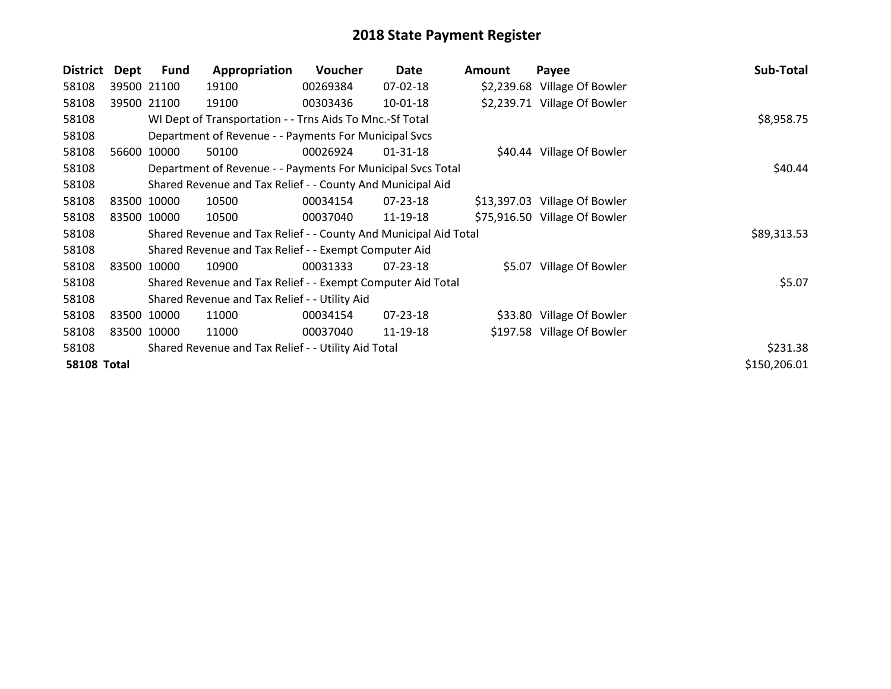| <b>District</b>    | Dept        | Fund        | Appropriation                                                    | Voucher  | Date           | <b>Amount</b> | Payee                         | Sub-Total    |
|--------------------|-------------|-------------|------------------------------------------------------------------|----------|----------------|---------------|-------------------------------|--------------|
| 58108              |             | 39500 21100 | 19100                                                            | 00269384 | 07-02-18       |               | \$2,239.68 Village Of Bowler  |              |
| 58108              |             | 39500 21100 | 19100                                                            | 00303436 | 10-01-18       |               | \$2,239.71 Village Of Bowler  |              |
| 58108              |             |             | WI Dept of Transportation - - Trns Aids To Mnc.-Sf Total         |          |                |               |                               | \$8,958.75   |
| 58108              |             |             | Department of Revenue - - Payments For Municipal Svcs            |          |                |               |                               |              |
| 58108              |             | 56600 10000 | 50100                                                            | 00026924 | $01 - 31 - 18$ |               | \$40.44 Village Of Bowler     |              |
| 58108              |             |             | Department of Revenue - - Payments For Municipal Svcs Total      |          |                |               |                               | \$40.44      |
| 58108              |             |             | Shared Revenue and Tax Relief - - County And Municipal Aid       |          |                |               |                               |              |
| 58108              |             | 83500 10000 | 10500                                                            | 00034154 | 07-23-18       |               | \$13,397.03 Village Of Bowler |              |
| 58108              | 83500 10000 |             | 10500                                                            | 00037040 | 11-19-18       |               | \$75,916.50 Village Of Bowler |              |
| 58108              |             |             | Shared Revenue and Tax Relief - - County And Municipal Aid Total |          |                |               |                               | \$89,313.53  |
| 58108              |             |             | Shared Revenue and Tax Relief - - Exempt Computer Aid            |          |                |               |                               |              |
| 58108              | 83500 10000 |             | 10900                                                            | 00031333 | 07-23-18       |               | \$5.07 Village Of Bowler      |              |
| 58108              |             |             | Shared Revenue and Tax Relief - - Exempt Computer Aid Total      |          |                |               |                               | \$5.07       |
| 58108              |             |             | Shared Revenue and Tax Relief - - Utility Aid                    |          |                |               |                               |              |
| 58108              | 83500 10000 |             | 11000                                                            | 00034154 | 07-23-18       |               | \$33.80 Village Of Bowler     |              |
| 58108              | 83500 10000 |             | 11000                                                            | 00037040 | 11-19-18       |               | \$197.58 Village Of Bowler    |              |
| 58108              |             |             | Shared Revenue and Tax Relief - - Utility Aid Total              |          |                |               |                               | \$231.38     |
| <b>58108 Total</b> |             |             |                                                                  |          |                |               |                               | \$150,206.01 |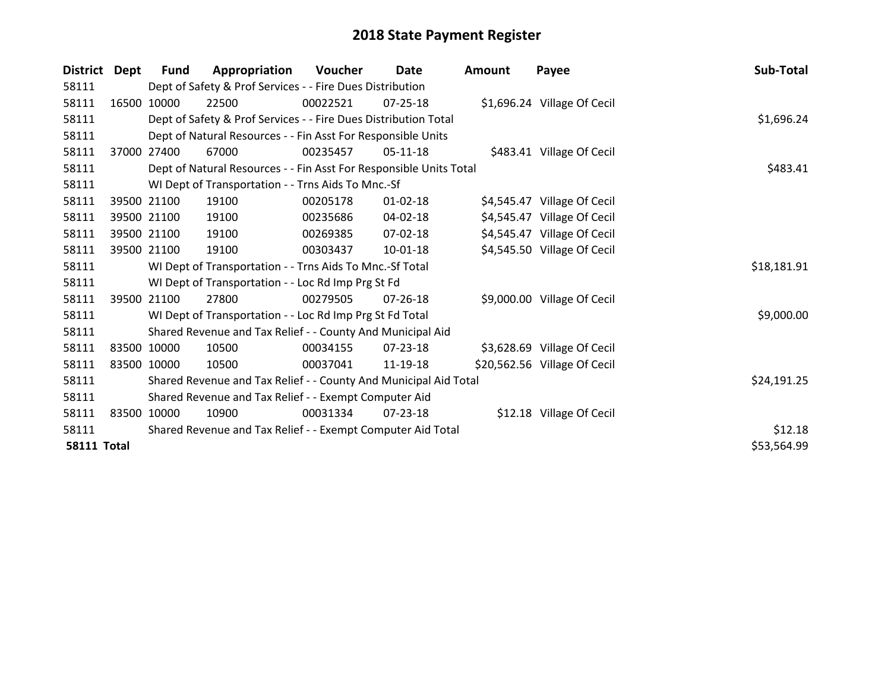| <b>District</b>    | Dept  | <b>Fund</b> | Appropriation                                                      | Voucher  | Date           | <b>Amount</b> | Payee                        | Sub-Total   |
|--------------------|-------|-------------|--------------------------------------------------------------------|----------|----------------|---------------|------------------------------|-------------|
| 58111              |       |             | Dept of Safety & Prof Services - - Fire Dues Distribution          |          |                |               |                              |             |
| 58111              | 16500 | 10000       | 22500                                                              | 00022521 | 07-25-18       |               | \$1,696.24 Village Of Cecil  |             |
| 58111              |       |             | Dept of Safety & Prof Services - - Fire Dues Distribution Total    |          |                |               |                              | \$1,696.24  |
| 58111              |       |             | Dept of Natural Resources - - Fin Asst For Responsible Units       |          |                |               |                              |             |
| 58111              | 37000 | 27400       | 67000                                                              | 00235457 | 05-11-18       |               | \$483.41 Village Of Cecil    |             |
| 58111              |       |             | Dept of Natural Resources - - Fin Asst For Responsible Units Total |          |                |               |                              | \$483.41    |
| 58111              |       |             | WI Dept of Transportation - - Trns Aids To Mnc.-Sf                 |          |                |               |                              |             |
| 58111              |       | 39500 21100 | 19100                                                              | 00205178 | $01 - 02 - 18$ |               | \$4,545.47 Village Of Cecil  |             |
| 58111              |       | 39500 21100 | 19100                                                              | 00235686 | 04-02-18       |               | \$4,545.47 Village Of Cecil  |             |
| 58111              |       | 39500 21100 | 19100                                                              | 00269385 | 07-02-18       |               | \$4,545.47 Village Of Cecil  |             |
| 58111              |       | 39500 21100 | 19100                                                              | 00303437 | 10-01-18       |               | \$4,545.50 Village Of Cecil  |             |
| 58111              |       |             | WI Dept of Transportation - - Trns Aids To Mnc.-Sf Total           |          |                |               |                              | \$18,181.91 |
| 58111              |       |             | WI Dept of Transportation - - Loc Rd Imp Prg St Fd                 |          |                |               |                              |             |
| 58111              |       | 39500 21100 | 27800                                                              | 00279505 | $07 - 26 - 18$ |               | \$9,000.00 Village Of Cecil  |             |
| 58111              |       |             | WI Dept of Transportation - - Loc Rd Imp Prg St Fd Total           |          |                |               |                              | \$9,000.00  |
| 58111              |       |             | Shared Revenue and Tax Relief - - County And Municipal Aid         |          |                |               |                              |             |
| 58111              |       | 83500 10000 | 10500                                                              | 00034155 | $07 - 23 - 18$ |               | \$3,628.69 Village Of Cecil  |             |
| 58111              |       | 83500 10000 | 10500                                                              | 00037041 | 11-19-18       |               | \$20,562.56 Village Of Cecil |             |
| 58111              |       |             | Shared Revenue and Tax Relief - - County And Municipal Aid Total   |          |                |               |                              | \$24,191.25 |
| 58111              |       |             | Shared Revenue and Tax Relief - - Exempt Computer Aid              |          |                |               |                              |             |
| 58111              |       | 83500 10000 | 10900                                                              | 00031334 | $07 - 23 - 18$ |               | \$12.18 Village Of Cecil     |             |
| 58111              |       |             | Shared Revenue and Tax Relief - - Exempt Computer Aid Total        |          |                |               |                              | \$12.18     |
| <b>58111 Total</b> |       |             |                                                                    |          |                |               |                              | \$53,564.99 |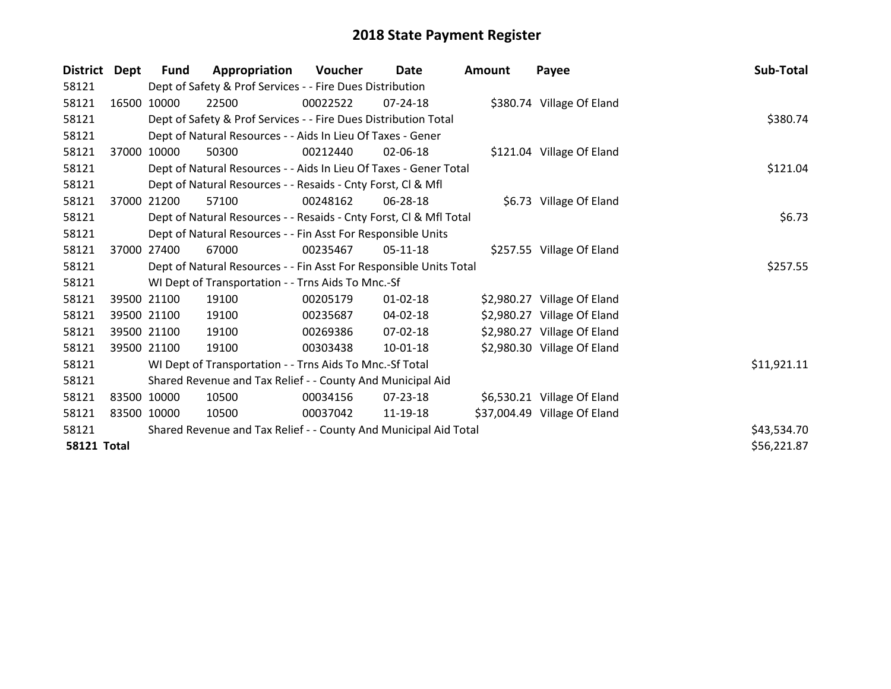| District           | Dept  | <b>Fund</b> | Appropriation                                                      | Voucher  | Date           | <b>Amount</b> | Payee                        | Sub-Total   |
|--------------------|-------|-------------|--------------------------------------------------------------------|----------|----------------|---------------|------------------------------|-------------|
| 58121              |       |             | Dept of Safety & Prof Services - - Fire Dues Distribution          |          |                |               |                              |             |
| 58121              |       | 16500 10000 | 22500                                                              | 00022522 | 07-24-18       |               | \$380.74 Village Of Eland    |             |
| 58121              |       |             | Dept of Safety & Prof Services - - Fire Dues Distribution Total    |          |                |               |                              | \$380.74    |
| 58121              |       |             | Dept of Natural Resources - - Aids In Lieu Of Taxes - Gener        |          |                |               |                              |             |
| 58121              | 37000 | 10000       | 50300                                                              | 00212440 | 02-06-18       |               | \$121.04 Village Of Eland    |             |
| 58121              |       |             | Dept of Natural Resources - - Aids In Lieu Of Taxes - Gener Total  |          |                |               |                              | \$121.04    |
| 58121              |       |             | Dept of Natural Resources - - Resaids - Cnty Forst, CI & Mfl       |          |                |               |                              |             |
| 58121              | 37000 | 21200       | 57100                                                              | 00248162 | 06-28-18       |               | \$6.73 Village Of Eland      |             |
| 58121              |       |             | Dept of Natural Resources - - Resaids - Cnty Forst, Cl & Mfl Total |          |                |               |                              | \$6.73      |
| 58121              |       |             | Dept of Natural Resources - - Fin Asst For Responsible Units       |          |                |               |                              |             |
| 58121              |       | 37000 27400 | 67000                                                              | 00235467 | 05-11-18       |               | \$257.55 Village Of Eland    |             |
| 58121              |       |             | Dept of Natural Resources - - Fin Asst For Responsible Units Total |          |                |               |                              | \$257.55    |
| 58121              |       |             | WI Dept of Transportation - - Trns Aids To Mnc.-Sf                 |          |                |               |                              |             |
| 58121              |       | 39500 21100 | 19100                                                              | 00205179 | $01 - 02 - 18$ |               | \$2,980.27 Village Of Eland  |             |
| 58121              |       | 39500 21100 | 19100                                                              | 00235687 | 04-02-18       |               | \$2,980.27 Village Of Eland  |             |
| 58121              |       | 39500 21100 | 19100                                                              | 00269386 | $07 - 02 - 18$ |               | \$2,980.27 Village Of Eland  |             |
| 58121              |       | 39500 21100 | 19100                                                              | 00303438 | $10 - 01 - 18$ |               | \$2,980.30 Village Of Eland  |             |
| 58121              |       |             | WI Dept of Transportation - - Trns Aids To Mnc.-Sf Total           |          |                |               |                              | \$11,921.11 |
| 58121              |       |             | Shared Revenue and Tax Relief - - County And Municipal Aid         |          |                |               |                              |             |
| 58121              |       | 83500 10000 | 10500                                                              | 00034156 | 07-23-18       |               | \$6,530.21 Village Of Eland  |             |
| 58121              |       | 83500 10000 | 10500                                                              | 00037042 | 11-19-18       |               | \$37,004.49 Village Of Eland |             |
| 58121              |       |             | Shared Revenue and Tax Relief - - County And Municipal Aid Total   |          |                |               |                              | \$43,534.70 |
| <b>58121 Total</b> |       |             |                                                                    |          |                |               |                              | \$56,221.87 |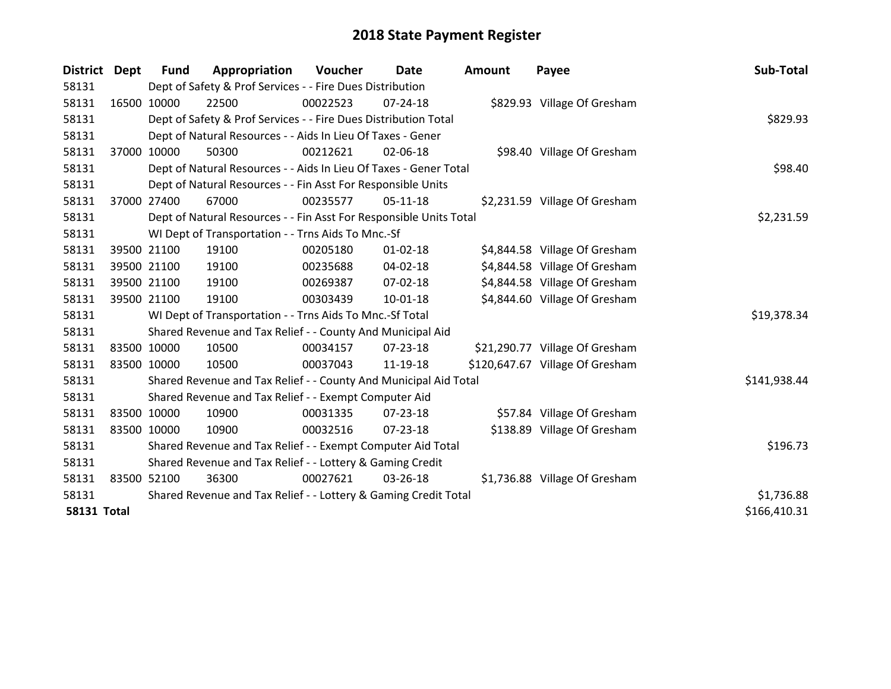| <b>District</b>    | <b>Dept</b> | <b>Fund</b> | Appropriation                                                      | <b>Voucher</b> | Date           | <b>Amount</b> | Payee                           | Sub-Total    |
|--------------------|-------------|-------------|--------------------------------------------------------------------|----------------|----------------|---------------|---------------------------------|--------------|
| 58131              |             |             | Dept of Safety & Prof Services - - Fire Dues Distribution          |                |                |               |                                 |              |
| 58131              | 16500 10000 |             | 22500                                                              | 00022523       | $07 - 24 - 18$ |               | \$829.93 Village Of Gresham     |              |
| 58131              |             |             | Dept of Safety & Prof Services - - Fire Dues Distribution Total    |                |                |               |                                 | \$829.93     |
| 58131              |             |             | Dept of Natural Resources - - Aids In Lieu Of Taxes - Gener        |                |                |               |                                 |              |
| 58131              | 37000 10000 |             | 50300                                                              | 00212621       | 02-06-18       |               | \$98.40 Village Of Gresham      |              |
| 58131              |             |             | Dept of Natural Resources - - Aids In Lieu Of Taxes - Gener Total  |                |                |               |                                 | \$98.40      |
| 58131              |             |             | Dept of Natural Resources - - Fin Asst For Responsible Units       |                |                |               |                                 |              |
| 58131              | 37000 27400 |             | 67000                                                              | 00235577       | $05-11-18$     |               | \$2,231.59 Village Of Gresham   |              |
| 58131              |             |             | Dept of Natural Resources - - Fin Asst For Responsible Units Total |                |                |               |                                 | \$2,231.59   |
| 58131              |             |             | WI Dept of Transportation - - Trns Aids To Mnc.-Sf                 |                |                |               |                                 |              |
| 58131              | 39500 21100 |             | 19100                                                              | 00205180       | $01 - 02 - 18$ |               | \$4,844.58 Village Of Gresham   |              |
| 58131              | 39500 21100 |             | 19100                                                              | 00235688       | $04 - 02 - 18$ |               | \$4,844.58 Village Of Gresham   |              |
| 58131              | 39500 21100 |             | 19100                                                              | 00269387       | 07-02-18       |               | \$4,844.58 Village Of Gresham   |              |
| 58131              | 39500 21100 |             | 19100                                                              | 00303439       | $10 - 01 - 18$ |               | \$4,844.60 Village Of Gresham   |              |
| 58131              |             |             | WI Dept of Transportation - - Trns Aids To Mnc.-Sf Total           |                |                |               |                                 | \$19,378.34  |
| 58131              |             |             | Shared Revenue and Tax Relief - - County And Municipal Aid         |                |                |               |                                 |              |
| 58131              | 83500 10000 |             | 10500                                                              | 00034157       | 07-23-18       |               | \$21,290.77 Village Of Gresham  |              |
| 58131              | 83500 10000 |             | 10500                                                              | 00037043       | 11-19-18       |               | \$120,647.67 Village Of Gresham |              |
| 58131              |             |             | Shared Revenue and Tax Relief - - County And Municipal Aid Total   |                |                |               |                                 | \$141,938.44 |
| 58131              |             |             | Shared Revenue and Tax Relief - - Exempt Computer Aid              |                |                |               |                                 |              |
| 58131              | 83500 10000 |             | 10900                                                              | 00031335       | $07 - 23 - 18$ |               | \$57.84 Village Of Gresham      |              |
| 58131              | 83500 10000 |             | 10900                                                              | 00032516       | 07-23-18       |               | \$138.89 Village Of Gresham     |              |
| 58131              |             |             | Shared Revenue and Tax Relief - - Exempt Computer Aid Total        |                |                |               |                                 | \$196.73     |
| 58131              |             |             | Shared Revenue and Tax Relief - - Lottery & Gaming Credit          |                |                |               |                                 |              |
| 58131              | 83500 52100 |             | 36300                                                              | 00027621       | 03-26-18       |               | \$1,736.88 Village Of Gresham   |              |
| 58131              |             |             | Shared Revenue and Tax Relief - - Lottery & Gaming Credit Total    | \$1,736.88     |                |               |                                 |              |
| <b>58131 Total</b> |             |             |                                                                    |                |                |               |                                 | \$166,410.31 |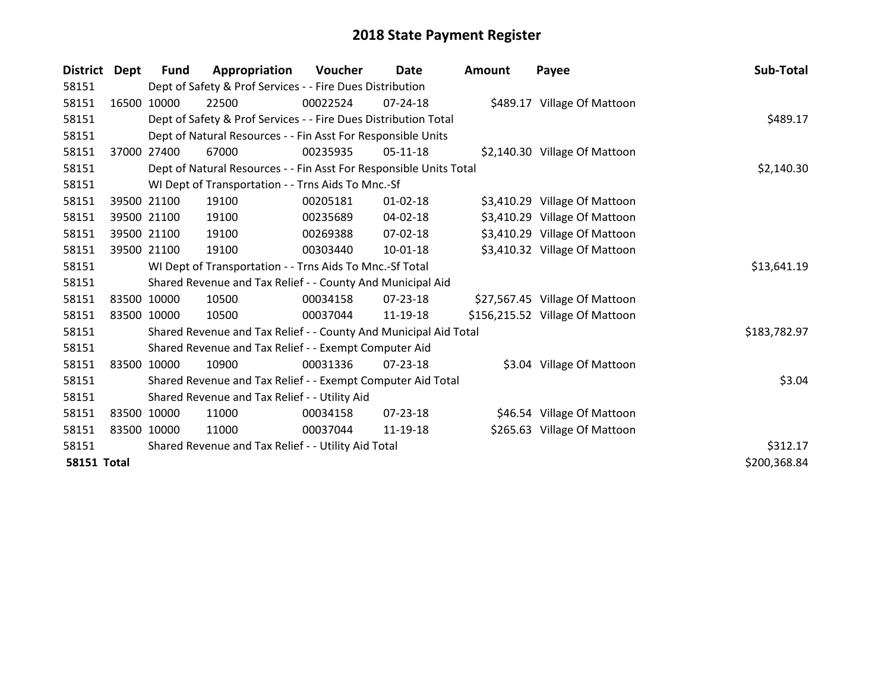| <b>District</b>    | Dept  | <b>Fund</b> | Appropriation                                                      | Voucher  | Date           | <b>Amount</b> | Payee                           | Sub-Total    |
|--------------------|-------|-------------|--------------------------------------------------------------------|----------|----------------|---------------|---------------------------------|--------------|
| 58151              |       |             | Dept of Safety & Prof Services - - Fire Dues Distribution          |          |                |               |                                 |              |
| 58151              |       | 16500 10000 | 22500                                                              | 00022524 | 07-24-18       |               | \$489.17 Village Of Mattoon     |              |
| 58151              |       |             | Dept of Safety & Prof Services - - Fire Dues Distribution Total    |          |                |               |                                 | \$489.17     |
| 58151              |       |             | Dept of Natural Resources - - Fin Asst For Responsible Units       |          |                |               |                                 |              |
| 58151              | 37000 | 27400       | 67000                                                              | 00235935 | $05-11-18$     |               | \$2,140.30 Village Of Mattoon   |              |
| 58151              |       |             | Dept of Natural Resources - - Fin Asst For Responsible Units Total |          |                |               |                                 | \$2,140.30   |
| 58151              |       |             | WI Dept of Transportation - - Trns Aids To Mnc.-Sf                 |          |                |               |                                 |              |
| 58151              |       | 39500 21100 | 19100                                                              | 00205181 | $01 - 02 - 18$ |               | \$3,410.29 Village Of Mattoon   |              |
| 58151              |       | 39500 21100 | 19100                                                              | 00235689 | 04-02-18       |               | \$3,410.29 Village Of Mattoon   |              |
| 58151              |       | 39500 21100 | 19100                                                              | 00269388 | 07-02-18       |               | \$3,410.29 Village Of Mattoon   |              |
| 58151              |       | 39500 21100 | 19100                                                              | 00303440 | 10-01-18       |               | \$3,410.32 Village Of Mattoon   |              |
| 58151              |       |             | WI Dept of Transportation - - Trns Aids To Mnc.-Sf Total           |          |                |               |                                 | \$13,641.19  |
| 58151              |       |             | Shared Revenue and Tax Relief - - County And Municipal Aid         |          |                |               |                                 |              |
| 58151              |       | 83500 10000 | 10500                                                              | 00034158 | 07-23-18       |               | \$27,567.45 Village Of Mattoon  |              |
| 58151              |       | 83500 10000 | 10500                                                              | 00037044 | 11-19-18       |               | \$156,215.52 Village Of Mattoon |              |
| 58151              |       |             | Shared Revenue and Tax Relief - - County And Municipal Aid Total   |          |                |               |                                 | \$183,782.97 |
| 58151              |       |             | Shared Revenue and Tax Relief - - Exempt Computer Aid              |          |                |               |                                 |              |
| 58151              |       | 83500 10000 | 10900                                                              | 00031336 | $07 - 23 - 18$ |               | \$3.04 Village Of Mattoon       |              |
| 58151              |       |             | Shared Revenue and Tax Relief - - Exempt Computer Aid Total        |          |                |               |                                 | \$3.04       |
| 58151              |       |             | Shared Revenue and Tax Relief - - Utility Aid                      |          |                |               |                                 |              |
| 58151              |       | 83500 10000 | 11000                                                              | 00034158 | $07 - 23 - 18$ |               | \$46.54 Village Of Mattoon      |              |
| 58151              |       | 83500 10000 | 11000                                                              | 00037044 | 11-19-18       |               | \$265.63 Village Of Mattoon     |              |
| 58151              |       |             | Shared Revenue and Tax Relief - - Utility Aid Total                |          |                |               |                                 | \$312.17     |
| <b>58151 Total</b> |       |             |                                                                    |          |                |               |                                 | \$200,368.84 |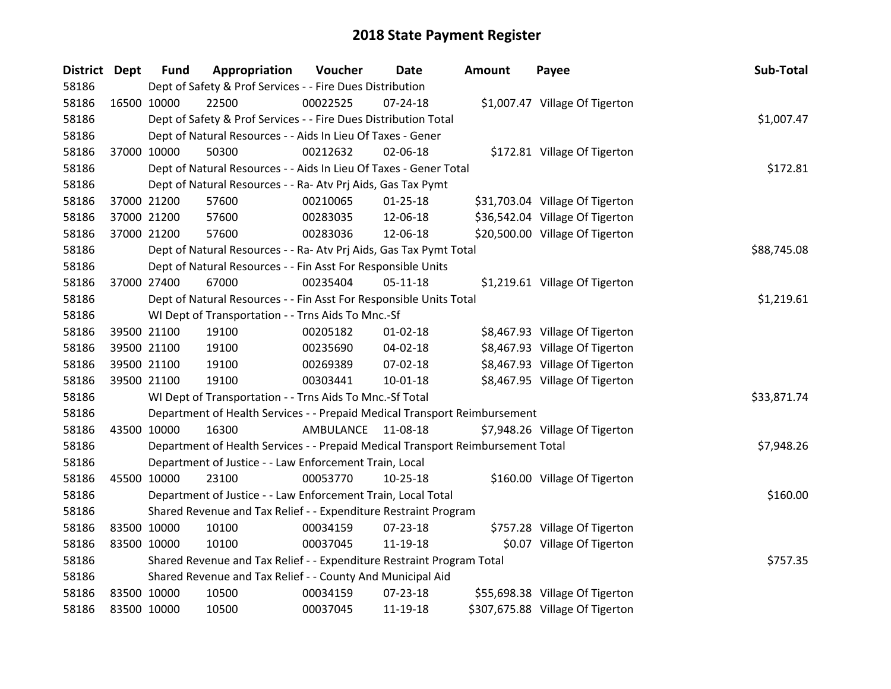| District Dept |             | <b>Fund</b> | Appropriation                                                                   | Voucher   | Date           | <b>Amount</b> | Payee                            | Sub-Total   |
|---------------|-------------|-------------|---------------------------------------------------------------------------------|-----------|----------------|---------------|----------------------------------|-------------|
| 58186         |             |             | Dept of Safety & Prof Services - - Fire Dues Distribution                       |           |                |               |                                  |             |
| 58186         | 16500 10000 |             | 22500                                                                           | 00022525  | 07-24-18       |               | \$1,007.47 Village Of Tigerton   |             |
| 58186         |             |             | Dept of Safety & Prof Services - - Fire Dues Distribution Total                 |           |                |               |                                  | \$1,007.47  |
| 58186         |             |             | Dept of Natural Resources - - Aids In Lieu Of Taxes - Gener                     |           |                |               |                                  |             |
| 58186         |             | 37000 10000 | 50300                                                                           | 00212632  | 02-06-18       |               | \$172.81 Village Of Tigerton     |             |
| 58186         |             |             | Dept of Natural Resources - - Aids In Lieu Of Taxes - Gener Total               |           |                |               |                                  | \$172.81    |
| 58186         |             |             | Dept of Natural Resources - - Ra- Atv Prj Aids, Gas Tax Pymt                    |           |                |               |                                  |             |
| 58186         |             | 37000 21200 | 57600                                                                           | 00210065  | $01 - 25 - 18$ |               | \$31,703.04 Village Of Tigerton  |             |
| 58186         | 37000 21200 |             | 57600                                                                           | 00283035  | 12-06-18       |               | \$36,542.04 Village Of Tigerton  |             |
| 58186         |             | 37000 21200 | 57600                                                                           | 00283036  | 12-06-18       |               | \$20,500.00 Village Of Tigerton  |             |
| 58186         |             |             | Dept of Natural Resources - - Ra- Atv Prj Aids, Gas Tax Pymt Total              |           |                |               |                                  | \$88,745.08 |
| 58186         |             |             | Dept of Natural Resources - - Fin Asst For Responsible Units                    |           |                |               |                                  |             |
| 58186         |             | 37000 27400 | 67000                                                                           | 00235404  | $05 - 11 - 18$ |               | \$1,219.61 Village Of Tigerton   |             |
| 58186         |             |             | Dept of Natural Resources - - Fin Asst For Responsible Units Total              |           |                |               |                                  | \$1,219.61  |
| 58186         |             |             | WI Dept of Transportation - - Trns Aids To Mnc.-Sf                              |           |                |               |                                  |             |
| 58186         |             | 39500 21100 | 19100                                                                           | 00205182  | $01 - 02 - 18$ |               | \$8,467.93 Village Of Tigerton   |             |
| 58186         |             | 39500 21100 | 19100                                                                           | 00235690  | 04-02-18       |               | \$8,467.93 Village Of Tigerton   |             |
| 58186         |             | 39500 21100 | 19100                                                                           | 00269389  | 07-02-18       |               | \$8,467.93 Village Of Tigerton   |             |
| 58186         | 39500 21100 |             | 19100                                                                           | 00303441  | 10-01-18       |               | \$8,467.95 Village Of Tigerton   |             |
| 58186         |             |             | WI Dept of Transportation - - Trns Aids To Mnc.-Sf Total                        |           |                |               |                                  | \$33,871.74 |
| 58186         |             |             | Department of Health Services - - Prepaid Medical Transport Reimbursement       |           |                |               |                                  |             |
| 58186         | 43500 10000 |             | 16300                                                                           | AMBULANCE | 11-08-18       |               | \$7,948.26 Village Of Tigerton   |             |
| 58186         |             |             | Department of Health Services - - Prepaid Medical Transport Reimbursement Total |           |                |               |                                  | \$7,948.26  |
| 58186         |             |             | Department of Justice - - Law Enforcement Train, Local                          |           |                |               |                                  |             |
| 58186         | 45500 10000 |             | 23100                                                                           | 00053770  | $10 - 25 - 18$ |               | \$160.00 Village Of Tigerton     |             |
| 58186         |             |             | Department of Justice - - Law Enforcement Train, Local Total                    |           |                |               |                                  | \$160.00    |
| 58186         |             |             | Shared Revenue and Tax Relief - - Expenditure Restraint Program                 |           |                |               |                                  |             |
| 58186         |             | 83500 10000 | 10100                                                                           | 00034159  | 07-23-18       |               | \$757.28 Village Of Tigerton     |             |
| 58186         | 83500 10000 |             | 10100                                                                           | 00037045  | 11-19-18       |               | \$0.07 Village Of Tigerton       |             |
| 58186         |             |             | Shared Revenue and Tax Relief - - Expenditure Restraint Program Total           |           |                |               |                                  | \$757.35    |
| 58186         |             |             | Shared Revenue and Tax Relief - - County And Municipal Aid                      |           |                |               |                                  |             |
| 58186         | 83500 10000 |             | 10500                                                                           | 00034159  | 07-23-18       |               | \$55,698.38 Village Of Tigerton  |             |
| 58186         | 83500 10000 |             | 10500                                                                           | 00037045  | 11-19-18       |               | \$307,675.88 Village Of Tigerton |             |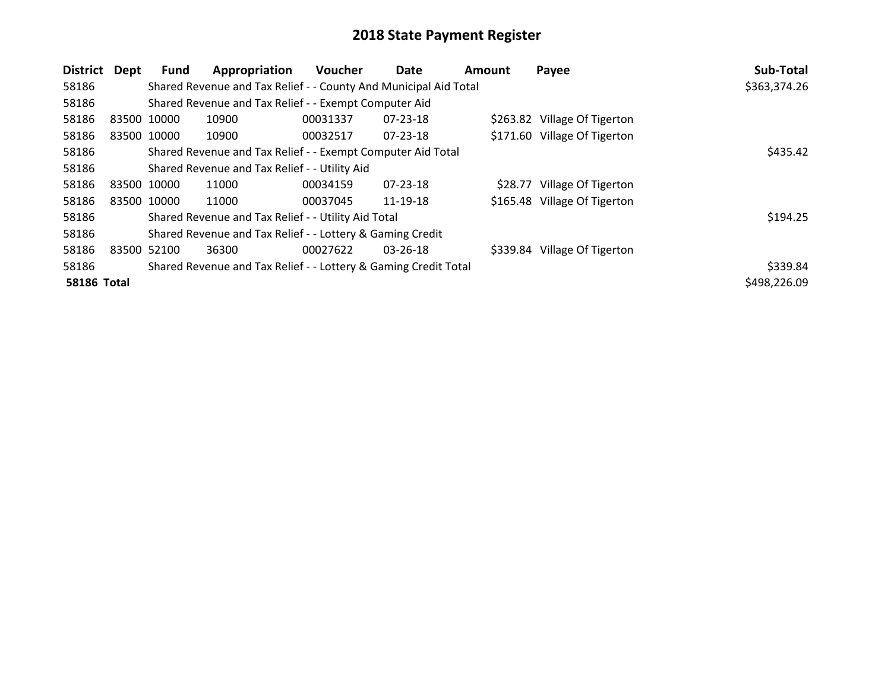| <b>District</b>    | Dept        | Fund                                                             | Appropriation                                                   | <b>Voucher</b> | Date           | <b>Amount</b> | Payee                        | Sub-Total    |
|--------------------|-------------|------------------------------------------------------------------|-----------------------------------------------------------------|----------------|----------------|---------------|------------------------------|--------------|
| 58186              |             | Shared Revenue and Tax Relief - - County And Municipal Aid Total | \$363,374.26                                                    |                |                |               |                              |              |
| 58186              |             |                                                                  | Shared Revenue and Tax Relief - - Exempt Computer Aid           |                |                |               |                              |              |
| 58186              | 83500 10000 |                                                                  | 10900                                                           | 00031337       | 07-23-18       |               | \$263.82 Village Of Tigerton |              |
| 58186              | 83500 10000 |                                                                  | 10900                                                           | 00032517       | 07-23-18       |               | \$171.60 Village Of Tigerton |              |
| 58186              |             |                                                                  | Shared Revenue and Tax Relief - - Exempt Computer Aid Total     |                |                |               |                              | \$435.42     |
| 58186              |             |                                                                  | Shared Revenue and Tax Relief - - Utility Aid                   |                |                |               |                              |              |
| 58186              | 83500 10000 |                                                                  | 11000                                                           | 00034159       | 07-23-18       | \$28.77       | Village Of Tigerton          |              |
| 58186              | 83500 10000 |                                                                  | 11000                                                           | 00037045       | 11-19-18       |               | \$165.48 Village Of Tigerton |              |
| 58186              |             |                                                                  | Shared Revenue and Tax Relief - - Utility Aid Total             |                |                |               |                              | \$194.25     |
| 58186              |             |                                                                  | Shared Revenue and Tax Relief - - Lottery & Gaming Credit       |                |                |               |                              |              |
| 58186              | 83500 52100 |                                                                  | 36300                                                           | 00027622       | $03 - 26 - 18$ |               | \$339.84 Village Of Tigerton |              |
| 58186              |             |                                                                  | Shared Revenue and Tax Relief - - Lottery & Gaming Credit Total |                |                |               |                              | \$339.84     |
| <b>58186 Total</b> |             |                                                                  |                                                                 |                |                |               |                              | \$498,226.09 |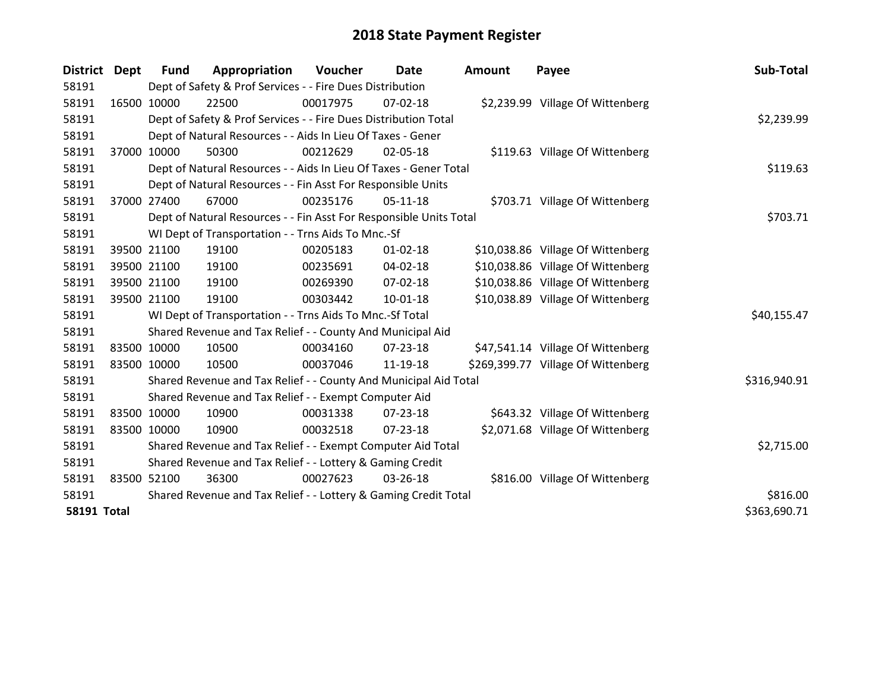| District Dept      |             | <b>Fund</b> | Appropriation                                                      | Voucher  | Date           | <b>Amount</b> | Payee                              | Sub-Total    |
|--------------------|-------------|-------------|--------------------------------------------------------------------|----------|----------------|---------------|------------------------------------|--------------|
| 58191              |             |             | Dept of Safety & Prof Services - - Fire Dues Distribution          |          |                |               |                                    |              |
| 58191              | 16500 10000 |             | 22500                                                              | 00017975 | $07 - 02 - 18$ |               | \$2,239.99 Village Of Wittenberg   |              |
| 58191              |             |             | Dept of Safety & Prof Services - - Fire Dues Distribution Total    |          |                |               |                                    | \$2,239.99   |
| 58191              |             |             | Dept of Natural Resources - - Aids In Lieu Of Taxes - Gener        |          |                |               |                                    |              |
| 58191              | 37000 10000 |             | 50300                                                              | 00212629 | 02-05-18       |               | \$119.63 Village Of Wittenberg     |              |
| 58191              |             |             | Dept of Natural Resources - - Aids In Lieu Of Taxes - Gener Total  |          |                |               |                                    | \$119.63     |
| 58191              |             |             | Dept of Natural Resources - - Fin Asst For Responsible Units       |          |                |               |                                    |              |
| 58191              | 37000 27400 |             | 67000                                                              | 00235176 | $05-11-18$     |               | \$703.71 Village Of Wittenberg     |              |
| 58191              |             |             | Dept of Natural Resources - - Fin Asst For Responsible Units Total |          |                |               |                                    | \$703.71     |
| 58191              |             |             | WI Dept of Transportation - - Trns Aids To Mnc.-Sf                 |          |                |               |                                    |              |
| 58191              |             | 39500 21100 | 19100                                                              | 00205183 | $01 - 02 - 18$ |               | \$10,038.86 Village Of Wittenberg  |              |
| 58191              |             | 39500 21100 | 19100                                                              | 00235691 | 04-02-18       |               | \$10,038.86 Village Of Wittenberg  |              |
| 58191              |             | 39500 21100 | 19100                                                              | 00269390 | 07-02-18       |               | \$10,038.86 Village Of Wittenberg  |              |
| 58191              | 39500 21100 |             | 19100                                                              | 00303442 | $10 - 01 - 18$ |               | \$10,038.89 Village Of Wittenberg  |              |
| 58191              |             |             | WI Dept of Transportation - - Trns Aids To Mnc.-Sf Total           |          |                |               |                                    | \$40,155.47  |
| 58191              |             |             | Shared Revenue and Tax Relief - - County And Municipal Aid         |          |                |               |                                    |              |
| 58191              | 83500 10000 |             | 10500                                                              | 00034160 | $07 - 23 - 18$ |               | \$47,541.14 Village Of Wittenberg  |              |
| 58191              | 83500 10000 |             | 10500                                                              | 00037046 | 11-19-18       |               | \$269,399.77 Village Of Wittenberg |              |
| 58191              |             |             | Shared Revenue and Tax Relief - - County And Municipal Aid Total   |          |                |               |                                    | \$316,940.91 |
| 58191              |             |             | Shared Revenue and Tax Relief - - Exempt Computer Aid              |          |                |               |                                    |              |
| 58191              | 83500 10000 |             | 10900                                                              | 00031338 | $07 - 23 - 18$ |               | \$643.32 Village Of Wittenberg     |              |
| 58191              | 83500 10000 |             | 10900                                                              | 00032518 | $07 - 23 - 18$ |               | \$2,071.68 Village Of Wittenberg   |              |
| 58191              |             |             | Shared Revenue and Tax Relief - - Exempt Computer Aid Total        |          |                |               |                                    | \$2,715.00   |
| 58191              |             |             | Shared Revenue and Tax Relief - - Lottery & Gaming Credit          |          |                |               |                                    |              |
| 58191              | 83500 52100 |             | 36300                                                              | 00027623 | 03-26-18       |               | \$816.00 Village Of Wittenberg     |              |
| 58191              |             |             | Shared Revenue and Tax Relief - - Lottery & Gaming Credit Total    |          |                |               |                                    | \$816.00     |
| <b>58191 Total</b> |             |             |                                                                    |          |                |               |                                    | \$363,690.71 |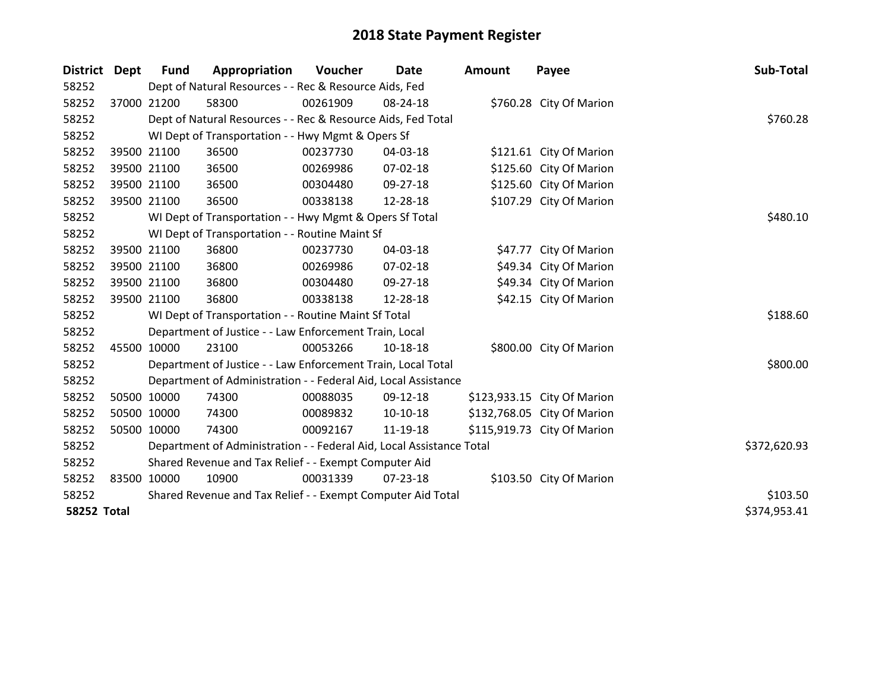| <b>District</b>    | Dept | <b>Fund</b> | Appropriation                                                        | Voucher  | Date           | <b>Amount</b> | Payee                       | Sub-Total    |
|--------------------|------|-------------|----------------------------------------------------------------------|----------|----------------|---------------|-----------------------------|--------------|
| 58252              |      |             | Dept of Natural Resources - - Rec & Resource Aids, Fed               |          |                |               |                             |              |
| 58252              |      | 37000 21200 | 58300                                                                | 00261909 | 08-24-18       |               | \$760.28 City Of Marion     |              |
| 58252              |      |             | Dept of Natural Resources - - Rec & Resource Aids, Fed Total         | \$760.28 |                |               |                             |              |
| 58252              |      |             | WI Dept of Transportation - - Hwy Mgmt & Opers Sf                    |          |                |               |                             |              |
| 58252              |      | 39500 21100 | 36500                                                                | 00237730 | 04-03-18       |               | \$121.61 City Of Marion     |              |
| 58252              |      | 39500 21100 | 36500                                                                | 00269986 | 07-02-18       |               | \$125.60 City Of Marion     |              |
| 58252              |      | 39500 21100 | 36500                                                                | 00304480 | 09-27-18       |               | \$125.60 City Of Marion     |              |
| 58252              |      | 39500 21100 | 36500                                                                | 00338138 | 12-28-18       |               | \$107.29 City Of Marion     |              |
| 58252              |      |             | WI Dept of Transportation - - Hwy Mgmt & Opers Sf Total              |          |                |               |                             | \$480.10     |
| 58252              |      |             | WI Dept of Transportation - - Routine Maint Sf                       |          |                |               |                             |              |
| 58252              |      | 39500 21100 | 36800                                                                | 00237730 | 04-03-18       |               | \$47.77 City Of Marion      |              |
| 58252              |      | 39500 21100 | 36800                                                                | 00269986 | 07-02-18       |               | \$49.34 City Of Marion      |              |
| 58252              |      | 39500 21100 | 36800                                                                | 00304480 | 09-27-18       |               | \$49.34 City Of Marion      |              |
| 58252              |      | 39500 21100 | 36800                                                                | 00338138 | 12-28-18       |               | \$42.15 City Of Marion      |              |
| 58252              |      |             | WI Dept of Transportation - - Routine Maint Sf Total                 |          |                |               |                             | \$188.60     |
| 58252              |      |             | Department of Justice - - Law Enforcement Train, Local               |          |                |               |                             |              |
| 58252              |      | 45500 10000 | 23100                                                                | 00053266 | 10-18-18       |               | \$800.00 City Of Marion     |              |
| 58252              |      |             | Department of Justice - - Law Enforcement Train, Local Total         |          |                |               |                             | \$800.00     |
| 58252              |      |             | Department of Administration - - Federal Aid, Local Assistance       |          |                |               |                             |              |
| 58252              |      | 50500 10000 | 74300                                                                | 00088035 | 09-12-18       |               | \$123,933.15 City Of Marion |              |
| 58252              |      | 50500 10000 | 74300                                                                | 00089832 | $10-10-18$     |               | \$132,768.05 City Of Marion |              |
| 58252              |      | 50500 10000 | 74300                                                                | 00092167 | 11-19-18       |               | \$115,919.73 City Of Marion |              |
| 58252              |      |             | Department of Administration - - Federal Aid, Local Assistance Total |          |                |               |                             | \$372,620.93 |
| 58252              |      |             | Shared Revenue and Tax Relief - - Exempt Computer Aid                |          |                |               |                             |              |
| 58252              |      | 83500 10000 | 10900                                                                | 00031339 | $07 - 23 - 18$ |               | \$103.50 City Of Marion     |              |
| 58252              |      |             | Shared Revenue and Tax Relief - - Exempt Computer Aid Total          |          |                |               |                             | \$103.50     |
| <b>58252 Total</b> |      |             |                                                                      |          |                |               |                             | \$374,953.41 |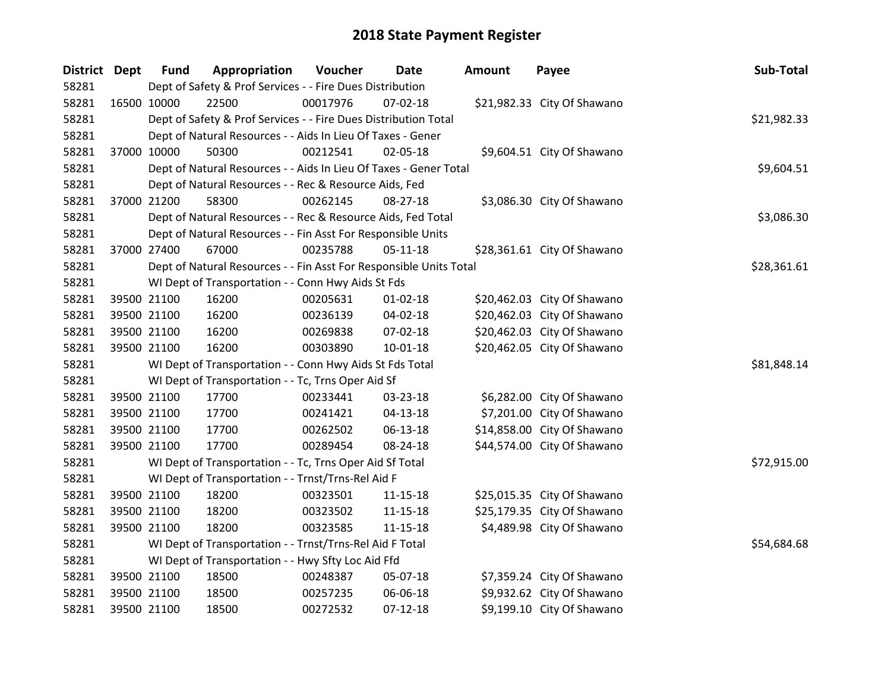| District Dept |             | <b>Fund</b>                                                     | Appropriation                                                      | Voucher     | Date           | <b>Amount</b> | Payee                       | Sub-Total   |
|---------------|-------------|-----------------------------------------------------------------|--------------------------------------------------------------------|-------------|----------------|---------------|-----------------------------|-------------|
| 58281         |             | Dept of Safety & Prof Services - - Fire Dues Distribution       |                                                                    |             |                |               |                             |             |
| 58281         | 16500 10000 |                                                                 | 22500                                                              | 00017976    | $07 - 02 - 18$ |               | \$21,982.33 City Of Shawano |             |
| 58281         |             | Dept of Safety & Prof Services - - Fire Dues Distribution Total |                                                                    | \$21,982.33 |                |               |                             |             |
| 58281         |             | Dept of Natural Resources - - Aids In Lieu Of Taxes - Gener     |                                                                    |             |                |               |                             |             |
| 58281         | 37000 10000 |                                                                 | 50300                                                              | 00212541    | 02-05-18       |               | \$9,604.51 City Of Shawano  |             |
| 58281         |             |                                                                 | Dept of Natural Resources - - Aids In Lieu Of Taxes - Gener Total  |             |                |               |                             | \$9,604.51  |
| 58281         |             |                                                                 | Dept of Natural Resources - - Rec & Resource Aids, Fed             |             |                |               |                             |             |
| 58281         | 37000 21200 |                                                                 | 58300                                                              | 00262145    | 08-27-18       |               | \$3,086.30 City Of Shawano  |             |
| 58281         |             |                                                                 | Dept of Natural Resources - - Rec & Resource Aids, Fed Total       |             |                |               |                             | \$3,086.30  |
| 58281         |             |                                                                 | Dept of Natural Resources - - Fin Asst For Responsible Units       |             |                |               |                             |             |
| 58281         | 37000 27400 |                                                                 | 67000                                                              | 00235788    | $05 - 11 - 18$ |               | \$28,361.61 City Of Shawano |             |
| 58281         |             |                                                                 | Dept of Natural Resources - - Fin Asst For Responsible Units Total |             |                |               |                             | \$28,361.61 |
| 58281         |             |                                                                 | WI Dept of Transportation - - Conn Hwy Aids St Fds                 |             |                |               |                             |             |
| 58281         | 39500 21100 |                                                                 | 16200                                                              | 00205631    | $01 - 02 - 18$ |               | \$20,462.03 City Of Shawano |             |
| 58281         | 39500 21100 |                                                                 | 16200                                                              | 00236139    | 04-02-18       |               | \$20,462.03 City Of Shawano |             |
| 58281         | 39500 21100 |                                                                 | 16200                                                              | 00269838    | 07-02-18       |               | \$20,462.03 City Of Shawano |             |
| 58281         | 39500 21100 |                                                                 | 16200                                                              | 00303890    | $10 - 01 - 18$ |               | \$20,462.05 City Of Shawano |             |
| 58281         |             |                                                                 | WI Dept of Transportation - - Conn Hwy Aids St Fds Total           |             |                |               |                             | \$81,848.14 |
| 58281         |             |                                                                 | WI Dept of Transportation - - Tc, Trns Oper Aid Sf                 |             |                |               |                             |             |
| 58281         | 39500 21100 |                                                                 | 17700                                                              | 00233441    | 03-23-18       |               | \$6,282.00 City Of Shawano  |             |
| 58281         | 39500 21100 |                                                                 | 17700                                                              | 00241421    | 04-13-18       |               | \$7,201.00 City Of Shawano  |             |
| 58281         | 39500 21100 |                                                                 | 17700                                                              | 00262502    | 06-13-18       |               | \$14,858.00 City Of Shawano |             |
| 58281         | 39500 21100 |                                                                 | 17700                                                              | 00289454    | 08-24-18       |               | \$44,574.00 City Of Shawano |             |
| 58281         |             |                                                                 | WI Dept of Transportation - - Tc, Trns Oper Aid Sf Total           |             |                |               |                             | \$72,915.00 |
| 58281         |             |                                                                 | WI Dept of Transportation - - Trnst/Trns-Rel Aid F                 |             |                |               |                             |             |
| 58281         | 39500 21100 |                                                                 | 18200                                                              | 00323501    | $11 - 15 - 18$ |               | \$25,015.35 City Of Shawano |             |
| 58281         | 39500 21100 |                                                                 | 18200                                                              | 00323502    | 11-15-18       |               | \$25,179.35 City Of Shawano |             |
| 58281         | 39500 21100 |                                                                 | 18200                                                              | 00323585    | 11-15-18       |               | \$4,489.98 City Of Shawano  |             |
| 58281         |             | WI Dept of Transportation - - Trnst/Trns-Rel Aid F Total        |                                                                    | \$54,684.68 |                |               |                             |             |
| 58281         |             |                                                                 | WI Dept of Transportation - - Hwy Sfty Loc Aid Ffd                 |             |                |               |                             |             |
| 58281         | 39500 21100 |                                                                 | 18500                                                              | 00248387    | 05-07-18       |               | \$7,359.24 City Of Shawano  |             |
| 58281         | 39500 21100 |                                                                 | 18500                                                              | 00257235    | 06-06-18       |               | \$9,932.62 City Of Shawano  |             |
| 58281         | 39500 21100 |                                                                 | 18500                                                              | 00272532    | $07 - 12 - 18$ |               | \$9,199.10 City Of Shawano  |             |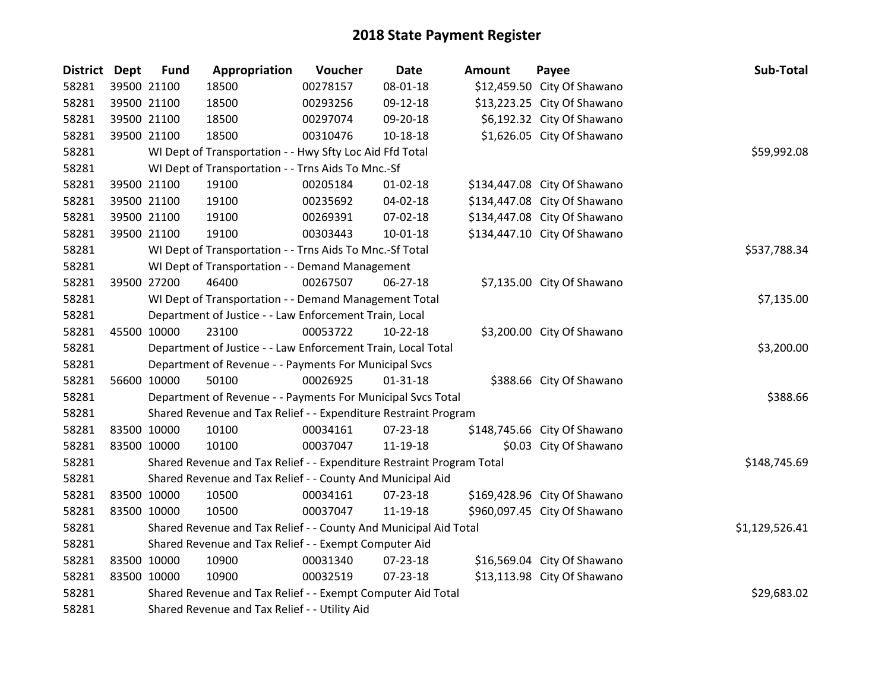| <b>District Dept</b> | <b>Fund</b> | Appropriation                                                         | Voucher     | <b>Date</b>    | Amount | Payee                        | Sub-Total      |
|----------------------|-------------|-----------------------------------------------------------------------|-------------|----------------|--------|------------------------------|----------------|
| 58281                | 39500 21100 | 18500                                                                 | 00278157    | 08-01-18       |        | \$12,459.50 City Of Shawano  |                |
| 58281                | 39500 21100 | 18500                                                                 | 00293256    | 09-12-18       |        | \$13,223.25 City Of Shawano  |                |
| 58281                | 39500 21100 | 18500                                                                 | 00297074    | 09-20-18       |        | \$6,192.32 City Of Shawano   |                |
| 58281                | 39500 21100 | 18500                                                                 | 00310476    | 10-18-18       |        | \$1,626.05 City Of Shawano   |                |
| 58281                |             | WI Dept of Transportation - - Hwy Sfty Loc Aid Ffd Total              | \$59,992.08 |                |        |                              |                |
| 58281                |             | WI Dept of Transportation - - Trns Aids To Mnc.-Sf                    |             |                |        |                              |                |
| 58281                | 39500 21100 | 19100                                                                 | 00205184    | $01 - 02 - 18$ |        | \$134,447.08 City Of Shawano |                |
| 58281                | 39500 21100 | 19100                                                                 | 00235692    | 04-02-18       |        | \$134,447.08 City Of Shawano |                |
| 58281                | 39500 21100 | 19100                                                                 | 00269391    | 07-02-18       |        | \$134,447.08 City Of Shawano |                |
| 58281                | 39500 21100 | 19100                                                                 | 00303443    | $10-01-18$     |        | \$134,447.10 City Of Shawano |                |
| 58281                |             | WI Dept of Transportation - - Trns Aids To Mnc.-Sf Total              |             |                |        |                              | \$537,788.34   |
| 58281                |             | WI Dept of Transportation - - Demand Management                       |             |                |        |                              |                |
| 58281                | 39500 27200 | 46400                                                                 | 00267507    | 06-27-18       |        | \$7,135.00 City Of Shawano   |                |
| 58281                |             | WI Dept of Transportation - - Demand Management Total                 |             |                |        |                              | \$7,135.00     |
| 58281                |             | Department of Justice - - Law Enforcement Train, Local                |             |                |        |                              |                |
| 58281                | 45500 10000 | 23100                                                                 | 00053722    | $10-22-18$     |        | \$3,200.00 City Of Shawano   |                |
| 58281                |             | Department of Justice - - Law Enforcement Train, Local Total          |             |                |        |                              | \$3,200.00     |
| 58281                |             | Department of Revenue - - Payments For Municipal Svcs                 |             |                |        |                              |                |
| 58281                | 56600 10000 | 50100                                                                 | 00026925    | $01 - 31 - 18$ |        | \$388.66 City Of Shawano     |                |
| 58281                |             | Department of Revenue - - Payments For Municipal Svcs Total           |             |                |        |                              | \$388.66       |
| 58281                |             | Shared Revenue and Tax Relief - - Expenditure Restraint Program       |             |                |        |                              |                |
| 58281                | 83500 10000 | 10100                                                                 | 00034161    | 07-23-18       |        | \$148,745.66 City Of Shawano |                |
| 58281                | 83500 10000 | 10100                                                                 | 00037047    | 11-19-18       |        | \$0.03 City Of Shawano       |                |
| 58281                |             | Shared Revenue and Tax Relief - - Expenditure Restraint Program Total |             |                |        |                              | \$148,745.69   |
| 58281                |             | Shared Revenue and Tax Relief - - County And Municipal Aid            |             |                |        |                              |                |
| 58281                | 83500 10000 | 10500                                                                 | 00034161    | 07-23-18       |        | \$169,428.96 City Of Shawano |                |
| 58281                | 83500 10000 | 10500                                                                 | 00037047    | 11-19-18       |        | \$960,097.45 City Of Shawano |                |
| 58281                |             | Shared Revenue and Tax Relief - - County And Municipal Aid Total      |             |                |        |                              | \$1,129,526.41 |
| 58281                |             | Shared Revenue and Tax Relief - - Exempt Computer Aid                 |             |                |        |                              |                |
| 58281                | 83500 10000 | 10900                                                                 | 00031340    | 07-23-18       |        | \$16,569.04 City Of Shawano  |                |
| 58281                | 83500 10000 | 10900                                                                 | 00032519    | $07 - 23 - 18$ |        | \$13,113.98 City Of Shawano  |                |
| 58281                |             | Shared Revenue and Tax Relief - - Exempt Computer Aid Total           |             |                |        |                              | \$29,683.02    |
| 58281                |             | Shared Revenue and Tax Relief - - Utility Aid                         |             |                |        |                              |                |